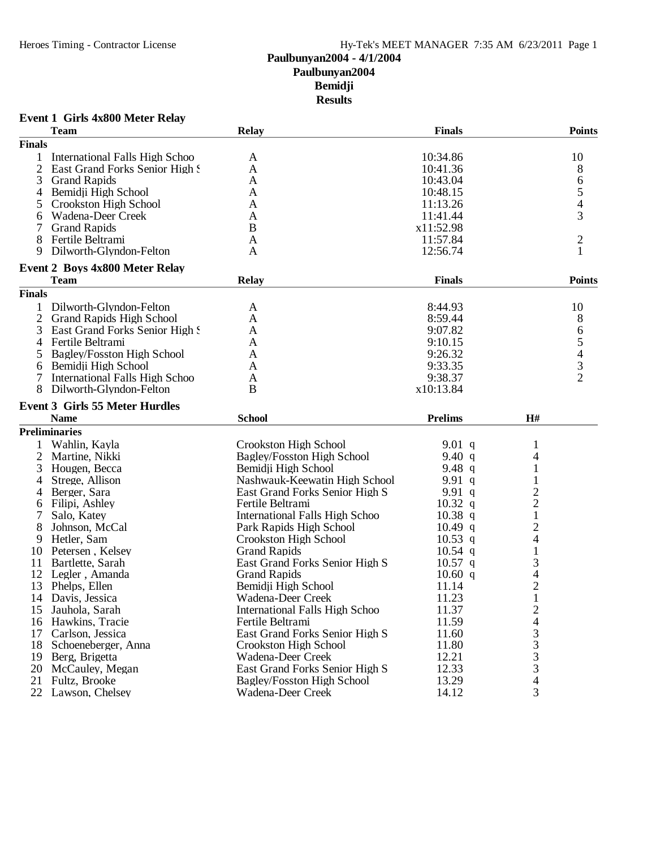#### **Event 1 Girls 4x800 Meter Relay**

| 10:34.86<br>10<br>1<br>International Falls High Schoo<br>A<br>$\mathfrak{2}$<br>8<br>East Grand Forks Senior High S<br>A<br>10:41.36<br>3<br><b>Grand Rapids</b><br>6<br>A<br>10:43.04<br>5<br>Bemidji High School<br>10:48.15<br>A<br>4<br>4<br>Crookston High School<br>A<br>11:13.26<br>5<br>3<br>Wadena-Deer Creek<br>A<br>11:41.44<br>6<br><b>Grand Rapids</b><br>B<br>x11:52.98<br>7<br>$\overline{c}$<br>8<br>Fertile Beltrami<br>11:57.84<br>A<br>Dilworth-Glyndon-Felton<br>12:56.74<br>9<br>A<br><b>Event 2 Boys 4x800 Meter Relay</b><br><b>Relay</b><br><b>Finals</b><br><b>Points</b><br><b>Team</b><br><b>Finals</b><br>8:44.93<br>10<br>Dilworth-Glyndon-Felton<br>A<br>8<br>$\overline{2}$<br><b>Grand Rapids High School</b><br>8:59.44<br>A<br>9:07.82<br>6<br>3<br>East Grand Forks Senior High S<br>A<br>5<br>9:10.15<br>Fertile Beltrami<br>$\overline{4}$<br>A<br>$\overline{\mathcal{L}}$<br>9:26.32<br>Bagley/Fosston High School<br>5<br>A<br>3<br>9:33.35<br>Bemidji High School<br>A<br>6<br>$\overline{2}$<br><b>International Falls High Schoo</b><br>9:38.37<br>A<br>8<br>Dilworth-Glyndon-Felton<br>B<br>x10:13.84<br><b>Event 3 Girls 55 Meter Hurdles</b><br><b>Name</b><br><b>School</b><br><b>Prelims</b><br>H#<br><b>Preliminaries</b><br>$9.01$ q<br>Wahlin, Kayla<br>Crookston High School<br>1<br>$\overline{2}$<br><b>Bagley/Fosston High School</b><br>9.40 $q$<br>Martine, Nikki<br>4<br>1<br>3<br>Hougen, Becca<br>Bemidji High School<br>9.48 $q$<br>Nashwauk-Keewatin High School<br>9.91 $q$<br>1<br>Strege, Allison<br>4<br>$\overline{c}$<br>East Grand Forks Senior High S<br>9.91q<br>Berger, Sara<br>4<br>$\frac{2}{1}$<br>$10.32$ q<br>Filipi, Ashley<br>Fertile Beltrami<br>6<br>International Falls High Schoo<br>$10.38$ q<br>7<br>Salo, Katey<br>$\overline{c}$<br>8<br>Johnson, McCal<br>Park Rapids High School<br>$10.49$ q<br>$\overline{4}$<br>Hetler, Sam<br>Crookston High School<br>$10.53$ q<br>9<br>$\mathbf{1}$<br><b>Grand Rapids</b><br>Petersen, Kelsey<br>10.54 q<br>10<br>3<br>11<br>Bartlette, Sarah<br>East Grand Forks Senior High S<br>$10.57$ q<br>4<br>12<br>Legler, Amanda<br><b>Grand Rapids</b><br>10.60 q<br>$\overline{c}$<br>13<br>Phelps, Ellen<br>Bemidji High School<br>11.14<br>$\mathbf{1}$<br>11.23<br>14<br>Davis, Jessica<br>Wadena-Deer Creek<br><b>International Falls High Schoo</b><br>Jauhola, Sarah<br>11.37<br>2<br>15<br>11.59<br>Hawkins, Tracie<br>Fertile Beltrami<br>4<br>16<br>3<br>11.60<br>17<br>Carlson, Jessica<br>East Grand Forks Senior High S<br>3<br>11.80<br>18 Schoeneberger, Anna<br>Crookston High School<br>3<br>12.21<br>Wadena-Deer Creek<br>19 Berg, Brigetta<br>3<br>12.33<br>East Grand Forks Senior High S<br>20<br>McCauley, Megan<br>13.29<br>4<br>21<br>Fultz, Brooke<br>Bagley/Fosston High School<br>3<br>Lawson, Chelsey |               | <b>Team</b> | <b>Relay</b>      | <b>Finals</b> | <b>Points</b> |
|-------------------------------------------------------------------------------------------------------------------------------------------------------------------------------------------------------------------------------------------------------------------------------------------------------------------------------------------------------------------------------------------------------------------------------------------------------------------------------------------------------------------------------------------------------------------------------------------------------------------------------------------------------------------------------------------------------------------------------------------------------------------------------------------------------------------------------------------------------------------------------------------------------------------------------------------------------------------------------------------------------------------------------------------------------------------------------------------------------------------------------------------------------------------------------------------------------------------------------------------------------------------------------------------------------------------------------------------------------------------------------------------------------------------------------------------------------------------------------------------------------------------------------------------------------------------------------------------------------------------------------------------------------------------------------------------------------------------------------------------------------------------------------------------------------------------------------------------------------------------------------------------------------------------------------------------------------------------------------------------------------------------------------------------------------------------------------------------------------------------------------------------------------------------------------------------------------------------------------------------------------------------------------------------------------------------------------------------------------------------------------------------------------------------------------------------------------------------------------------------------------------------------------------------------------------------------------------------------------------------------------------------------------------------------------------------------------------------------------------------------------------------------------------------------------------------------------------------------------------|---------------|-------------|-------------------|---------------|---------------|
|                                                                                                                                                                                                                                                                                                                                                                                                                                                                                                                                                                                                                                                                                                                                                                                                                                                                                                                                                                                                                                                                                                                                                                                                                                                                                                                                                                                                                                                                                                                                                                                                                                                                                                                                                                                                                                                                                                                                                                                                                                                                                                                                                                                                                                                                                                                                                                                                                                                                                                                                                                                                                                                                                                                                                                                                                                                             | <b>Finals</b> |             |                   |               |               |
|                                                                                                                                                                                                                                                                                                                                                                                                                                                                                                                                                                                                                                                                                                                                                                                                                                                                                                                                                                                                                                                                                                                                                                                                                                                                                                                                                                                                                                                                                                                                                                                                                                                                                                                                                                                                                                                                                                                                                                                                                                                                                                                                                                                                                                                                                                                                                                                                                                                                                                                                                                                                                                                                                                                                                                                                                                                             |               |             |                   |               |               |
|                                                                                                                                                                                                                                                                                                                                                                                                                                                                                                                                                                                                                                                                                                                                                                                                                                                                                                                                                                                                                                                                                                                                                                                                                                                                                                                                                                                                                                                                                                                                                                                                                                                                                                                                                                                                                                                                                                                                                                                                                                                                                                                                                                                                                                                                                                                                                                                                                                                                                                                                                                                                                                                                                                                                                                                                                                                             |               |             |                   |               |               |
|                                                                                                                                                                                                                                                                                                                                                                                                                                                                                                                                                                                                                                                                                                                                                                                                                                                                                                                                                                                                                                                                                                                                                                                                                                                                                                                                                                                                                                                                                                                                                                                                                                                                                                                                                                                                                                                                                                                                                                                                                                                                                                                                                                                                                                                                                                                                                                                                                                                                                                                                                                                                                                                                                                                                                                                                                                                             |               |             |                   |               |               |
|                                                                                                                                                                                                                                                                                                                                                                                                                                                                                                                                                                                                                                                                                                                                                                                                                                                                                                                                                                                                                                                                                                                                                                                                                                                                                                                                                                                                                                                                                                                                                                                                                                                                                                                                                                                                                                                                                                                                                                                                                                                                                                                                                                                                                                                                                                                                                                                                                                                                                                                                                                                                                                                                                                                                                                                                                                                             |               |             |                   |               |               |
|                                                                                                                                                                                                                                                                                                                                                                                                                                                                                                                                                                                                                                                                                                                                                                                                                                                                                                                                                                                                                                                                                                                                                                                                                                                                                                                                                                                                                                                                                                                                                                                                                                                                                                                                                                                                                                                                                                                                                                                                                                                                                                                                                                                                                                                                                                                                                                                                                                                                                                                                                                                                                                                                                                                                                                                                                                                             |               |             |                   |               |               |
|                                                                                                                                                                                                                                                                                                                                                                                                                                                                                                                                                                                                                                                                                                                                                                                                                                                                                                                                                                                                                                                                                                                                                                                                                                                                                                                                                                                                                                                                                                                                                                                                                                                                                                                                                                                                                                                                                                                                                                                                                                                                                                                                                                                                                                                                                                                                                                                                                                                                                                                                                                                                                                                                                                                                                                                                                                                             |               |             |                   |               |               |
|                                                                                                                                                                                                                                                                                                                                                                                                                                                                                                                                                                                                                                                                                                                                                                                                                                                                                                                                                                                                                                                                                                                                                                                                                                                                                                                                                                                                                                                                                                                                                                                                                                                                                                                                                                                                                                                                                                                                                                                                                                                                                                                                                                                                                                                                                                                                                                                                                                                                                                                                                                                                                                                                                                                                                                                                                                                             |               |             |                   |               |               |
|                                                                                                                                                                                                                                                                                                                                                                                                                                                                                                                                                                                                                                                                                                                                                                                                                                                                                                                                                                                                                                                                                                                                                                                                                                                                                                                                                                                                                                                                                                                                                                                                                                                                                                                                                                                                                                                                                                                                                                                                                                                                                                                                                                                                                                                                                                                                                                                                                                                                                                                                                                                                                                                                                                                                                                                                                                                             |               |             |                   |               |               |
|                                                                                                                                                                                                                                                                                                                                                                                                                                                                                                                                                                                                                                                                                                                                                                                                                                                                                                                                                                                                                                                                                                                                                                                                                                                                                                                                                                                                                                                                                                                                                                                                                                                                                                                                                                                                                                                                                                                                                                                                                                                                                                                                                                                                                                                                                                                                                                                                                                                                                                                                                                                                                                                                                                                                                                                                                                                             |               |             |                   |               |               |
|                                                                                                                                                                                                                                                                                                                                                                                                                                                                                                                                                                                                                                                                                                                                                                                                                                                                                                                                                                                                                                                                                                                                                                                                                                                                                                                                                                                                                                                                                                                                                                                                                                                                                                                                                                                                                                                                                                                                                                                                                                                                                                                                                                                                                                                                                                                                                                                                                                                                                                                                                                                                                                                                                                                                                                                                                                                             |               |             |                   |               |               |
|                                                                                                                                                                                                                                                                                                                                                                                                                                                                                                                                                                                                                                                                                                                                                                                                                                                                                                                                                                                                                                                                                                                                                                                                                                                                                                                                                                                                                                                                                                                                                                                                                                                                                                                                                                                                                                                                                                                                                                                                                                                                                                                                                                                                                                                                                                                                                                                                                                                                                                                                                                                                                                                                                                                                                                                                                                                             |               |             |                   |               |               |
|                                                                                                                                                                                                                                                                                                                                                                                                                                                                                                                                                                                                                                                                                                                                                                                                                                                                                                                                                                                                                                                                                                                                                                                                                                                                                                                                                                                                                                                                                                                                                                                                                                                                                                                                                                                                                                                                                                                                                                                                                                                                                                                                                                                                                                                                                                                                                                                                                                                                                                                                                                                                                                                                                                                                                                                                                                                             |               |             |                   |               |               |
|                                                                                                                                                                                                                                                                                                                                                                                                                                                                                                                                                                                                                                                                                                                                                                                                                                                                                                                                                                                                                                                                                                                                                                                                                                                                                                                                                                                                                                                                                                                                                                                                                                                                                                                                                                                                                                                                                                                                                                                                                                                                                                                                                                                                                                                                                                                                                                                                                                                                                                                                                                                                                                                                                                                                                                                                                                                             |               |             |                   |               |               |
|                                                                                                                                                                                                                                                                                                                                                                                                                                                                                                                                                                                                                                                                                                                                                                                                                                                                                                                                                                                                                                                                                                                                                                                                                                                                                                                                                                                                                                                                                                                                                                                                                                                                                                                                                                                                                                                                                                                                                                                                                                                                                                                                                                                                                                                                                                                                                                                                                                                                                                                                                                                                                                                                                                                                                                                                                                                             |               |             |                   |               |               |
|                                                                                                                                                                                                                                                                                                                                                                                                                                                                                                                                                                                                                                                                                                                                                                                                                                                                                                                                                                                                                                                                                                                                                                                                                                                                                                                                                                                                                                                                                                                                                                                                                                                                                                                                                                                                                                                                                                                                                                                                                                                                                                                                                                                                                                                                                                                                                                                                                                                                                                                                                                                                                                                                                                                                                                                                                                                             |               |             |                   |               |               |
|                                                                                                                                                                                                                                                                                                                                                                                                                                                                                                                                                                                                                                                                                                                                                                                                                                                                                                                                                                                                                                                                                                                                                                                                                                                                                                                                                                                                                                                                                                                                                                                                                                                                                                                                                                                                                                                                                                                                                                                                                                                                                                                                                                                                                                                                                                                                                                                                                                                                                                                                                                                                                                                                                                                                                                                                                                                             |               |             |                   |               |               |
|                                                                                                                                                                                                                                                                                                                                                                                                                                                                                                                                                                                                                                                                                                                                                                                                                                                                                                                                                                                                                                                                                                                                                                                                                                                                                                                                                                                                                                                                                                                                                                                                                                                                                                                                                                                                                                                                                                                                                                                                                                                                                                                                                                                                                                                                                                                                                                                                                                                                                                                                                                                                                                                                                                                                                                                                                                                             |               |             |                   |               |               |
|                                                                                                                                                                                                                                                                                                                                                                                                                                                                                                                                                                                                                                                                                                                                                                                                                                                                                                                                                                                                                                                                                                                                                                                                                                                                                                                                                                                                                                                                                                                                                                                                                                                                                                                                                                                                                                                                                                                                                                                                                                                                                                                                                                                                                                                                                                                                                                                                                                                                                                                                                                                                                                                                                                                                                                                                                                                             |               |             |                   |               |               |
|                                                                                                                                                                                                                                                                                                                                                                                                                                                                                                                                                                                                                                                                                                                                                                                                                                                                                                                                                                                                                                                                                                                                                                                                                                                                                                                                                                                                                                                                                                                                                                                                                                                                                                                                                                                                                                                                                                                                                                                                                                                                                                                                                                                                                                                                                                                                                                                                                                                                                                                                                                                                                                                                                                                                                                                                                                                             |               |             |                   |               |               |
|                                                                                                                                                                                                                                                                                                                                                                                                                                                                                                                                                                                                                                                                                                                                                                                                                                                                                                                                                                                                                                                                                                                                                                                                                                                                                                                                                                                                                                                                                                                                                                                                                                                                                                                                                                                                                                                                                                                                                                                                                                                                                                                                                                                                                                                                                                                                                                                                                                                                                                                                                                                                                                                                                                                                                                                                                                                             |               |             |                   |               |               |
|                                                                                                                                                                                                                                                                                                                                                                                                                                                                                                                                                                                                                                                                                                                                                                                                                                                                                                                                                                                                                                                                                                                                                                                                                                                                                                                                                                                                                                                                                                                                                                                                                                                                                                                                                                                                                                                                                                                                                                                                                                                                                                                                                                                                                                                                                                                                                                                                                                                                                                                                                                                                                                                                                                                                                                                                                                                             |               |             |                   |               |               |
|                                                                                                                                                                                                                                                                                                                                                                                                                                                                                                                                                                                                                                                                                                                                                                                                                                                                                                                                                                                                                                                                                                                                                                                                                                                                                                                                                                                                                                                                                                                                                                                                                                                                                                                                                                                                                                                                                                                                                                                                                                                                                                                                                                                                                                                                                                                                                                                                                                                                                                                                                                                                                                                                                                                                                                                                                                                             |               |             |                   |               |               |
|                                                                                                                                                                                                                                                                                                                                                                                                                                                                                                                                                                                                                                                                                                                                                                                                                                                                                                                                                                                                                                                                                                                                                                                                                                                                                                                                                                                                                                                                                                                                                                                                                                                                                                                                                                                                                                                                                                                                                                                                                                                                                                                                                                                                                                                                                                                                                                                                                                                                                                                                                                                                                                                                                                                                                                                                                                                             |               |             |                   |               |               |
|                                                                                                                                                                                                                                                                                                                                                                                                                                                                                                                                                                                                                                                                                                                                                                                                                                                                                                                                                                                                                                                                                                                                                                                                                                                                                                                                                                                                                                                                                                                                                                                                                                                                                                                                                                                                                                                                                                                                                                                                                                                                                                                                                                                                                                                                                                                                                                                                                                                                                                                                                                                                                                                                                                                                                                                                                                                             |               |             |                   |               |               |
|                                                                                                                                                                                                                                                                                                                                                                                                                                                                                                                                                                                                                                                                                                                                                                                                                                                                                                                                                                                                                                                                                                                                                                                                                                                                                                                                                                                                                                                                                                                                                                                                                                                                                                                                                                                                                                                                                                                                                                                                                                                                                                                                                                                                                                                                                                                                                                                                                                                                                                                                                                                                                                                                                                                                                                                                                                                             |               |             |                   |               |               |
|                                                                                                                                                                                                                                                                                                                                                                                                                                                                                                                                                                                                                                                                                                                                                                                                                                                                                                                                                                                                                                                                                                                                                                                                                                                                                                                                                                                                                                                                                                                                                                                                                                                                                                                                                                                                                                                                                                                                                                                                                                                                                                                                                                                                                                                                                                                                                                                                                                                                                                                                                                                                                                                                                                                                                                                                                                                             |               |             |                   |               |               |
|                                                                                                                                                                                                                                                                                                                                                                                                                                                                                                                                                                                                                                                                                                                                                                                                                                                                                                                                                                                                                                                                                                                                                                                                                                                                                                                                                                                                                                                                                                                                                                                                                                                                                                                                                                                                                                                                                                                                                                                                                                                                                                                                                                                                                                                                                                                                                                                                                                                                                                                                                                                                                                                                                                                                                                                                                                                             |               |             |                   |               |               |
|                                                                                                                                                                                                                                                                                                                                                                                                                                                                                                                                                                                                                                                                                                                                                                                                                                                                                                                                                                                                                                                                                                                                                                                                                                                                                                                                                                                                                                                                                                                                                                                                                                                                                                                                                                                                                                                                                                                                                                                                                                                                                                                                                                                                                                                                                                                                                                                                                                                                                                                                                                                                                                                                                                                                                                                                                                                             |               |             |                   |               |               |
|                                                                                                                                                                                                                                                                                                                                                                                                                                                                                                                                                                                                                                                                                                                                                                                                                                                                                                                                                                                                                                                                                                                                                                                                                                                                                                                                                                                                                                                                                                                                                                                                                                                                                                                                                                                                                                                                                                                                                                                                                                                                                                                                                                                                                                                                                                                                                                                                                                                                                                                                                                                                                                                                                                                                                                                                                                                             |               |             |                   |               |               |
|                                                                                                                                                                                                                                                                                                                                                                                                                                                                                                                                                                                                                                                                                                                                                                                                                                                                                                                                                                                                                                                                                                                                                                                                                                                                                                                                                                                                                                                                                                                                                                                                                                                                                                                                                                                                                                                                                                                                                                                                                                                                                                                                                                                                                                                                                                                                                                                                                                                                                                                                                                                                                                                                                                                                                                                                                                                             |               |             |                   |               |               |
|                                                                                                                                                                                                                                                                                                                                                                                                                                                                                                                                                                                                                                                                                                                                                                                                                                                                                                                                                                                                                                                                                                                                                                                                                                                                                                                                                                                                                                                                                                                                                                                                                                                                                                                                                                                                                                                                                                                                                                                                                                                                                                                                                                                                                                                                                                                                                                                                                                                                                                                                                                                                                                                                                                                                                                                                                                                             |               |             |                   |               |               |
|                                                                                                                                                                                                                                                                                                                                                                                                                                                                                                                                                                                                                                                                                                                                                                                                                                                                                                                                                                                                                                                                                                                                                                                                                                                                                                                                                                                                                                                                                                                                                                                                                                                                                                                                                                                                                                                                                                                                                                                                                                                                                                                                                                                                                                                                                                                                                                                                                                                                                                                                                                                                                                                                                                                                                                                                                                                             |               |             |                   |               |               |
|                                                                                                                                                                                                                                                                                                                                                                                                                                                                                                                                                                                                                                                                                                                                                                                                                                                                                                                                                                                                                                                                                                                                                                                                                                                                                                                                                                                                                                                                                                                                                                                                                                                                                                                                                                                                                                                                                                                                                                                                                                                                                                                                                                                                                                                                                                                                                                                                                                                                                                                                                                                                                                                                                                                                                                                                                                                             |               |             |                   |               |               |
|                                                                                                                                                                                                                                                                                                                                                                                                                                                                                                                                                                                                                                                                                                                                                                                                                                                                                                                                                                                                                                                                                                                                                                                                                                                                                                                                                                                                                                                                                                                                                                                                                                                                                                                                                                                                                                                                                                                                                                                                                                                                                                                                                                                                                                                                                                                                                                                                                                                                                                                                                                                                                                                                                                                                                                                                                                                             |               |             |                   |               |               |
|                                                                                                                                                                                                                                                                                                                                                                                                                                                                                                                                                                                                                                                                                                                                                                                                                                                                                                                                                                                                                                                                                                                                                                                                                                                                                                                                                                                                                                                                                                                                                                                                                                                                                                                                                                                                                                                                                                                                                                                                                                                                                                                                                                                                                                                                                                                                                                                                                                                                                                                                                                                                                                                                                                                                                                                                                                                             |               |             |                   |               |               |
|                                                                                                                                                                                                                                                                                                                                                                                                                                                                                                                                                                                                                                                                                                                                                                                                                                                                                                                                                                                                                                                                                                                                                                                                                                                                                                                                                                                                                                                                                                                                                                                                                                                                                                                                                                                                                                                                                                                                                                                                                                                                                                                                                                                                                                                                                                                                                                                                                                                                                                                                                                                                                                                                                                                                                                                                                                                             |               |             |                   |               |               |
|                                                                                                                                                                                                                                                                                                                                                                                                                                                                                                                                                                                                                                                                                                                                                                                                                                                                                                                                                                                                                                                                                                                                                                                                                                                                                                                                                                                                                                                                                                                                                                                                                                                                                                                                                                                                                                                                                                                                                                                                                                                                                                                                                                                                                                                                                                                                                                                                                                                                                                                                                                                                                                                                                                                                                                                                                                                             |               |             |                   |               |               |
|                                                                                                                                                                                                                                                                                                                                                                                                                                                                                                                                                                                                                                                                                                                                                                                                                                                                                                                                                                                                                                                                                                                                                                                                                                                                                                                                                                                                                                                                                                                                                                                                                                                                                                                                                                                                                                                                                                                                                                                                                                                                                                                                                                                                                                                                                                                                                                                                                                                                                                                                                                                                                                                                                                                                                                                                                                                             |               |             |                   |               |               |
|                                                                                                                                                                                                                                                                                                                                                                                                                                                                                                                                                                                                                                                                                                                                                                                                                                                                                                                                                                                                                                                                                                                                                                                                                                                                                                                                                                                                                                                                                                                                                                                                                                                                                                                                                                                                                                                                                                                                                                                                                                                                                                                                                                                                                                                                                                                                                                                                                                                                                                                                                                                                                                                                                                                                                                                                                                                             |               |             |                   |               |               |
|                                                                                                                                                                                                                                                                                                                                                                                                                                                                                                                                                                                                                                                                                                                                                                                                                                                                                                                                                                                                                                                                                                                                                                                                                                                                                                                                                                                                                                                                                                                                                                                                                                                                                                                                                                                                                                                                                                                                                                                                                                                                                                                                                                                                                                                                                                                                                                                                                                                                                                                                                                                                                                                                                                                                                                                                                                                             |               |             |                   |               |               |
|                                                                                                                                                                                                                                                                                                                                                                                                                                                                                                                                                                                                                                                                                                                                                                                                                                                                                                                                                                                                                                                                                                                                                                                                                                                                                                                                                                                                                                                                                                                                                                                                                                                                                                                                                                                                                                                                                                                                                                                                                                                                                                                                                                                                                                                                                                                                                                                                                                                                                                                                                                                                                                                                                                                                                                                                                                                             |               |             |                   |               |               |
|                                                                                                                                                                                                                                                                                                                                                                                                                                                                                                                                                                                                                                                                                                                                                                                                                                                                                                                                                                                                                                                                                                                                                                                                                                                                                                                                                                                                                                                                                                                                                                                                                                                                                                                                                                                                                                                                                                                                                                                                                                                                                                                                                                                                                                                                                                                                                                                                                                                                                                                                                                                                                                                                                                                                                                                                                                                             |               |             |                   |               |               |
|                                                                                                                                                                                                                                                                                                                                                                                                                                                                                                                                                                                                                                                                                                                                                                                                                                                                                                                                                                                                                                                                                                                                                                                                                                                                                                                                                                                                                                                                                                                                                                                                                                                                                                                                                                                                                                                                                                                                                                                                                                                                                                                                                                                                                                                                                                                                                                                                                                                                                                                                                                                                                                                                                                                                                                                                                                                             |               |             |                   |               |               |
|                                                                                                                                                                                                                                                                                                                                                                                                                                                                                                                                                                                                                                                                                                                                                                                                                                                                                                                                                                                                                                                                                                                                                                                                                                                                                                                                                                                                                                                                                                                                                                                                                                                                                                                                                                                                                                                                                                                                                                                                                                                                                                                                                                                                                                                                                                                                                                                                                                                                                                                                                                                                                                                                                                                                                                                                                                                             |               |             |                   |               |               |
|                                                                                                                                                                                                                                                                                                                                                                                                                                                                                                                                                                                                                                                                                                                                                                                                                                                                                                                                                                                                                                                                                                                                                                                                                                                                                                                                                                                                                                                                                                                                                                                                                                                                                                                                                                                                                                                                                                                                                                                                                                                                                                                                                                                                                                                                                                                                                                                                                                                                                                                                                                                                                                                                                                                                                                                                                                                             |               |             |                   |               |               |
|                                                                                                                                                                                                                                                                                                                                                                                                                                                                                                                                                                                                                                                                                                                                                                                                                                                                                                                                                                                                                                                                                                                                                                                                                                                                                                                                                                                                                                                                                                                                                                                                                                                                                                                                                                                                                                                                                                                                                                                                                                                                                                                                                                                                                                                                                                                                                                                                                                                                                                                                                                                                                                                                                                                                                                                                                                                             | 22            |             | Wadena-Deer Creek | 14.12         |               |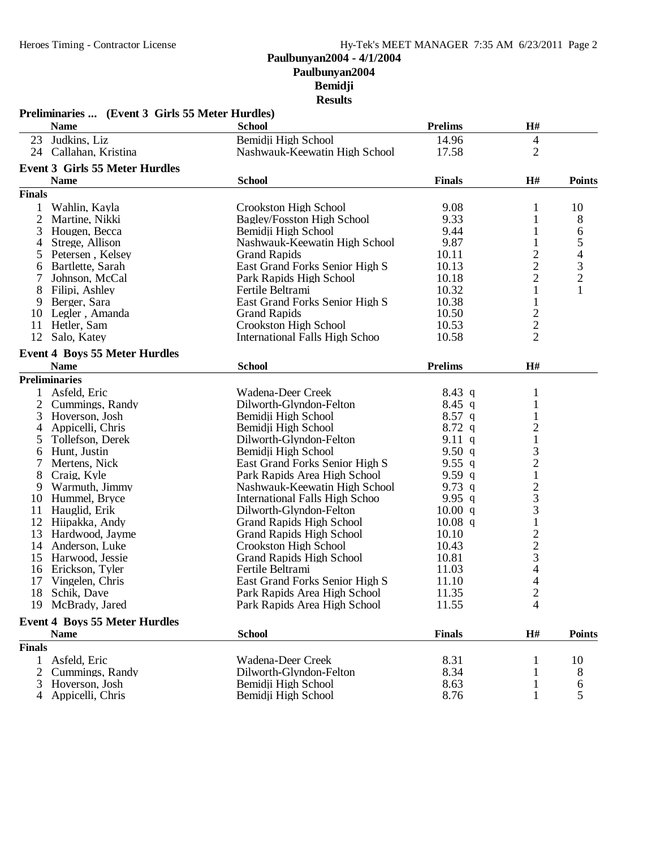| <b>Prelims</b><br>H#<br><b>Name</b><br><b>School</b><br>Judkins, Liz<br>23<br>Bemidji High School<br>14.96<br>4<br>$\overline{2}$<br>24 Callahan, Kristina<br>Nashwauk-Keewatin High School<br>17.58<br><b>Event 3 Girls 55 Meter Hurdles</b><br><b>Name</b><br><b>School</b><br><b>Finals</b><br>H#<br><b>Points</b><br><b>Finals</b><br>9.08<br>10<br>Crookston High School<br>1<br>Wahlin, Kayla<br>1<br>$\overline{2}$<br>9.33<br>8<br>Martine, Nikki<br>Bagley/Fosston High School<br>1<br>3<br>9.44<br>1<br>Hougen, Becca<br>Bemidji High School<br>6<br>$\mathfrak s$<br>9.87<br>Nashwauk-Keewatin High School<br>$\mathbf{1}$<br>4<br>Strege, Allison<br>$\overline{4}$<br>$\frac{2}{2}$<br>10.11<br>5<br>Petersen, Kelsey<br><b>Grand Rapids</b><br>$\frac{3}{2}$<br>10.13<br>East Grand Forks Senior High S<br>Bartlette, Sarah<br>6<br>$\overline{2}$<br>10.18<br>Johnson, McCal<br>Park Rapids High School<br>7<br>$\mathbf{1}$<br>$\mathbf{1}$<br>8<br>10.32<br>Filipi, Ashley<br>Fertile Beltrami<br>Berger, Sara<br>East Grand Forks Senior High S<br>10.38<br>$\mathbf{1}$<br>9<br>$\frac{2}{2}$<br>10 Legler, Amanda<br><b>Grand Rapids</b><br>10.50<br>Crookston High School<br>10.53<br>11<br>Hetler, Sam<br>$\overline{2}$<br>12<br>10.58<br>Salo, Katey<br>International Falls High Schoo<br><b>Event 4 Boys 55 Meter Hurdles</b><br><b>School</b><br><b>Prelims</b><br>H#<br><b>Name</b><br><b>Preliminaries</b><br>Wadena-Deer Creek<br>Asfeld, Eric<br>$8.43\ q$<br>$\mathbf{1}$<br>$\mathbf{1}$<br>Cummings, Randy<br>$8.45$ q<br>2<br>Dilworth-Glyndon-Felton<br>3<br>$8.57$ q<br>$\mathbf{1}$<br>Hoverson, Josh<br>Bemidji High School<br>$\frac{2}{1}$<br>$8.72$ q<br>Appicelli, Chris<br>Bemidji High School<br>4<br>9.11 q<br>Tollefson, Derek<br>Dilworth-Glyndon-Felton<br>5<br>3<br>9.50 $q$<br>Hunt, Justin<br>Bemidji High School<br>6<br>$\frac{2}{1}$<br>9.55 q<br>Mertens, Nick<br>East Grand Forks Senior High S<br>8<br>Craig, Kyle<br>9.59q<br>Park Rapids Area High School<br>$\begin{array}{c} 2 \\ 3 \\ 3 \\ 1 \end{array}$<br>9.73 $q$<br>Warmuth, Jimmy<br>Nashwauk-Keewatin High School<br>9<br>9.95 $q$<br>10<br>Hummel, Bryce<br>International Falls High Schoo<br>11 Hauglid, Erik<br>10.00 q<br>Dilworth-Glyndon-Felton<br>12<br>Hiipakka, Andy<br><b>Grand Rapids High School</b><br>$10.08$ q<br>$\frac{2}{3}$<br>13<br>Hardwood, Jayme<br><b>Grand Rapids High School</b><br>10.10<br>14<br>10.43<br>Anderson, Luke<br>Crookston High School<br>10.81<br>15<br>Harwood, Jessie<br><b>Grand Rapids High School</b><br>$\overline{4}$<br>16 Erickson, Tyler<br>Fertile Beltrami<br>11.03<br>4<br>17<br>Vingelen, Chris<br>East Grand Forks Senior High S<br>11.10<br>18 Schik, Dave<br>Park Rapids Area High School<br>11.35<br>2<br>19 McBrady, Jared<br>11.55<br>4<br>Park Rapids Area High School<br><b>Event 4 Boys 55 Meter Hurdles</b><br><b>School</b><br>$\mathbf{H}$ #<br><b>Finals</b><br><b>Name</b><br><b>Points</b><br><b>Finals</b><br>Asfeld, Eric<br>8.31<br>Wadena-Deer Creek<br>10<br>1<br>2<br>Dilworth-Glyndon-Felton<br>8.34<br>Cummings, Randy<br>8<br>1<br>Hoverson, Josh<br>8.63<br>3<br>Bemidji High School<br>6<br>1<br>5<br>8.76<br>1<br>Appicelli, Chris<br>Bemidji High School<br>4 | Preliminaries  (Event 3 Girls 55 Meter Hurdles) |  |  |
|----------------------------------------------------------------------------------------------------------------------------------------------------------------------------------------------------------------------------------------------------------------------------------------------------------------------------------------------------------------------------------------------------------------------------------------------------------------------------------------------------------------------------------------------------------------------------------------------------------------------------------------------------------------------------------------------------------------------------------------------------------------------------------------------------------------------------------------------------------------------------------------------------------------------------------------------------------------------------------------------------------------------------------------------------------------------------------------------------------------------------------------------------------------------------------------------------------------------------------------------------------------------------------------------------------------------------------------------------------------------------------------------------------------------------------------------------------------------------------------------------------------------------------------------------------------------------------------------------------------------------------------------------------------------------------------------------------------------------------------------------------------------------------------------------------------------------------------------------------------------------------------------------------------------------------------------------------------------------------------------------------------------------------------------------------------------------------------------------------------------------------------------------------------------------------------------------------------------------------------------------------------------------------------------------------------------------------------------------------------------------------------------------------------------------------------------------------------------------------------------------------------------------------------------------------------------------------------------------------------------------------------------------------------------------------------------------------------------------------------------------------------------------------------------------------------------------------------------------------------------------------------------------------------------------------------------------------------------------------------------------------------------------------------------------------------------------------------------------------------------------------------------------------------------------------------------------------------------------------------------------------------------|-------------------------------------------------|--|--|
|                                                                                                                                                                                                                                                                                                                                                                                                                                                                                                                                                                                                                                                                                                                                                                                                                                                                                                                                                                                                                                                                                                                                                                                                                                                                                                                                                                                                                                                                                                                                                                                                                                                                                                                                                                                                                                                                                                                                                                                                                                                                                                                                                                                                                                                                                                                                                                                                                                                                                                                                                                                                                                                                                                                                                                                                                                                                                                                                                                                                                                                                                                                                                                                                                                                                      |                                                 |  |  |
|                                                                                                                                                                                                                                                                                                                                                                                                                                                                                                                                                                                                                                                                                                                                                                                                                                                                                                                                                                                                                                                                                                                                                                                                                                                                                                                                                                                                                                                                                                                                                                                                                                                                                                                                                                                                                                                                                                                                                                                                                                                                                                                                                                                                                                                                                                                                                                                                                                                                                                                                                                                                                                                                                                                                                                                                                                                                                                                                                                                                                                                                                                                                                                                                                                                                      |                                                 |  |  |
|                                                                                                                                                                                                                                                                                                                                                                                                                                                                                                                                                                                                                                                                                                                                                                                                                                                                                                                                                                                                                                                                                                                                                                                                                                                                                                                                                                                                                                                                                                                                                                                                                                                                                                                                                                                                                                                                                                                                                                                                                                                                                                                                                                                                                                                                                                                                                                                                                                                                                                                                                                                                                                                                                                                                                                                                                                                                                                                                                                                                                                                                                                                                                                                                                                                                      |                                                 |  |  |
|                                                                                                                                                                                                                                                                                                                                                                                                                                                                                                                                                                                                                                                                                                                                                                                                                                                                                                                                                                                                                                                                                                                                                                                                                                                                                                                                                                                                                                                                                                                                                                                                                                                                                                                                                                                                                                                                                                                                                                                                                                                                                                                                                                                                                                                                                                                                                                                                                                                                                                                                                                                                                                                                                                                                                                                                                                                                                                                                                                                                                                                                                                                                                                                                                                                                      |                                                 |  |  |
|                                                                                                                                                                                                                                                                                                                                                                                                                                                                                                                                                                                                                                                                                                                                                                                                                                                                                                                                                                                                                                                                                                                                                                                                                                                                                                                                                                                                                                                                                                                                                                                                                                                                                                                                                                                                                                                                                                                                                                                                                                                                                                                                                                                                                                                                                                                                                                                                                                                                                                                                                                                                                                                                                                                                                                                                                                                                                                                                                                                                                                                                                                                                                                                                                                                                      |                                                 |  |  |
|                                                                                                                                                                                                                                                                                                                                                                                                                                                                                                                                                                                                                                                                                                                                                                                                                                                                                                                                                                                                                                                                                                                                                                                                                                                                                                                                                                                                                                                                                                                                                                                                                                                                                                                                                                                                                                                                                                                                                                                                                                                                                                                                                                                                                                                                                                                                                                                                                                                                                                                                                                                                                                                                                                                                                                                                                                                                                                                                                                                                                                                                                                                                                                                                                                                                      |                                                 |  |  |
|                                                                                                                                                                                                                                                                                                                                                                                                                                                                                                                                                                                                                                                                                                                                                                                                                                                                                                                                                                                                                                                                                                                                                                                                                                                                                                                                                                                                                                                                                                                                                                                                                                                                                                                                                                                                                                                                                                                                                                                                                                                                                                                                                                                                                                                                                                                                                                                                                                                                                                                                                                                                                                                                                                                                                                                                                                                                                                                                                                                                                                                                                                                                                                                                                                                                      |                                                 |  |  |
|                                                                                                                                                                                                                                                                                                                                                                                                                                                                                                                                                                                                                                                                                                                                                                                                                                                                                                                                                                                                                                                                                                                                                                                                                                                                                                                                                                                                                                                                                                                                                                                                                                                                                                                                                                                                                                                                                                                                                                                                                                                                                                                                                                                                                                                                                                                                                                                                                                                                                                                                                                                                                                                                                                                                                                                                                                                                                                                                                                                                                                                                                                                                                                                                                                                                      |                                                 |  |  |
|                                                                                                                                                                                                                                                                                                                                                                                                                                                                                                                                                                                                                                                                                                                                                                                                                                                                                                                                                                                                                                                                                                                                                                                                                                                                                                                                                                                                                                                                                                                                                                                                                                                                                                                                                                                                                                                                                                                                                                                                                                                                                                                                                                                                                                                                                                                                                                                                                                                                                                                                                                                                                                                                                                                                                                                                                                                                                                                                                                                                                                                                                                                                                                                                                                                                      |                                                 |  |  |
|                                                                                                                                                                                                                                                                                                                                                                                                                                                                                                                                                                                                                                                                                                                                                                                                                                                                                                                                                                                                                                                                                                                                                                                                                                                                                                                                                                                                                                                                                                                                                                                                                                                                                                                                                                                                                                                                                                                                                                                                                                                                                                                                                                                                                                                                                                                                                                                                                                                                                                                                                                                                                                                                                                                                                                                                                                                                                                                                                                                                                                                                                                                                                                                                                                                                      |                                                 |  |  |
|                                                                                                                                                                                                                                                                                                                                                                                                                                                                                                                                                                                                                                                                                                                                                                                                                                                                                                                                                                                                                                                                                                                                                                                                                                                                                                                                                                                                                                                                                                                                                                                                                                                                                                                                                                                                                                                                                                                                                                                                                                                                                                                                                                                                                                                                                                                                                                                                                                                                                                                                                                                                                                                                                                                                                                                                                                                                                                                                                                                                                                                                                                                                                                                                                                                                      |                                                 |  |  |
|                                                                                                                                                                                                                                                                                                                                                                                                                                                                                                                                                                                                                                                                                                                                                                                                                                                                                                                                                                                                                                                                                                                                                                                                                                                                                                                                                                                                                                                                                                                                                                                                                                                                                                                                                                                                                                                                                                                                                                                                                                                                                                                                                                                                                                                                                                                                                                                                                                                                                                                                                                                                                                                                                                                                                                                                                                                                                                                                                                                                                                                                                                                                                                                                                                                                      |                                                 |  |  |
|                                                                                                                                                                                                                                                                                                                                                                                                                                                                                                                                                                                                                                                                                                                                                                                                                                                                                                                                                                                                                                                                                                                                                                                                                                                                                                                                                                                                                                                                                                                                                                                                                                                                                                                                                                                                                                                                                                                                                                                                                                                                                                                                                                                                                                                                                                                                                                                                                                                                                                                                                                                                                                                                                                                                                                                                                                                                                                                                                                                                                                                                                                                                                                                                                                                                      |                                                 |  |  |
|                                                                                                                                                                                                                                                                                                                                                                                                                                                                                                                                                                                                                                                                                                                                                                                                                                                                                                                                                                                                                                                                                                                                                                                                                                                                                                                                                                                                                                                                                                                                                                                                                                                                                                                                                                                                                                                                                                                                                                                                                                                                                                                                                                                                                                                                                                                                                                                                                                                                                                                                                                                                                                                                                                                                                                                                                                                                                                                                                                                                                                                                                                                                                                                                                                                                      |                                                 |  |  |
|                                                                                                                                                                                                                                                                                                                                                                                                                                                                                                                                                                                                                                                                                                                                                                                                                                                                                                                                                                                                                                                                                                                                                                                                                                                                                                                                                                                                                                                                                                                                                                                                                                                                                                                                                                                                                                                                                                                                                                                                                                                                                                                                                                                                                                                                                                                                                                                                                                                                                                                                                                                                                                                                                                                                                                                                                                                                                                                                                                                                                                                                                                                                                                                                                                                                      |                                                 |  |  |
|                                                                                                                                                                                                                                                                                                                                                                                                                                                                                                                                                                                                                                                                                                                                                                                                                                                                                                                                                                                                                                                                                                                                                                                                                                                                                                                                                                                                                                                                                                                                                                                                                                                                                                                                                                                                                                                                                                                                                                                                                                                                                                                                                                                                                                                                                                                                                                                                                                                                                                                                                                                                                                                                                                                                                                                                                                                                                                                                                                                                                                                                                                                                                                                                                                                                      |                                                 |  |  |
|                                                                                                                                                                                                                                                                                                                                                                                                                                                                                                                                                                                                                                                                                                                                                                                                                                                                                                                                                                                                                                                                                                                                                                                                                                                                                                                                                                                                                                                                                                                                                                                                                                                                                                                                                                                                                                                                                                                                                                                                                                                                                                                                                                                                                                                                                                                                                                                                                                                                                                                                                                                                                                                                                                                                                                                                                                                                                                                                                                                                                                                                                                                                                                                                                                                                      |                                                 |  |  |
|                                                                                                                                                                                                                                                                                                                                                                                                                                                                                                                                                                                                                                                                                                                                                                                                                                                                                                                                                                                                                                                                                                                                                                                                                                                                                                                                                                                                                                                                                                                                                                                                                                                                                                                                                                                                                                                                                                                                                                                                                                                                                                                                                                                                                                                                                                                                                                                                                                                                                                                                                                                                                                                                                                                                                                                                                                                                                                                                                                                                                                                                                                                                                                                                                                                                      |                                                 |  |  |
|                                                                                                                                                                                                                                                                                                                                                                                                                                                                                                                                                                                                                                                                                                                                                                                                                                                                                                                                                                                                                                                                                                                                                                                                                                                                                                                                                                                                                                                                                                                                                                                                                                                                                                                                                                                                                                                                                                                                                                                                                                                                                                                                                                                                                                                                                                                                                                                                                                                                                                                                                                                                                                                                                                                                                                                                                                                                                                                                                                                                                                                                                                                                                                                                                                                                      |                                                 |  |  |
|                                                                                                                                                                                                                                                                                                                                                                                                                                                                                                                                                                                                                                                                                                                                                                                                                                                                                                                                                                                                                                                                                                                                                                                                                                                                                                                                                                                                                                                                                                                                                                                                                                                                                                                                                                                                                                                                                                                                                                                                                                                                                                                                                                                                                                                                                                                                                                                                                                                                                                                                                                                                                                                                                                                                                                                                                                                                                                                                                                                                                                                                                                                                                                                                                                                                      |                                                 |  |  |
|                                                                                                                                                                                                                                                                                                                                                                                                                                                                                                                                                                                                                                                                                                                                                                                                                                                                                                                                                                                                                                                                                                                                                                                                                                                                                                                                                                                                                                                                                                                                                                                                                                                                                                                                                                                                                                                                                                                                                                                                                                                                                                                                                                                                                                                                                                                                                                                                                                                                                                                                                                                                                                                                                                                                                                                                                                                                                                                                                                                                                                                                                                                                                                                                                                                                      |                                                 |  |  |
|                                                                                                                                                                                                                                                                                                                                                                                                                                                                                                                                                                                                                                                                                                                                                                                                                                                                                                                                                                                                                                                                                                                                                                                                                                                                                                                                                                                                                                                                                                                                                                                                                                                                                                                                                                                                                                                                                                                                                                                                                                                                                                                                                                                                                                                                                                                                                                                                                                                                                                                                                                                                                                                                                                                                                                                                                                                                                                                                                                                                                                                                                                                                                                                                                                                                      |                                                 |  |  |
|                                                                                                                                                                                                                                                                                                                                                                                                                                                                                                                                                                                                                                                                                                                                                                                                                                                                                                                                                                                                                                                                                                                                                                                                                                                                                                                                                                                                                                                                                                                                                                                                                                                                                                                                                                                                                                                                                                                                                                                                                                                                                                                                                                                                                                                                                                                                                                                                                                                                                                                                                                                                                                                                                                                                                                                                                                                                                                                                                                                                                                                                                                                                                                                                                                                                      |                                                 |  |  |
|                                                                                                                                                                                                                                                                                                                                                                                                                                                                                                                                                                                                                                                                                                                                                                                                                                                                                                                                                                                                                                                                                                                                                                                                                                                                                                                                                                                                                                                                                                                                                                                                                                                                                                                                                                                                                                                                                                                                                                                                                                                                                                                                                                                                                                                                                                                                                                                                                                                                                                                                                                                                                                                                                                                                                                                                                                                                                                                                                                                                                                                                                                                                                                                                                                                                      |                                                 |  |  |
|                                                                                                                                                                                                                                                                                                                                                                                                                                                                                                                                                                                                                                                                                                                                                                                                                                                                                                                                                                                                                                                                                                                                                                                                                                                                                                                                                                                                                                                                                                                                                                                                                                                                                                                                                                                                                                                                                                                                                                                                                                                                                                                                                                                                                                                                                                                                                                                                                                                                                                                                                                                                                                                                                                                                                                                                                                                                                                                                                                                                                                                                                                                                                                                                                                                                      |                                                 |  |  |
|                                                                                                                                                                                                                                                                                                                                                                                                                                                                                                                                                                                                                                                                                                                                                                                                                                                                                                                                                                                                                                                                                                                                                                                                                                                                                                                                                                                                                                                                                                                                                                                                                                                                                                                                                                                                                                                                                                                                                                                                                                                                                                                                                                                                                                                                                                                                                                                                                                                                                                                                                                                                                                                                                                                                                                                                                                                                                                                                                                                                                                                                                                                                                                                                                                                                      |                                                 |  |  |
|                                                                                                                                                                                                                                                                                                                                                                                                                                                                                                                                                                                                                                                                                                                                                                                                                                                                                                                                                                                                                                                                                                                                                                                                                                                                                                                                                                                                                                                                                                                                                                                                                                                                                                                                                                                                                                                                                                                                                                                                                                                                                                                                                                                                                                                                                                                                                                                                                                                                                                                                                                                                                                                                                                                                                                                                                                                                                                                                                                                                                                                                                                                                                                                                                                                                      |                                                 |  |  |
|                                                                                                                                                                                                                                                                                                                                                                                                                                                                                                                                                                                                                                                                                                                                                                                                                                                                                                                                                                                                                                                                                                                                                                                                                                                                                                                                                                                                                                                                                                                                                                                                                                                                                                                                                                                                                                                                                                                                                                                                                                                                                                                                                                                                                                                                                                                                                                                                                                                                                                                                                                                                                                                                                                                                                                                                                                                                                                                                                                                                                                                                                                                                                                                                                                                                      |                                                 |  |  |
|                                                                                                                                                                                                                                                                                                                                                                                                                                                                                                                                                                                                                                                                                                                                                                                                                                                                                                                                                                                                                                                                                                                                                                                                                                                                                                                                                                                                                                                                                                                                                                                                                                                                                                                                                                                                                                                                                                                                                                                                                                                                                                                                                                                                                                                                                                                                                                                                                                                                                                                                                                                                                                                                                                                                                                                                                                                                                                                                                                                                                                                                                                                                                                                                                                                                      |                                                 |  |  |
|                                                                                                                                                                                                                                                                                                                                                                                                                                                                                                                                                                                                                                                                                                                                                                                                                                                                                                                                                                                                                                                                                                                                                                                                                                                                                                                                                                                                                                                                                                                                                                                                                                                                                                                                                                                                                                                                                                                                                                                                                                                                                                                                                                                                                                                                                                                                                                                                                                                                                                                                                                                                                                                                                                                                                                                                                                                                                                                                                                                                                                                                                                                                                                                                                                                                      |                                                 |  |  |
|                                                                                                                                                                                                                                                                                                                                                                                                                                                                                                                                                                                                                                                                                                                                                                                                                                                                                                                                                                                                                                                                                                                                                                                                                                                                                                                                                                                                                                                                                                                                                                                                                                                                                                                                                                                                                                                                                                                                                                                                                                                                                                                                                                                                                                                                                                                                                                                                                                                                                                                                                                                                                                                                                                                                                                                                                                                                                                                                                                                                                                                                                                                                                                                                                                                                      |                                                 |  |  |
|                                                                                                                                                                                                                                                                                                                                                                                                                                                                                                                                                                                                                                                                                                                                                                                                                                                                                                                                                                                                                                                                                                                                                                                                                                                                                                                                                                                                                                                                                                                                                                                                                                                                                                                                                                                                                                                                                                                                                                                                                                                                                                                                                                                                                                                                                                                                                                                                                                                                                                                                                                                                                                                                                                                                                                                                                                                                                                                                                                                                                                                                                                                                                                                                                                                                      |                                                 |  |  |
|                                                                                                                                                                                                                                                                                                                                                                                                                                                                                                                                                                                                                                                                                                                                                                                                                                                                                                                                                                                                                                                                                                                                                                                                                                                                                                                                                                                                                                                                                                                                                                                                                                                                                                                                                                                                                                                                                                                                                                                                                                                                                                                                                                                                                                                                                                                                                                                                                                                                                                                                                                                                                                                                                                                                                                                                                                                                                                                                                                                                                                                                                                                                                                                                                                                                      |                                                 |  |  |
|                                                                                                                                                                                                                                                                                                                                                                                                                                                                                                                                                                                                                                                                                                                                                                                                                                                                                                                                                                                                                                                                                                                                                                                                                                                                                                                                                                                                                                                                                                                                                                                                                                                                                                                                                                                                                                                                                                                                                                                                                                                                                                                                                                                                                                                                                                                                                                                                                                                                                                                                                                                                                                                                                                                                                                                                                                                                                                                                                                                                                                                                                                                                                                                                                                                                      |                                                 |  |  |
|                                                                                                                                                                                                                                                                                                                                                                                                                                                                                                                                                                                                                                                                                                                                                                                                                                                                                                                                                                                                                                                                                                                                                                                                                                                                                                                                                                                                                                                                                                                                                                                                                                                                                                                                                                                                                                                                                                                                                                                                                                                                                                                                                                                                                                                                                                                                                                                                                                                                                                                                                                                                                                                                                                                                                                                                                                                                                                                                                                                                                                                                                                                                                                                                                                                                      |                                                 |  |  |
|                                                                                                                                                                                                                                                                                                                                                                                                                                                                                                                                                                                                                                                                                                                                                                                                                                                                                                                                                                                                                                                                                                                                                                                                                                                                                                                                                                                                                                                                                                                                                                                                                                                                                                                                                                                                                                                                                                                                                                                                                                                                                                                                                                                                                                                                                                                                                                                                                                                                                                                                                                                                                                                                                                                                                                                                                                                                                                                                                                                                                                                                                                                                                                                                                                                                      |                                                 |  |  |
|                                                                                                                                                                                                                                                                                                                                                                                                                                                                                                                                                                                                                                                                                                                                                                                                                                                                                                                                                                                                                                                                                                                                                                                                                                                                                                                                                                                                                                                                                                                                                                                                                                                                                                                                                                                                                                                                                                                                                                                                                                                                                                                                                                                                                                                                                                                                                                                                                                                                                                                                                                                                                                                                                                                                                                                                                                                                                                                                                                                                                                                                                                                                                                                                                                                                      |                                                 |  |  |
|                                                                                                                                                                                                                                                                                                                                                                                                                                                                                                                                                                                                                                                                                                                                                                                                                                                                                                                                                                                                                                                                                                                                                                                                                                                                                                                                                                                                                                                                                                                                                                                                                                                                                                                                                                                                                                                                                                                                                                                                                                                                                                                                                                                                                                                                                                                                                                                                                                                                                                                                                                                                                                                                                                                                                                                                                                                                                                                                                                                                                                                                                                                                                                                                                                                                      |                                                 |  |  |
|                                                                                                                                                                                                                                                                                                                                                                                                                                                                                                                                                                                                                                                                                                                                                                                                                                                                                                                                                                                                                                                                                                                                                                                                                                                                                                                                                                                                                                                                                                                                                                                                                                                                                                                                                                                                                                                                                                                                                                                                                                                                                                                                                                                                                                                                                                                                                                                                                                                                                                                                                                                                                                                                                                                                                                                                                                                                                                                                                                                                                                                                                                                                                                                                                                                                      |                                                 |  |  |
|                                                                                                                                                                                                                                                                                                                                                                                                                                                                                                                                                                                                                                                                                                                                                                                                                                                                                                                                                                                                                                                                                                                                                                                                                                                                                                                                                                                                                                                                                                                                                                                                                                                                                                                                                                                                                                                                                                                                                                                                                                                                                                                                                                                                                                                                                                                                                                                                                                                                                                                                                                                                                                                                                                                                                                                                                                                                                                                                                                                                                                                                                                                                                                                                                                                                      |                                                 |  |  |
|                                                                                                                                                                                                                                                                                                                                                                                                                                                                                                                                                                                                                                                                                                                                                                                                                                                                                                                                                                                                                                                                                                                                                                                                                                                                                                                                                                                                                                                                                                                                                                                                                                                                                                                                                                                                                                                                                                                                                                                                                                                                                                                                                                                                                                                                                                                                                                                                                                                                                                                                                                                                                                                                                                                                                                                                                                                                                                                                                                                                                                                                                                                                                                                                                                                                      |                                                 |  |  |
|                                                                                                                                                                                                                                                                                                                                                                                                                                                                                                                                                                                                                                                                                                                                                                                                                                                                                                                                                                                                                                                                                                                                                                                                                                                                                                                                                                                                                                                                                                                                                                                                                                                                                                                                                                                                                                                                                                                                                                                                                                                                                                                                                                                                                                                                                                                                                                                                                                                                                                                                                                                                                                                                                                                                                                                                                                                                                                                                                                                                                                                                                                                                                                                                                                                                      |                                                 |  |  |
|                                                                                                                                                                                                                                                                                                                                                                                                                                                                                                                                                                                                                                                                                                                                                                                                                                                                                                                                                                                                                                                                                                                                                                                                                                                                                                                                                                                                                                                                                                                                                                                                                                                                                                                                                                                                                                                                                                                                                                                                                                                                                                                                                                                                                                                                                                                                                                                                                                                                                                                                                                                                                                                                                                                                                                                                                                                                                                                                                                                                                                                                                                                                                                                                                                                                      |                                                 |  |  |
|                                                                                                                                                                                                                                                                                                                                                                                                                                                                                                                                                                                                                                                                                                                                                                                                                                                                                                                                                                                                                                                                                                                                                                                                                                                                                                                                                                                                                                                                                                                                                                                                                                                                                                                                                                                                                                                                                                                                                                                                                                                                                                                                                                                                                                                                                                                                                                                                                                                                                                                                                                                                                                                                                                                                                                                                                                                                                                                                                                                                                                                                                                                                                                                                                                                                      |                                                 |  |  |
|                                                                                                                                                                                                                                                                                                                                                                                                                                                                                                                                                                                                                                                                                                                                                                                                                                                                                                                                                                                                                                                                                                                                                                                                                                                                                                                                                                                                                                                                                                                                                                                                                                                                                                                                                                                                                                                                                                                                                                                                                                                                                                                                                                                                                                                                                                                                                                                                                                                                                                                                                                                                                                                                                                                                                                                                                                                                                                                                                                                                                                                                                                                                                                                                                                                                      |                                                 |  |  |
|                                                                                                                                                                                                                                                                                                                                                                                                                                                                                                                                                                                                                                                                                                                                                                                                                                                                                                                                                                                                                                                                                                                                                                                                                                                                                                                                                                                                                                                                                                                                                                                                                                                                                                                                                                                                                                                                                                                                                                                                                                                                                                                                                                                                                                                                                                                                                                                                                                                                                                                                                                                                                                                                                                                                                                                                                                                                                                                                                                                                                                                                                                                                                                                                                                                                      |                                                 |  |  |
|                                                                                                                                                                                                                                                                                                                                                                                                                                                                                                                                                                                                                                                                                                                                                                                                                                                                                                                                                                                                                                                                                                                                                                                                                                                                                                                                                                                                                                                                                                                                                                                                                                                                                                                                                                                                                                                                                                                                                                                                                                                                                                                                                                                                                                                                                                                                                                                                                                                                                                                                                                                                                                                                                                                                                                                                                                                                                                                                                                                                                                                                                                                                                                                                                                                                      |                                                 |  |  |
|                                                                                                                                                                                                                                                                                                                                                                                                                                                                                                                                                                                                                                                                                                                                                                                                                                                                                                                                                                                                                                                                                                                                                                                                                                                                                                                                                                                                                                                                                                                                                                                                                                                                                                                                                                                                                                                                                                                                                                                                                                                                                                                                                                                                                                                                                                                                                                                                                                                                                                                                                                                                                                                                                                                                                                                                                                                                                                                                                                                                                                                                                                                                                                                                                                                                      |                                                 |  |  |
|                                                                                                                                                                                                                                                                                                                                                                                                                                                                                                                                                                                                                                                                                                                                                                                                                                                                                                                                                                                                                                                                                                                                                                                                                                                                                                                                                                                                                                                                                                                                                                                                                                                                                                                                                                                                                                                                                                                                                                                                                                                                                                                                                                                                                                                                                                                                                                                                                                                                                                                                                                                                                                                                                                                                                                                                                                                                                                                                                                                                                                                                                                                                                                                                                                                                      |                                                 |  |  |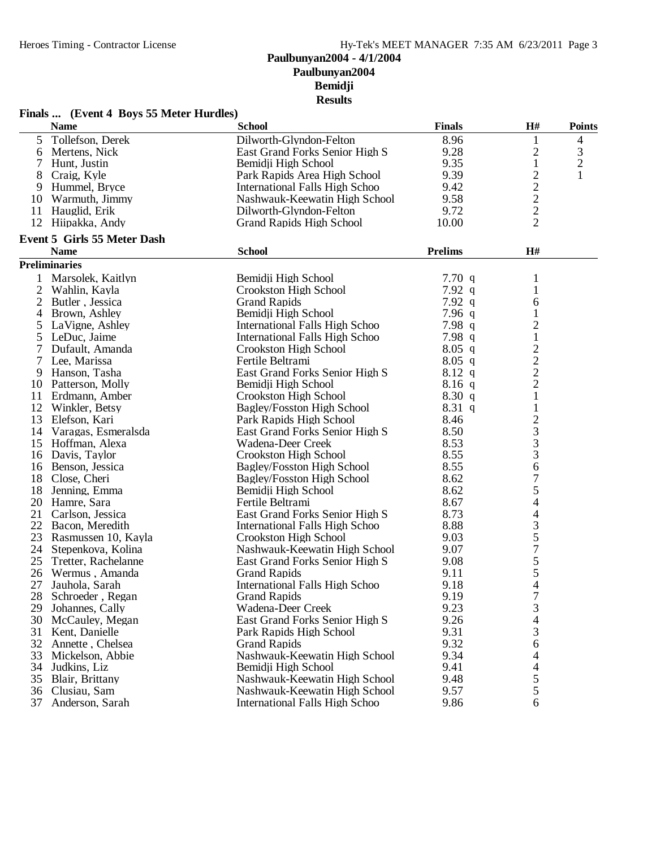| 8.96<br>$5\overline{)}$<br>Tollefson, Derek<br>Dilworth-Glyndon-Felton<br>4<br>1<br>$\overline{c}$<br>3<br>9.28<br>Mertens, Nick<br>East Grand Forks Senior High S<br>6<br>$\overline{2}$<br>9.35<br>$\mathbf{1}$<br>Bemidji High School<br>7<br>Hunt, Justin<br>$\overline{c}$<br>9.39<br>8<br>Craig, Kyle<br>Park Rapids Area High School<br>1<br>$\overline{c}$<br>9.42<br>9<br>Hummel, Bryce<br>International Falls High Schoo<br>$\overline{c}$<br>9.58<br>10 Warmuth, Jimmy<br>Nashwauk-Keewatin High School<br>$\overline{c}$<br>9.72<br>11 Hauglid, Erik<br>Dilworth-Glyndon-Felton<br>$\overline{2}$<br>12<br>Hiipakka, Andy<br><b>Grand Rapids High School</b><br>10.00<br><b>Event 5 Girls 55 Meter Dash</b><br><b>Name</b><br><b>School</b><br><b>Prelims</b><br>H#<br><b>Preliminaries</b><br>Marsolek, Kaitlyn<br>Bemidji High School<br>7.70 $q$<br>1<br>2<br>7.92 $q$<br>Wahlin, Kayla<br>Crookston High School<br>1<br>7.92 $q$<br>2<br>Butler, Jessica<br><b>Grand Rapids</b><br>6<br>7.96 $q$<br>Brown, Ashley<br>Bemidji High School<br>1<br>4<br>$\overline{2}$<br>International Falls High Schoo<br>7.98 $q$<br>LaVigne, Ashley<br>5<br>$\mathbf{1}$<br>5<br>LeDuc, Jaime<br>International Falls High Schoo<br>7.98 $q$<br>$\frac{2}{2}$<br>Dufault, Amanda<br><b>Crookston High School</b><br>$8.05$ q<br>$8.05$ q<br>Lee, Marissa<br>Fertile Beltrami<br>7<br>9 Hanson, Tasha<br>East Grand Forks Senior High S<br>$8.12 \text{ q}$<br>$\overline{c}$<br>Bemidji High School<br>$8.16$ q<br>10 Patterson, Molly<br>$\mathbf{1}$<br>8.30 q<br>Erdmann, Amber<br>Crookston High School<br>11<br>$\mathbf{1}$<br>12<br>Winkler, Betsy<br>Bagley/Fosston High School<br>$8.31\ q$<br>$\frac{2}{3}$<br>13<br>Elefson, Kari<br>8.46<br>Park Rapids High School<br>8.50<br>14 Varagas, Esmeralsda<br>East Grand Forks Senior High S<br>8.53<br>15 Hoffman, Alexa<br>Wadena-Deer Creek<br>3<br>8.55<br>16 Davis, Taylor<br><b>Crookston High School</b><br>6<br>8.55<br>16 Benson, Jessica<br>Bagley/Fosston High School<br>$\boldsymbol{7}$<br>8.62<br>18 Close, Cheri<br>Bagley/Fosston High School<br>5<br>8.62<br>18<br>Jenning, Emma<br>Bemidji High School<br>4<br>20<br>Hamre, Sara<br>8.67<br>Fertile Beltrami<br>$\overline{4}$<br>8.73<br>21 Carlson, Jessica<br>East Grand Forks Senior High S<br>$\frac{3}{5}$<br>8.88<br>22 Bacon, Meredith<br>International Falls High Schoo<br>23 Rasmussen 10, Kayla<br>9.03<br>Crookston High School<br>9.07<br>24 Stepenkova, Kolina<br>Nashwauk-Keewatin High School<br>5<br>9.08<br>25<br>Tretter, Rachelanne<br>East Grand Forks Senior High S<br>5<br>26 Wermus, Amanda<br><b>Grand Rapids</b><br>9.11<br>International Falls High Schoo<br>9.18<br>27 Jauhola, Sarah<br>4<br>$\overline{7}$<br>28 Schroeder, Regan<br><b>Grand Rapids</b><br>9.19<br>3<br>9.23<br>Wadena-Deer Creek<br>29 Johannes, Cally<br>4<br>East Grand Forks Senior High S<br>9.26<br>30 McCauley, Megan<br>3<br>9.31<br>31<br>Kent, Danielle<br>Park Rapids High School<br>9.32<br>6<br>32<br>Annette, Chelsea<br><b>Grand Rapids</b><br>Nashwauk-Keewatin High School<br>9.34<br>33<br>Mickelson, Abbie<br>4<br>34 Judkins, Liz<br>Bemidji High School<br>9.41<br>4<br>5<br>9.48<br>Nashwauk-Keewatin High School<br>35<br>Blair, Brittany<br>5<br>Nashwauk-Keewatin High School<br>9.57<br>Clusiau, Sam<br>36 |    | Finals  (Event 4 Boys 55 Meter Hurdles) |                                |               |    |               |
|---------------------------------------------------------------------------------------------------------------------------------------------------------------------------------------------------------------------------------------------------------------------------------------------------------------------------------------------------------------------------------------------------------------------------------------------------------------------------------------------------------------------------------------------------------------------------------------------------------------------------------------------------------------------------------------------------------------------------------------------------------------------------------------------------------------------------------------------------------------------------------------------------------------------------------------------------------------------------------------------------------------------------------------------------------------------------------------------------------------------------------------------------------------------------------------------------------------------------------------------------------------------------------------------------------------------------------------------------------------------------------------------------------------------------------------------------------------------------------------------------------------------------------------------------------------------------------------------------------------------------------------------------------------------------------------------------------------------------------------------------------------------------------------------------------------------------------------------------------------------------------------------------------------------------------------------------------------------------------------------------------------------------------------------------------------------------------------------------------------------------------------------------------------------------------------------------------------------------------------------------------------------------------------------------------------------------------------------------------------------------------------------------------------------------------------------------------------------------------------------------------------------------------------------------------------------------------------------------------------------------------------------------------------------------------------------------------------------------------------------------------------------------------------------------------------------------------------------------------------------------------------------------------------------------------------------------------------------------------------------------------------------------------------------------------------------------------------------------------------------------------------------------------------------------------------------------------------------------------------------------------------------------------------------------------------------------------------------------------------|----|-----------------------------------------|--------------------------------|---------------|----|---------------|
|                                                                                                                                                                                                                                                                                                                                                                                                                                                                                                                                                                                                                                                                                                                                                                                                                                                                                                                                                                                                                                                                                                                                                                                                                                                                                                                                                                                                                                                                                                                                                                                                                                                                                                                                                                                                                                                                                                                                                                                                                                                                                                                                                                                                                                                                                                                                                                                                                                                                                                                                                                                                                                                                                                                                                                                                                                                                                                                                                                                                                                                                                                                                                                                                                                                                                                                                                               |    | <b>Name</b>                             | <b>School</b>                  | <b>Finals</b> | H# | <b>Points</b> |
|                                                                                                                                                                                                                                                                                                                                                                                                                                                                                                                                                                                                                                                                                                                                                                                                                                                                                                                                                                                                                                                                                                                                                                                                                                                                                                                                                                                                                                                                                                                                                                                                                                                                                                                                                                                                                                                                                                                                                                                                                                                                                                                                                                                                                                                                                                                                                                                                                                                                                                                                                                                                                                                                                                                                                                                                                                                                                                                                                                                                                                                                                                                                                                                                                                                                                                                                                               |    |                                         |                                |               |    |               |
|                                                                                                                                                                                                                                                                                                                                                                                                                                                                                                                                                                                                                                                                                                                                                                                                                                                                                                                                                                                                                                                                                                                                                                                                                                                                                                                                                                                                                                                                                                                                                                                                                                                                                                                                                                                                                                                                                                                                                                                                                                                                                                                                                                                                                                                                                                                                                                                                                                                                                                                                                                                                                                                                                                                                                                                                                                                                                                                                                                                                                                                                                                                                                                                                                                                                                                                                                               |    |                                         |                                |               |    |               |
|                                                                                                                                                                                                                                                                                                                                                                                                                                                                                                                                                                                                                                                                                                                                                                                                                                                                                                                                                                                                                                                                                                                                                                                                                                                                                                                                                                                                                                                                                                                                                                                                                                                                                                                                                                                                                                                                                                                                                                                                                                                                                                                                                                                                                                                                                                                                                                                                                                                                                                                                                                                                                                                                                                                                                                                                                                                                                                                                                                                                                                                                                                                                                                                                                                                                                                                                                               |    |                                         |                                |               |    |               |
|                                                                                                                                                                                                                                                                                                                                                                                                                                                                                                                                                                                                                                                                                                                                                                                                                                                                                                                                                                                                                                                                                                                                                                                                                                                                                                                                                                                                                                                                                                                                                                                                                                                                                                                                                                                                                                                                                                                                                                                                                                                                                                                                                                                                                                                                                                                                                                                                                                                                                                                                                                                                                                                                                                                                                                                                                                                                                                                                                                                                                                                                                                                                                                                                                                                                                                                                                               |    |                                         |                                |               |    |               |
|                                                                                                                                                                                                                                                                                                                                                                                                                                                                                                                                                                                                                                                                                                                                                                                                                                                                                                                                                                                                                                                                                                                                                                                                                                                                                                                                                                                                                                                                                                                                                                                                                                                                                                                                                                                                                                                                                                                                                                                                                                                                                                                                                                                                                                                                                                                                                                                                                                                                                                                                                                                                                                                                                                                                                                                                                                                                                                                                                                                                                                                                                                                                                                                                                                                                                                                                                               |    |                                         |                                |               |    |               |
|                                                                                                                                                                                                                                                                                                                                                                                                                                                                                                                                                                                                                                                                                                                                                                                                                                                                                                                                                                                                                                                                                                                                                                                                                                                                                                                                                                                                                                                                                                                                                                                                                                                                                                                                                                                                                                                                                                                                                                                                                                                                                                                                                                                                                                                                                                                                                                                                                                                                                                                                                                                                                                                                                                                                                                                                                                                                                                                                                                                                                                                                                                                                                                                                                                                                                                                                                               |    |                                         |                                |               |    |               |
|                                                                                                                                                                                                                                                                                                                                                                                                                                                                                                                                                                                                                                                                                                                                                                                                                                                                                                                                                                                                                                                                                                                                                                                                                                                                                                                                                                                                                                                                                                                                                                                                                                                                                                                                                                                                                                                                                                                                                                                                                                                                                                                                                                                                                                                                                                                                                                                                                                                                                                                                                                                                                                                                                                                                                                                                                                                                                                                                                                                                                                                                                                                                                                                                                                                                                                                                                               |    |                                         |                                |               |    |               |
|                                                                                                                                                                                                                                                                                                                                                                                                                                                                                                                                                                                                                                                                                                                                                                                                                                                                                                                                                                                                                                                                                                                                                                                                                                                                                                                                                                                                                                                                                                                                                                                                                                                                                                                                                                                                                                                                                                                                                                                                                                                                                                                                                                                                                                                                                                                                                                                                                                                                                                                                                                                                                                                                                                                                                                                                                                                                                                                                                                                                                                                                                                                                                                                                                                                                                                                                                               |    |                                         |                                |               |    |               |
|                                                                                                                                                                                                                                                                                                                                                                                                                                                                                                                                                                                                                                                                                                                                                                                                                                                                                                                                                                                                                                                                                                                                                                                                                                                                                                                                                                                                                                                                                                                                                                                                                                                                                                                                                                                                                                                                                                                                                                                                                                                                                                                                                                                                                                                                                                                                                                                                                                                                                                                                                                                                                                                                                                                                                                                                                                                                                                                                                                                                                                                                                                                                                                                                                                                                                                                                                               |    |                                         |                                |               |    |               |
|                                                                                                                                                                                                                                                                                                                                                                                                                                                                                                                                                                                                                                                                                                                                                                                                                                                                                                                                                                                                                                                                                                                                                                                                                                                                                                                                                                                                                                                                                                                                                                                                                                                                                                                                                                                                                                                                                                                                                                                                                                                                                                                                                                                                                                                                                                                                                                                                                                                                                                                                                                                                                                                                                                                                                                                                                                                                                                                                                                                                                                                                                                                                                                                                                                                                                                                                                               |    |                                         |                                |               |    |               |
|                                                                                                                                                                                                                                                                                                                                                                                                                                                                                                                                                                                                                                                                                                                                                                                                                                                                                                                                                                                                                                                                                                                                                                                                                                                                                                                                                                                                                                                                                                                                                                                                                                                                                                                                                                                                                                                                                                                                                                                                                                                                                                                                                                                                                                                                                                                                                                                                                                                                                                                                                                                                                                                                                                                                                                                                                                                                                                                                                                                                                                                                                                                                                                                                                                                                                                                                                               |    |                                         |                                |               |    |               |
|                                                                                                                                                                                                                                                                                                                                                                                                                                                                                                                                                                                                                                                                                                                                                                                                                                                                                                                                                                                                                                                                                                                                                                                                                                                                                                                                                                                                                                                                                                                                                                                                                                                                                                                                                                                                                                                                                                                                                                                                                                                                                                                                                                                                                                                                                                                                                                                                                                                                                                                                                                                                                                                                                                                                                                                                                                                                                                                                                                                                                                                                                                                                                                                                                                                                                                                                                               |    |                                         |                                |               |    |               |
|                                                                                                                                                                                                                                                                                                                                                                                                                                                                                                                                                                                                                                                                                                                                                                                                                                                                                                                                                                                                                                                                                                                                                                                                                                                                                                                                                                                                                                                                                                                                                                                                                                                                                                                                                                                                                                                                                                                                                                                                                                                                                                                                                                                                                                                                                                                                                                                                                                                                                                                                                                                                                                                                                                                                                                                                                                                                                                                                                                                                                                                                                                                                                                                                                                                                                                                                                               |    |                                         |                                |               |    |               |
|                                                                                                                                                                                                                                                                                                                                                                                                                                                                                                                                                                                                                                                                                                                                                                                                                                                                                                                                                                                                                                                                                                                                                                                                                                                                                                                                                                                                                                                                                                                                                                                                                                                                                                                                                                                                                                                                                                                                                                                                                                                                                                                                                                                                                                                                                                                                                                                                                                                                                                                                                                                                                                                                                                                                                                                                                                                                                                                                                                                                                                                                                                                                                                                                                                                                                                                                                               |    |                                         |                                |               |    |               |
|                                                                                                                                                                                                                                                                                                                                                                                                                                                                                                                                                                                                                                                                                                                                                                                                                                                                                                                                                                                                                                                                                                                                                                                                                                                                                                                                                                                                                                                                                                                                                                                                                                                                                                                                                                                                                                                                                                                                                                                                                                                                                                                                                                                                                                                                                                                                                                                                                                                                                                                                                                                                                                                                                                                                                                                                                                                                                                                                                                                                                                                                                                                                                                                                                                                                                                                                                               |    |                                         |                                |               |    |               |
|                                                                                                                                                                                                                                                                                                                                                                                                                                                                                                                                                                                                                                                                                                                                                                                                                                                                                                                                                                                                                                                                                                                                                                                                                                                                                                                                                                                                                                                                                                                                                                                                                                                                                                                                                                                                                                                                                                                                                                                                                                                                                                                                                                                                                                                                                                                                                                                                                                                                                                                                                                                                                                                                                                                                                                                                                                                                                                                                                                                                                                                                                                                                                                                                                                                                                                                                                               |    |                                         |                                |               |    |               |
|                                                                                                                                                                                                                                                                                                                                                                                                                                                                                                                                                                                                                                                                                                                                                                                                                                                                                                                                                                                                                                                                                                                                                                                                                                                                                                                                                                                                                                                                                                                                                                                                                                                                                                                                                                                                                                                                                                                                                                                                                                                                                                                                                                                                                                                                                                                                                                                                                                                                                                                                                                                                                                                                                                                                                                                                                                                                                                                                                                                                                                                                                                                                                                                                                                                                                                                                                               |    |                                         |                                |               |    |               |
|                                                                                                                                                                                                                                                                                                                                                                                                                                                                                                                                                                                                                                                                                                                                                                                                                                                                                                                                                                                                                                                                                                                                                                                                                                                                                                                                                                                                                                                                                                                                                                                                                                                                                                                                                                                                                                                                                                                                                                                                                                                                                                                                                                                                                                                                                                                                                                                                                                                                                                                                                                                                                                                                                                                                                                                                                                                                                                                                                                                                                                                                                                                                                                                                                                                                                                                                                               |    |                                         |                                |               |    |               |
|                                                                                                                                                                                                                                                                                                                                                                                                                                                                                                                                                                                                                                                                                                                                                                                                                                                                                                                                                                                                                                                                                                                                                                                                                                                                                                                                                                                                                                                                                                                                                                                                                                                                                                                                                                                                                                                                                                                                                                                                                                                                                                                                                                                                                                                                                                                                                                                                                                                                                                                                                                                                                                                                                                                                                                                                                                                                                                                                                                                                                                                                                                                                                                                                                                                                                                                                                               |    |                                         |                                |               |    |               |
|                                                                                                                                                                                                                                                                                                                                                                                                                                                                                                                                                                                                                                                                                                                                                                                                                                                                                                                                                                                                                                                                                                                                                                                                                                                                                                                                                                                                                                                                                                                                                                                                                                                                                                                                                                                                                                                                                                                                                                                                                                                                                                                                                                                                                                                                                                                                                                                                                                                                                                                                                                                                                                                                                                                                                                                                                                                                                                                                                                                                                                                                                                                                                                                                                                                                                                                                                               |    |                                         |                                |               |    |               |
|                                                                                                                                                                                                                                                                                                                                                                                                                                                                                                                                                                                                                                                                                                                                                                                                                                                                                                                                                                                                                                                                                                                                                                                                                                                                                                                                                                                                                                                                                                                                                                                                                                                                                                                                                                                                                                                                                                                                                                                                                                                                                                                                                                                                                                                                                                                                                                                                                                                                                                                                                                                                                                                                                                                                                                                                                                                                                                                                                                                                                                                                                                                                                                                                                                                                                                                                                               |    |                                         |                                |               |    |               |
|                                                                                                                                                                                                                                                                                                                                                                                                                                                                                                                                                                                                                                                                                                                                                                                                                                                                                                                                                                                                                                                                                                                                                                                                                                                                                                                                                                                                                                                                                                                                                                                                                                                                                                                                                                                                                                                                                                                                                                                                                                                                                                                                                                                                                                                                                                                                                                                                                                                                                                                                                                                                                                                                                                                                                                                                                                                                                                                                                                                                                                                                                                                                                                                                                                                                                                                                                               |    |                                         |                                |               |    |               |
|                                                                                                                                                                                                                                                                                                                                                                                                                                                                                                                                                                                                                                                                                                                                                                                                                                                                                                                                                                                                                                                                                                                                                                                                                                                                                                                                                                                                                                                                                                                                                                                                                                                                                                                                                                                                                                                                                                                                                                                                                                                                                                                                                                                                                                                                                                                                                                                                                                                                                                                                                                                                                                                                                                                                                                                                                                                                                                                                                                                                                                                                                                                                                                                                                                                                                                                                                               |    |                                         |                                |               |    |               |
|                                                                                                                                                                                                                                                                                                                                                                                                                                                                                                                                                                                                                                                                                                                                                                                                                                                                                                                                                                                                                                                                                                                                                                                                                                                                                                                                                                                                                                                                                                                                                                                                                                                                                                                                                                                                                                                                                                                                                                                                                                                                                                                                                                                                                                                                                                                                                                                                                                                                                                                                                                                                                                                                                                                                                                                                                                                                                                                                                                                                                                                                                                                                                                                                                                                                                                                                                               |    |                                         |                                |               |    |               |
|                                                                                                                                                                                                                                                                                                                                                                                                                                                                                                                                                                                                                                                                                                                                                                                                                                                                                                                                                                                                                                                                                                                                                                                                                                                                                                                                                                                                                                                                                                                                                                                                                                                                                                                                                                                                                                                                                                                                                                                                                                                                                                                                                                                                                                                                                                                                                                                                                                                                                                                                                                                                                                                                                                                                                                                                                                                                                                                                                                                                                                                                                                                                                                                                                                                                                                                                                               |    |                                         |                                |               |    |               |
|                                                                                                                                                                                                                                                                                                                                                                                                                                                                                                                                                                                                                                                                                                                                                                                                                                                                                                                                                                                                                                                                                                                                                                                                                                                                                                                                                                                                                                                                                                                                                                                                                                                                                                                                                                                                                                                                                                                                                                                                                                                                                                                                                                                                                                                                                                                                                                                                                                                                                                                                                                                                                                                                                                                                                                                                                                                                                                                                                                                                                                                                                                                                                                                                                                                                                                                                                               |    |                                         |                                |               |    |               |
|                                                                                                                                                                                                                                                                                                                                                                                                                                                                                                                                                                                                                                                                                                                                                                                                                                                                                                                                                                                                                                                                                                                                                                                                                                                                                                                                                                                                                                                                                                                                                                                                                                                                                                                                                                                                                                                                                                                                                                                                                                                                                                                                                                                                                                                                                                                                                                                                                                                                                                                                                                                                                                                                                                                                                                                                                                                                                                                                                                                                                                                                                                                                                                                                                                                                                                                                                               |    |                                         |                                |               |    |               |
|                                                                                                                                                                                                                                                                                                                                                                                                                                                                                                                                                                                                                                                                                                                                                                                                                                                                                                                                                                                                                                                                                                                                                                                                                                                                                                                                                                                                                                                                                                                                                                                                                                                                                                                                                                                                                                                                                                                                                                                                                                                                                                                                                                                                                                                                                                                                                                                                                                                                                                                                                                                                                                                                                                                                                                                                                                                                                                                                                                                                                                                                                                                                                                                                                                                                                                                                                               |    |                                         |                                |               |    |               |
|                                                                                                                                                                                                                                                                                                                                                                                                                                                                                                                                                                                                                                                                                                                                                                                                                                                                                                                                                                                                                                                                                                                                                                                                                                                                                                                                                                                                                                                                                                                                                                                                                                                                                                                                                                                                                                                                                                                                                                                                                                                                                                                                                                                                                                                                                                                                                                                                                                                                                                                                                                                                                                                                                                                                                                                                                                                                                                                                                                                                                                                                                                                                                                                                                                                                                                                                                               |    |                                         |                                |               |    |               |
|                                                                                                                                                                                                                                                                                                                                                                                                                                                                                                                                                                                                                                                                                                                                                                                                                                                                                                                                                                                                                                                                                                                                                                                                                                                                                                                                                                                                                                                                                                                                                                                                                                                                                                                                                                                                                                                                                                                                                                                                                                                                                                                                                                                                                                                                                                                                                                                                                                                                                                                                                                                                                                                                                                                                                                                                                                                                                                                                                                                                                                                                                                                                                                                                                                                                                                                                                               |    |                                         |                                |               |    |               |
|                                                                                                                                                                                                                                                                                                                                                                                                                                                                                                                                                                                                                                                                                                                                                                                                                                                                                                                                                                                                                                                                                                                                                                                                                                                                                                                                                                                                                                                                                                                                                                                                                                                                                                                                                                                                                                                                                                                                                                                                                                                                                                                                                                                                                                                                                                                                                                                                                                                                                                                                                                                                                                                                                                                                                                                                                                                                                                                                                                                                                                                                                                                                                                                                                                                                                                                                                               |    |                                         |                                |               |    |               |
|                                                                                                                                                                                                                                                                                                                                                                                                                                                                                                                                                                                                                                                                                                                                                                                                                                                                                                                                                                                                                                                                                                                                                                                                                                                                                                                                                                                                                                                                                                                                                                                                                                                                                                                                                                                                                                                                                                                                                                                                                                                                                                                                                                                                                                                                                                                                                                                                                                                                                                                                                                                                                                                                                                                                                                                                                                                                                                                                                                                                                                                                                                                                                                                                                                                                                                                                                               |    |                                         |                                |               |    |               |
|                                                                                                                                                                                                                                                                                                                                                                                                                                                                                                                                                                                                                                                                                                                                                                                                                                                                                                                                                                                                                                                                                                                                                                                                                                                                                                                                                                                                                                                                                                                                                                                                                                                                                                                                                                                                                                                                                                                                                                                                                                                                                                                                                                                                                                                                                                                                                                                                                                                                                                                                                                                                                                                                                                                                                                                                                                                                                                                                                                                                                                                                                                                                                                                                                                                                                                                                                               |    |                                         |                                |               |    |               |
|                                                                                                                                                                                                                                                                                                                                                                                                                                                                                                                                                                                                                                                                                                                                                                                                                                                                                                                                                                                                                                                                                                                                                                                                                                                                                                                                                                                                                                                                                                                                                                                                                                                                                                                                                                                                                                                                                                                                                                                                                                                                                                                                                                                                                                                                                                                                                                                                                                                                                                                                                                                                                                                                                                                                                                                                                                                                                                                                                                                                                                                                                                                                                                                                                                                                                                                                                               |    |                                         |                                |               |    |               |
|                                                                                                                                                                                                                                                                                                                                                                                                                                                                                                                                                                                                                                                                                                                                                                                                                                                                                                                                                                                                                                                                                                                                                                                                                                                                                                                                                                                                                                                                                                                                                                                                                                                                                                                                                                                                                                                                                                                                                                                                                                                                                                                                                                                                                                                                                                                                                                                                                                                                                                                                                                                                                                                                                                                                                                                                                                                                                                                                                                                                                                                                                                                                                                                                                                                                                                                                                               |    |                                         |                                |               |    |               |
|                                                                                                                                                                                                                                                                                                                                                                                                                                                                                                                                                                                                                                                                                                                                                                                                                                                                                                                                                                                                                                                                                                                                                                                                                                                                                                                                                                                                                                                                                                                                                                                                                                                                                                                                                                                                                                                                                                                                                                                                                                                                                                                                                                                                                                                                                                                                                                                                                                                                                                                                                                                                                                                                                                                                                                                                                                                                                                                                                                                                                                                                                                                                                                                                                                                                                                                                                               |    |                                         |                                |               |    |               |
|                                                                                                                                                                                                                                                                                                                                                                                                                                                                                                                                                                                                                                                                                                                                                                                                                                                                                                                                                                                                                                                                                                                                                                                                                                                                                                                                                                                                                                                                                                                                                                                                                                                                                                                                                                                                                                                                                                                                                                                                                                                                                                                                                                                                                                                                                                                                                                                                                                                                                                                                                                                                                                                                                                                                                                                                                                                                                                                                                                                                                                                                                                                                                                                                                                                                                                                                                               |    |                                         |                                |               |    |               |
|                                                                                                                                                                                                                                                                                                                                                                                                                                                                                                                                                                                                                                                                                                                                                                                                                                                                                                                                                                                                                                                                                                                                                                                                                                                                                                                                                                                                                                                                                                                                                                                                                                                                                                                                                                                                                                                                                                                                                                                                                                                                                                                                                                                                                                                                                                                                                                                                                                                                                                                                                                                                                                                                                                                                                                                                                                                                                                                                                                                                                                                                                                                                                                                                                                                                                                                                                               |    |                                         |                                |               |    |               |
|                                                                                                                                                                                                                                                                                                                                                                                                                                                                                                                                                                                                                                                                                                                                                                                                                                                                                                                                                                                                                                                                                                                                                                                                                                                                                                                                                                                                                                                                                                                                                                                                                                                                                                                                                                                                                                                                                                                                                                                                                                                                                                                                                                                                                                                                                                                                                                                                                                                                                                                                                                                                                                                                                                                                                                                                                                                                                                                                                                                                                                                                                                                                                                                                                                                                                                                                                               |    |                                         |                                |               |    |               |
|                                                                                                                                                                                                                                                                                                                                                                                                                                                                                                                                                                                                                                                                                                                                                                                                                                                                                                                                                                                                                                                                                                                                                                                                                                                                                                                                                                                                                                                                                                                                                                                                                                                                                                                                                                                                                                                                                                                                                                                                                                                                                                                                                                                                                                                                                                                                                                                                                                                                                                                                                                                                                                                                                                                                                                                                                                                                                                                                                                                                                                                                                                                                                                                                                                                                                                                                                               |    |                                         |                                |               |    |               |
|                                                                                                                                                                                                                                                                                                                                                                                                                                                                                                                                                                                                                                                                                                                                                                                                                                                                                                                                                                                                                                                                                                                                                                                                                                                                                                                                                                                                                                                                                                                                                                                                                                                                                                                                                                                                                                                                                                                                                                                                                                                                                                                                                                                                                                                                                                                                                                                                                                                                                                                                                                                                                                                                                                                                                                                                                                                                                                                                                                                                                                                                                                                                                                                                                                                                                                                                                               |    |                                         |                                |               |    |               |
|                                                                                                                                                                                                                                                                                                                                                                                                                                                                                                                                                                                                                                                                                                                                                                                                                                                                                                                                                                                                                                                                                                                                                                                                                                                                                                                                                                                                                                                                                                                                                                                                                                                                                                                                                                                                                                                                                                                                                                                                                                                                                                                                                                                                                                                                                                                                                                                                                                                                                                                                                                                                                                                                                                                                                                                                                                                                                                                                                                                                                                                                                                                                                                                                                                                                                                                                                               |    |                                         |                                |               |    |               |
|                                                                                                                                                                                                                                                                                                                                                                                                                                                                                                                                                                                                                                                                                                                                                                                                                                                                                                                                                                                                                                                                                                                                                                                                                                                                                                                                                                                                                                                                                                                                                                                                                                                                                                                                                                                                                                                                                                                                                                                                                                                                                                                                                                                                                                                                                                                                                                                                                                                                                                                                                                                                                                                                                                                                                                                                                                                                                                                                                                                                                                                                                                                                                                                                                                                                                                                                                               |    |                                         |                                |               |    |               |
|                                                                                                                                                                                                                                                                                                                                                                                                                                                                                                                                                                                                                                                                                                                                                                                                                                                                                                                                                                                                                                                                                                                                                                                                                                                                                                                                                                                                                                                                                                                                                                                                                                                                                                                                                                                                                                                                                                                                                                                                                                                                                                                                                                                                                                                                                                                                                                                                                                                                                                                                                                                                                                                                                                                                                                                                                                                                                                                                                                                                                                                                                                                                                                                                                                                                                                                                                               |    |                                         |                                |               |    |               |
|                                                                                                                                                                                                                                                                                                                                                                                                                                                                                                                                                                                                                                                                                                                                                                                                                                                                                                                                                                                                                                                                                                                                                                                                                                                                                                                                                                                                                                                                                                                                                                                                                                                                                                                                                                                                                                                                                                                                                                                                                                                                                                                                                                                                                                                                                                                                                                                                                                                                                                                                                                                                                                                                                                                                                                                                                                                                                                                                                                                                                                                                                                                                                                                                                                                                                                                                                               |    |                                         |                                |               |    |               |
|                                                                                                                                                                                                                                                                                                                                                                                                                                                                                                                                                                                                                                                                                                                                                                                                                                                                                                                                                                                                                                                                                                                                                                                                                                                                                                                                                                                                                                                                                                                                                                                                                                                                                                                                                                                                                                                                                                                                                                                                                                                                                                                                                                                                                                                                                                                                                                                                                                                                                                                                                                                                                                                                                                                                                                                                                                                                                                                                                                                                                                                                                                                                                                                                                                                                                                                                                               |    |                                         |                                |               |    |               |
|                                                                                                                                                                                                                                                                                                                                                                                                                                                                                                                                                                                                                                                                                                                                                                                                                                                                                                                                                                                                                                                                                                                                                                                                                                                                                                                                                                                                                                                                                                                                                                                                                                                                                                                                                                                                                                                                                                                                                                                                                                                                                                                                                                                                                                                                                                                                                                                                                                                                                                                                                                                                                                                                                                                                                                                                                                                                                                                                                                                                                                                                                                                                                                                                                                                                                                                                                               |    |                                         |                                |               |    |               |
|                                                                                                                                                                                                                                                                                                                                                                                                                                                                                                                                                                                                                                                                                                                                                                                                                                                                                                                                                                                                                                                                                                                                                                                                                                                                                                                                                                                                                                                                                                                                                                                                                                                                                                                                                                                                                                                                                                                                                                                                                                                                                                                                                                                                                                                                                                                                                                                                                                                                                                                                                                                                                                                                                                                                                                                                                                                                                                                                                                                                                                                                                                                                                                                                                                                                                                                                                               | 37 | Anderson, Sarah                         | International Falls High Schoo | 9.86          | 6  |               |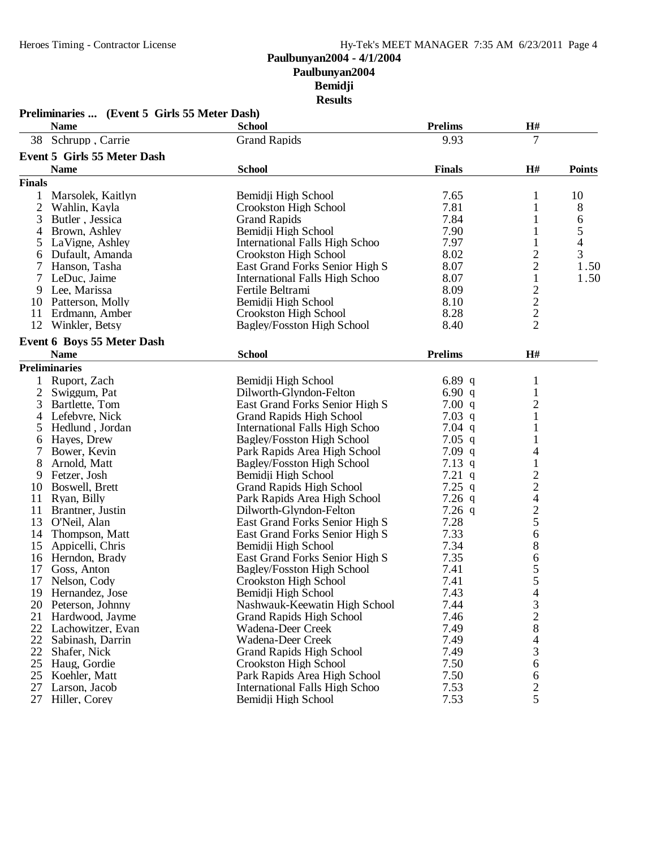|                | Preliminaries  (Event 5 Girls 55 Meter Dash)<br><b>Name</b> | <b>School</b>                         | <b>Prelims</b> | H#                                         |                          |
|----------------|-------------------------------------------------------------|---------------------------------------|----------------|--------------------------------------------|--------------------------|
| 38             | Schrupp, Carrie                                             | <b>Grand Rapids</b>                   | 9.93           | 7                                          |                          |
|                | <b>Event 5 Girls 55 Meter Dash</b>                          |                                       |                |                                            |                          |
|                | <b>Name</b>                                                 | <b>School</b>                         | <b>Finals</b>  | H#                                         | <b>Points</b>            |
| <b>Finals</b>  |                                                             |                                       |                |                                            |                          |
| 1              | Marsolek, Kaitlyn                                           | Bemidji High School                   | 7.65           | 1                                          | 10                       |
| $\overline{c}$ | Wahlin, Kayla                                               | Crookston High School                 | 7.81           | 1                                          | 8                        |
| 3              | Butler, Jessica                                             | <b>Grand Rapids</b>                   | 7.84           | 1                                          | 6                        |
| 4              | Brown, Ashley                                               | Bemidji High School                   | 7.90           | 1                                          | 5                        |
| 5              | LaVigne, Ashley                                             | <b>International Falls High Schoo</b> | 7.97           | 1                                          | $\overline{\mathcal{L}}$ |
| 6              | Dufault, Amanda                                             | Crookston High School                 | 8.02           | $\overline{c}$                             | 3                        |
| 7              | Hanson, Tasha                                               | East Grand Forks Senior High S        | 8.07           | $\overline{c}$                             | 1.50                     |
|                | LeDuc, Jaime                                                | International Falls High Schoo        | 8.07           | $\mathbf 1$                                | 1.50                     |
| 9              | Lee, Marissa                                                | Fertile Beltrami                      | 8.09           |                                            |                          |
| 10             | Patterson, Molly                                            | Bemidji High School                   | 8.10           |                                            |                          |
| 11             | Erdmann, Amber                                              | Crookston High School                 | 8.28           |                                            |                          |
| 12             | Winkler, Betsy                                              | Bagley/Fosston High School            | 8.40           | $\begin{array}{c} 2 \\ 2 \\ 2 \end{array}$ |                          |
|                | <b>Event 6 Boys 55 Meter Dash</b>                           |                                       |                |                                            |                          |
|                | <b>Name</b>                                                 | <b>School</b>                         | <b>Prelims</b> | H#                                         |                          |
|                | <b>Preliminaries</b>                                        |                                       |                |                                            |                          |
| 1              | Ruport, Zach                                                | Bemidji High School                   | 6.89 $q$       | 1                                          |                          |
| 2              | Swiggum, Pat                                                | Dilworth-Glyndon-Felton               | 6.90 $q$       | 1                                          |                          |
| 3              | Bartlette, Tom                                              | East Grand Forks Senior High S        | 7.00 q         | $\overline{c}$                             |                          |
| 4              | Lefebvre, Nick                                              | <b>Grand Rapids High School</b>       | $7.03$ q       | 1                                          |                          |
| 5              | Hedlund, Jordan                                             | International Falls High Schoo        | 7.04 $q$       |                                            |                          |
| 6              | Hayes, Drew                                                 | Bagley/Fosston High School            | $7.05$ q       |                                            |                          |
|                | Bower, Kevin                                                | Park Rapids Area High School          | $7.09$ q       | 4                                          |                          |
| 8              | Arnold, Matt                                                | Bagley/Fosston High School            | $7.13$ q       | 1                                          |                          |
| 9              | Fetzer, Josh                                                | Bemidji High School                   | $7.21$ q       |                                            |                          |
| 10             | Boswell, Brett                                              | <b>Grand Rapids High School</b>       | 7.25 $q$       |                                            |                          |
| 11             | Ryan, Billy                                                 | Park Rapids Area High School          | $7.26$ q       |                                            |                          |
| 11             | Brantner, Justin                                            | Dilworth-Glyndon-Felton               | $7.26$ q       |                                            |                          |
| 13             | O'Neil, Alan                                                | East Grand Forks Senior High S        | 7.28           | $\frac{2}{4}$<br>$\frac{4}{2}$ 5           |                          |
| 14             | Thompson, Matt                                              | East Grand Forks Senior High S        | 7.33           | 6                                          |                          |
| 15             | Appicelli, Chris                                            | Bemidii High School                   | 7.34           | $\,$ $\,$                                  |                          |
| 16             | Herndon, Brady                                              | East Grand Forks Senior High S        | 7.35           | 6                                          |                          |
| 17             | Goss, Anton                                                 | <b>Bagley/Fosston High School</b>     | 7.41           | 5                                          |                          |
| 17             | Nelson, Cody                                                | Crookston High School                 | 7.41           | 5                                          |                          |
|                | 19 Hernandez, Jose                                          | Bemidji High School                   | 7.43           | 4                                          |                          |
| 20             | Peterson, Johnny                                            | Nashwauk-Keewatin High School         | 7.44           | 3                                          |                          |
| 21             | Hardwood, Jayme                                             | <b>Grand Rapids High School</b>       | 7.46           |                                            |                          |
| 22             | Lachowitzer, Evan                                           | Wadena-Deer Creek                     | 7.49           | $\frac{2}{8}$                              |                          |
| 22             | Sabinash, Darrin                                            | Wadena-Deer Creek                     | 7.49           | $\overline{4}$                             |                          |
| 22             | Shafer, Nick                                                | <b>Grand Rapids High School</b>       | 7.49           | 3                                          |                          |
| 25             | Haug, Gordie                                                | Crookston High School                 | 7.50           | 6                                          |                          |
| 25             | Koehler, Matt                                               | Park Rapids Area High School          | 7.50           | 6                                          |                          |
| 27             | Larson, Jacob                                               | International Falls High Schoo        | 7.53           |                                            |                          |
| 27             | Hiller, Corey                                               | Bemidji High School                   | 7.53           | $rac{2}{5}$                                |                          |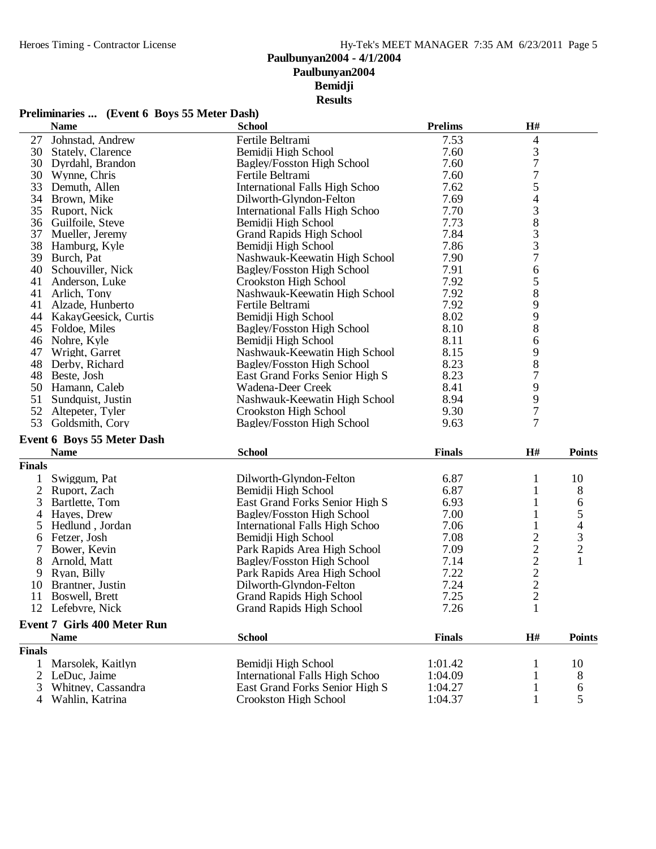#### **Preliminaries ... (Event 6 Boys 55 Meter Dash)**

|                | <b>Name</b>                                       | <b>School</b>                         | <b>Prelims</b> | H#                                                |                |
|----------------|---------------------------------------------------|---------------------------------------|----------------|---------------------------------------------------|----------------|
| 27             | Johnstad, Andrew                                  | Fertile Beltrami                      | 7.53           | 4                                                 |                |
| 30             | Stately, Clarence                                 | Bemidji High School                   | 7.60           | 3                                                 |                |
| 30             | Dyrdahl, Brandon                                  | Bagley/Fosston High School            | 7.60           | $\overline{7}$                                    |                |
| 30             | Wynne, Chris                                      | Fertile Beltrami                      | 7.60           | $\overline{7}$                                    |                |
| 33             | Demuth, Allen                                     | <b>International Falls High Schoo</b> | 7.62           |                                                   |                |
| 34             | Brown, Mike                                       | Dilworth-Glyndon-Felton               | 7.69           | $\frac{5}{4}$                                     |                |
| 35             | Ruport, Nick                                      | International Falls High Schoo        | 7.70           | 3                                                 |                |
| 36             | Guilfoile, Steve                                  | Bemidji High School                   | 7.73           |                                                   |                |
| 37             | Mueller, Jeremy                                   | <b>Grand Rapids High School</b>       | 7.84           | $\begin{array}{c} 8 \\ 3 \\ 3 \\ 7 \end{array}$   |                |
| 38             | Hamburg, Kyle                                     | Bemidji High School                   | 7.86           |                                                   |                |
| 39             | Burch, Pat                                        | Nashwauk-Keewatin High School         | 7.90           |                                                   |                |
| 40             | Schouviller, Nick                                 | Bagley/Fosston High School            | 7.91           | 6                                                 |                |
| 41             | Anderson, Luke                                    | Crookston High School                 | 7.92           | 5                                                 |                |
| 41             | Arlich, Tony                                      | Nashwauk-Keewatin High School         | 7.92           | 8                                                 |                |
| 41             | Alzade, Hunberto                                  | Fertile Beltrami                      | 7.92           | 9                                                 |                |
| 44             | KakayGeesick, Curtis                              | Bemidji High School                   | 8.02           | 9                                                 |                |
|                | 45 Foldoe, Miles                                  | Bagley/Fosston High School            | 8.10           | 8                                                 |                |
| 46             | Nohre, Kyle                                       | Bemidji High School                   | 8.11           | 6                                                 |                |
| 47             | Wright, Garret                                    | Nashwauk-Keewatin High School         | 8.15           | 9                                                 |                |
| 48             | Derby, Richard                                    | Bagley/Fosston High School            | 8.23           | 8                                                 |                |
| 48             | Beste, Josh                                       | East Grand Forks Senior High S        | 8.23           | 7                                                 |                |
|                | 50 Hamann, Caleb                                  | Wadena-Deer Creek                     | 8.41           | 9                                                 |                |
| 51             | Sundquist, Justin                                 | Nashwauk-Keewatin High School         | 8.94           | 9                                                 |                |
| 52             | Altepeter, Tyler                                  | Crookston High School                 | 9.30           | $\overline{7}$                                    |                |
| 53             | Goldsmith, Cory                                   | Bagley/Fosston High School            | 9.63           | 7                                                 |                |
|                | <b>Event 6 Boys 55 Meter Dash</b>                 |                                       |                |                                                   |                |
|                | <b>Name</b>                                       | <b>School</b>                         | <b>Finals</b>  | H#                                                | <b>Points</b>  |
| <b>Finals</b>  |                                                   |                                       |                |                                                   |                |
|                | Swiggum, Pat                                      | Dilworth-Glyndon-Felton               | 6.87           | 1                                                 | 10             |
| $\overline{2}$ | Ruport, Zach                                      | Bemidji High School                   | 6.87           | 1                                                 | 8              |
| 3              | Bartlette, Tom                                    | East Grand Forks Senior High S        | 6.93           | 1                                                 | 6              |
| 4              | Hayes, Drew                                       | <b>Bagley/Fosston High School</b>     | 7.00           | 1                                                 | 5              |
| 5              | Hedlund, Jordan                                   | <b>International Falls High Schoo</b> | 7.06           | 1                                                 | $\overline{4}$ |
| 6              | Fetzer, Josh                                      | Bemidji High School                   | 7.08           | $\overline{c}$                                    |                |
| 7              | Bower, Kevin                                      | Park Rapids Area High School          | 7.09           |                                                   | $\frac{3}{2}$  |
| 8              | Arnold, Matt                                      | <b>Bagley/Fosston High School</b>     | 7.14           | $\begin{array}{c}\n2 \\ 2 \\ 2 \\ 2\n\end{array}$ | $\mathbf{1}$   |
| 9              | Ryan, Billy                                       | Park Rapids Area High School          | 7.22           |                                                   |                |
| 10             | Brantner, Justin                                  | Dilworth-Glyndon-Felton               | 7.24           |                                                   |                |
| 11             | Boswell, Brett                                    | <b>Grand Rapids High School</b>       | 7.25           |                                                   |                |
|                | 12 Lefebvre, Nick                                 | <b>Grand Rapids High School</b>       | 7.26           | $\mathbf{1}$                                      |                |
|                |                                                   |                                       |                |                                                   |                |
|                | <b>Event 7 Girls 400 Meter Run</b><br><b>Name</b> | <b>School</b>                         | <b>Finals</b>  | H#                                                | <b>Points</b>  |
| <b>Finals</b>  |                                                   |                                       |                |                                                   |                |
| 1              |                                                   | Bemidji High School                   | 1:01.42        |                                                   |                |
|                | Marsolek, Kaitlyn<br>LeDuc, Jaime                 | <b>International Falls High Schoo</b> | 1:04.09        |                                                   | 10             |
| 2<br>3         | Whitney, Cassandra                                | East Grand Forks Senior High S        |                |                                                   | 8              |
|                | Wahlin, Katrina                                   | Crookston High School                 | 1:04.27        |                                                   | 6<br>5         |
|                |                                                   |                                       | 1:04.37        |                                                   |                |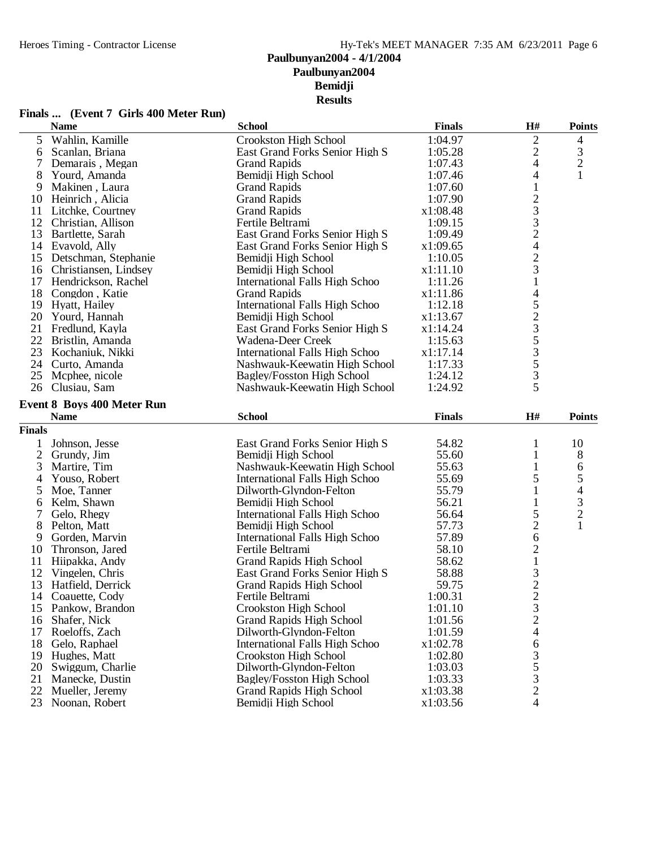#### **Finals ... (Event 7 Girls 400 Meter Run)**

|                | <b>Name</b>                       | <b>School</b>                         | <b>Finals</b> | H#             | <b>Points</b>  |
|----------------|-----------------------------------|---------------------------------------|---------------|----------------|----------------|
| 5              | Wahlin, Kamille                   | Crookston High School                 | 1:04.97       | $\mathfrak{2}$ | 4              |
| 6              | Scanlan, Briana                   | East Grand Forks Senior High S        | 1:05.28       | $\overline{c}$ | 3              |
| 7              | Demarais, Megan                   | <b>Grand Rapids</b>                   | 1:07.43       | 4              | $\overline{c}$ |
| 8              | Yourd, Amanda                     | Bemidji High School                   | 1:07.46       | 4              | 1              |
| 9              | Makinen, Laura                    | <b>Grand Rapids</b>                   | 1:07.60       | 1              |                |
| 10             | Heinrich, Alicia                  | <b>Grand Rapids</b>                   | 1:07.90       |                |                |
| 11             | Litchke, Courtney                 | <b>Grand Rapids</b>                   | x1:08.48      |                |                |
| 12             | Christian, Allison                | Fertile Beltrami                      | 1:09.15       | $\frac{2}{3}$  |                |
| 13             | Bartlette, Sarah                  | East Grand Forks Senior High S        | 1:09.49       | $\overline{c}$ |                |
|                | 14 Evavold, Ally                  | East Grand Forks Senior High S        | x1:09.65      | $\overline{4}$ |                |
| 15             | Detschman, Stephanie              | Bemidji High School                   | 1:10.05       |                |                |
| 16             | Christiansen, Lindsey             | Bemidji High School                   | x1:11.10      | $\frac{2}{3}$  |                |
| 17             | Hendrickson, Rachel               | International Falls High Schoo        | 1:11.26       | $\mathbf{1}$   |                |
| 18             | Congdon, Katie                    | <b>Grand Rapids</b>                   | x1:11.86      | $\overline{4}$ |                |
| 19             | Hyatt, Hailey                     | International Falls High Schoo        | 1:12.18       |                |                |
| 20             | Yourd, Hannah                     | Bemidji High School                   | x1:13.67      | 523535         |                |
|                | 21 Fredlund, Kayla                | East Grand Forks Senior High S        | x1:14.24      |                |                |
| 22             | Bristlin, Amanda                  | Wadena-Deer Creek                     | 1:15.63       |                |                |
| 23             | Kochaniuk, Nikki                  | International Falls High Schoo        | x1:17.14      |                |                |
| 24             | Curto, Amanda                     | Nashwauk-Keewatin High School         | 1:17.33       |                |                |
| 25             | Mcphee, nicole                    | Bagley/Fosston High School            | 1:24.12       | 3              |                |
| 26             | Clusiau, Sam                      | Nashwauk-Keewatin High School         | 1:24.92       | 5              |                |
|                |                                   |                                       |               |                |                |
|                | <b>Event 8 Boys 400 Meter Run</b> | <b>School</b>                         |               |                |                |
|                | <b>Name</b>                       |                                       | <b>Finals</b> | H#             | <b>Points</b>  |
| <b>Finals</b>  |                                   |                                       |               |                |                |
| 1              | Johnson, Jesse                    | East Grand Forks Senior High S        | 54.82         | 1              | 10             |
| $\mathbf{2}$   | Grundy, Jim                       | Bemidii High School                   | 55.60         | 1              | 8              |
| 3              | Martire, Tim                      | Nashwauk-Keewatin High School         | 55.63         | $\mathbf{1}$   | 6              |
| $\overline{4}$ | Youso, Robert                     | International Falls High Schoo        | 55.69         | 5              | 5              |
| 5              | Moe, Tanner                       | Dilworth-Glyndon-Felton               | 55.79         | $\mathbf{1}$   | 4              |
| 6              | Kelm, Shawn                       | Bemidji High School                   | 56.21         |                | $\frac{3}{2}$  |
| 7              | Gelo, Rhegy                       | International Falls High Schoo        | 56.64         | 5              |                |
| 8              | Pelton, Matt                      | Bemidji High School                   | 57.73         | $\overline{c}$ | $\mathbf{1}$   |
| 9              | Gorden, Marvin                    | <b>International Falls High Schoo</b> | 57.89         | 6              |                |
| 10             | Thronson, Jared                   | Fertile Beltrami                      | 58.10         | $\frac{2}{1}$  |                |
| 11             | Hiipakka, Andy                    | <b>Grand Rapids High School</b>       | 58.62         |                |                |
| 12             | Vingelen, Chris                   | East Grand Forks Senior High S        | 58.88         | $\frac{3}{2}$  |                |
| 13             | Hatfield, Derrick                 | <b>Grand Rapids High School</b>       | 59.75         |                |                |
| 14             | Coauette, Cody                    | Fertile Beltrami                      | 1:00.31       |                |                |
| 15             | Pankow, Brandon                   | Crookston High School                 | 1:01.10       | 3              |                |
| 16             | Shafer, Nick                      | <b>Grand Rapids High School</b>       | 1:01.56       | $\overline{c}$ |                |
| 17             | Roeloffs, Zach                    | Dilworth-Glyndon-Felton               | 1:01.59       | $\overline{4}$ |                |
| 18             | Gelo, Raphael                     | International Falls High Schoo        | x1:02.78      | 6              |                |
| 19             | Hughes, Matt                      | Crookston High School                 | 1:02.80       | 3              |                |
| 20             | Swiggum, Charlie                  | Dilworth-Glyndon-Felton               | 1:03.03       | $rac{5}{3}$    |                |
| 21             | Manecke, Dustin                   | <b>Bagley/Fosston High School</b>     | 1:03.33       |                |                |
| 22             | Mueller, Jeremy                   | <b>Grand Rapids High School</b>       | x1:03.38      | $\sqrt{2}$     |                |
| 23             | Noonan, Robert                    | Bemidji High School                   | x1:03.56      | 4              |                |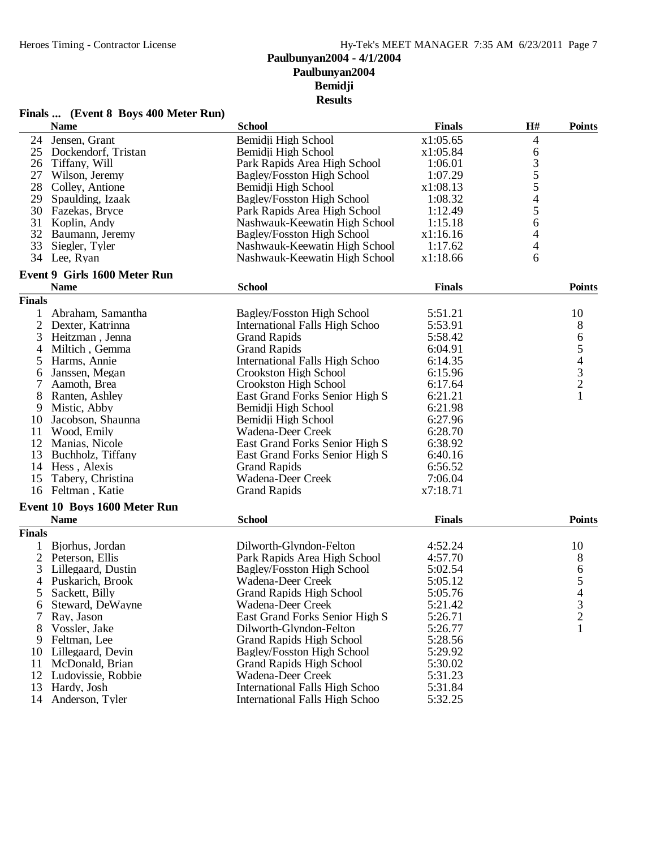| Finals  (Event 8 Boys 400 Meter Run) |  |  |  |
|--------------------------------------|--|--|--|
|--------------------------------------|--|--|--|

|                | <b>Name</b>                         | <b>School</b>                         | <b>Finals</b> | H#                             | <b>Points</b>  |
|----------------|-------------------------------------|---------------------------------------|---------------|--------------------------------|----------------|
| 24             | Jensen, Grant                       | Bemidji High School                   | x1:05.65      | 4                              |                |
| 25             | Dockendorf, Tristan                 | Bemidji High School                   | x1:05.84      | 6                              |                |
| 26             | Tiffany, Will                       | Park Rapids Area High School          | 1:06.01       |                                |                |
| 27             | Wilson, Jeremy                      | <b>Bagley/Fosston High School</b>     | 1:07.29       | $\frac{3}{5}$<br>$\frac{5}{4}$ |                |
| 28             | Colley, Antione                     | Bemidji High School                   | x1:08.13      |                                |                |
| 29             | Spaulding, Izaak                    | <b>Bagley/Fosston High School</b>     | 1:08.32       |                                |                |
| 30             | Fazekas, Bryce                      | Park Rapids Area High School          | 1:12.49       | 5                              |                |
| 31             | Koplin, Andy                        | Nashwauk-Keewatin High School         | 1:15.18       | 6                              |                |
| 32             | Baumann, Jeremy                     | Bagley/Fosston High School            | x1:16.16      | 4                              |                |
| 33             | Siegler, Tyler                      | Nashwauk-Keewatin High School         | 1:17.62       | 4                              |                |
|                | 34 Lee, Ryan                        | Nashwauk-Keewatin High School         | x1:18.66      | 6                              |                |
|                | <b>Event 9 Girls 1600 Meter Run</b> |                                       |               |                                |                |
|                | <b>Name</b>                         | <b>School</b>                         | <b>Finals</b> |                                | <b>Points</b>  |
| <b>Finals</b>  |                                     |                                       |               |                                |                |
|                |                                     |                                       |               |                                |                |
| 1              | Abraham, Samantha                   | <b>Bagley/Fosston High School</b>     | 5:51.21       |                                | 10             |
| $\overline{2}$ | Dexter, Katrinna                    | International Falls High Schoo        | 5:53.91       |                                | 8              |
| 3              | Heitzman, Jenna                     | <b>Grand Rapids</b>                   | 5:58.42       |                                | 654321         |
| 4              | Miltich, Gemma                      | <b>Grand Rapids</b>                   | 6:04.91       |                                |                |
| 5              | Harms, Annie                        | International Falls High Schoo        | 6:14.35       |                                |                |
| 6              | Janssen, Megan                      | Crookston High School                 | 6:15.96       |                                |                |
| 7              | Aamoth, Brea                        | Crookston High School                 | 6:17.64       |                                |                |
| 8              | Ranten, Ashley                      | East Grand Forks Senior High S        | 6:21.21       |                                |                |
| 9              | Mistic, Abby                        | Bemidji High School                   | 6:21.98       |                                |                |
| 10             | Jacobson, Shaunna                   | Bemidji High School                   | 6:27.96       |                                |                |
| 11             | Wood, Emily                         | Wadena-Deer Creek                     | 6:28.70       |                                |                |
|                | 12 Manias, Nicole                   | East Grand Forks Senior High S        | 6:38.92       |                                |                |
| 13             | Buchholz, Tiffany                   | East Grand Forks Senior High S        | 6:40.16       |                                |                |
| 14             | Hess, Alexis                        | <b>Grand Rapids</b>                   | 6:56.52       |                                |                |
|                |                                     |                                       |               |                                |                |
| 15             | Tabery, Christina                   | Wadena-Deer Creek                     | 7:06.04       |                                |                |
|                | 16 Feltman, Katie                   | <b>Grand Rapids</b>                   | x7:18.71      |                                |                |
|                | Event 10 Boys 1600 Meter Run        |                                       |               |                                |                |
|                | <b>Name</b>                         | <b>School</b>                         | <b>Finals</b> |                                | <b>Points</b>  |
| <b>Finals</b>  |                                     |                                       |               |                                |                |
| 1              | Bjorhus, Jordan                     | Dilworth-Glyndon-Felton               | 4:52.24       |                                | 10             |
| 2              | Peterson, Ellis                     | Park Rapids Area High School          | 4:57.70       |                                | 8              |
| 3              | Lillegaard, Dustin                  | Bagley/Fosston High School            | 5:02.54       |                                | 6              |
| 4              | Puskarich, Brook                    | Wadena-Deer Creek                     | 5:05.12       |                                | 5              |
| 5              | Sackett, Billy                      | <b>Grand Rapids High School</b>       | 5:05.76       |                                | 4              |
| b              | Steward, DeWayne                    | Wadena-Deer Creek                     | 5:21.42       |                                | 3              |
| 7              | Ray, Jason                          | East Grand Forks Senior High S        | 5:26.71       |                                | $\overline{c}$ |
| 8              | Vossler, Jake                       | Dilworth-Glyndon-Felton               | 5:26.77       |                                | $\mathbf{1}$   |
| 9              | Feltman, Lee                        | <b>Grand Rapids High School</b>       | 5:28.56       |                                |                |
| 10             | Lillegaard, Devin                   | Bagley/Fosston High School            | 5:29.92       |                                |                |
| 11             | McDonald, Brian                     | <b>Grand Rapids High School</b>       | 5:30.02       |                                |                |
|                |                                     |                                       |               |                                |                |
| 12             | Ludovissie, Robbie                  | Wadena-Deer Creek                     | 5:31.23       |                                |                |
| 13             | Hardy, Josh                         | <b>International Falls High Schoo</b> | 5:31.84       |                                |                |
| 14             | Anderson, Tyler                     | International Falls High Schoo        | 5:32.25       |                                |                |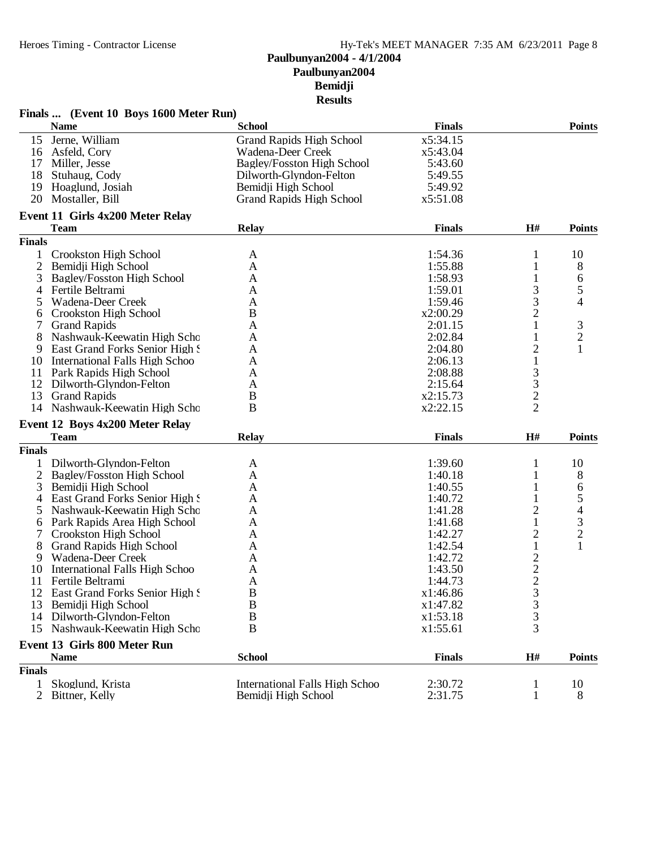|                | Finals  (Event 10 Boys 1600 Meter Run) |                                                              |                    |                     |                          |
|----------------|----------------------------------------|--------------------------------------------------------------|--------------------|---------------------|--------------------------|
|                | <b>Name</b>                            | <b>School</b>                                                | <b>Finals</b>      |                     | <b>Points</b>            |
| 15             | Jerne, William                         | <b>Grand Rapids High School</b>                              | x5:34.15           |                     |                          |
|                | 16 Asfeld, Cory                        | Wadena-Deer Creek                                            | x5:43.04           |                     |                          |
|                | 17 Miller, Jesse                       | <b>Bagley/Fosston High School</b>                            | 5:43.60            |                     |                          |
| 18             | Stuhaug, Cody                          | Dilworth-Glyndon-Felton                                      | 5:49.55            |                     |                          |
|                | 19 Hoaglund, Josiah                    | Bemidji High School                                          | 5:49.92            |                     |                          |
|                | 20 Mostaller, Bill                     | <b>Grand Rapids High School</b>                              | x5:51.08           |                     |                          |
|                | Event 11 Girls 4x200 Meter Relay       |                                                              |                    |                     |                          |
|                | <b>Team</b>                            | <b>Relay</b>                                                 | <b>Finals</b>      | H#                  | <b>Points</b>            |
| <b>Finals</b>  |                                        |                                                              |                    |                     |                          |
| $\mathbf{1}$   | <b>Crookston High School</b>           | A                                                            | 1:54.36            | 1                   | 10                       |
| 2              | Bemidji High School                    | A                                                            | 1:55.88            | 1                   | 8                        |
| 3              | Bagley/Fosston High School             | A                                                            | 1:58.93            | $\mathbf{1}$        | 6                        |
| 4              | Fertile Beltrami                       | Α                                                            | 1:59.01            | 3                   | 5                        |
| 5              | Wadena-Deer Creek                      | A                                                            | 1:59.46            | 3                   | 4                        |
| 6              | <b>Crookston High School</b>           | B                                                            | x2:00.29           | $\overline{c}$      |                          |
| 7              | <b>Grand Rapids</b>                    | A                                                            | 2:01.15            | $\mathbf{1}$        | 3                        |
| 8              | Nashwauk-Keewatin High Scho            | A                                                            | 2:02.84            | 1                   | $\mathbf{2}$             |
| 9              | East Grand Forks Senior High S         | A                                                            | 2:04.80            | $\overline{c}$      | 1                        |
|                |                                        |                                                              |                    | $\mathbf{1}$        |                          |
|                | 10 International Falls High Schoo      | A                                                            | 2:06.13            |                     |                          |
|                | 11 Park Rapids High School             | A                                                            | 2:08.88            | 3                   |                          |
|                | 12 Dilworth-Glyndon-Felton             | A                                                            | 2:15.64            | $\frac{3}{2}$       |                          |
| 13             | <b>Grand Rapids</b>                    | B                                                            | x2:15.73           |                     |                          |
|                | 14 Nashwauk-Keewatin High Scho         | B                                                            | x2:22.15           | $\overline{2}$      |                          |
|                | Event 12 Boys 4x200 Meter Relay        |                                                              |                    |                     |                          |
|                | <b>Team</b>                            | <b>Relay</b>                                                 | <b>Finals</b>      | H#                  | <b>Points</b>            |
| <b>Finals</b>  |                                        |                                                              |                    |                     |                          |
| 1              | Dilworth-Glyndon-Felton                | A                                                            | 1:39.60            |                     | 10                       |
|                | 2 Bagley/Fosston High School           | A                                                            | 1:40.18            | 1                   | 8                        |
| 3              | Bemidji High School                    | A                                                            | 1:40.55            | 1                   | 6                        |
| 4              | East Grand Forks Senior High S         | A                                                            | 1:40.72            |                     | 5                        |
| 5              | Nashwauk-Keewatin High Scho            | A                                                            | 1:41.28            | $\overline{c}$      | $\overline{\mathcal{L}}$ |
| 6              | Park Rapids Area High School           | A                                                            | 1:41.68            | $\mathbf{1}$        | 3                        |
| 7              | Crookston High School                  | A                                                            | 1:42.27            | $\overline{c}$      | $\mathbf{2}$             |
| 8              | <b>Grand Rapids High School</b>        | A                                                            | 1:42.54            | $\mathbf{1}$        | $\mathbf{1}$             |
| 9              | Wadena-Deer Creek                      | A                                                            | 1:42.72            |                     |                          |
| 10             | International Falls High Schoo         | A                                                            | 1:43.50            | $\frac{2}{2}$       |                          |
| 11             | Fertile Beltrami                       | A                                                            | 1:44.73            | $\overline{2}$      |                          |
|                | 12 East Grand Forks Senior High!       | B                                                            | x1:46.86           |                     |                          |
| 13             | Bemidii High School                    | B                                                            | x1:47.82           | $\mathfrak{Z}$<br>3 |                          |
|                |                                        |                                                              |                    |                     |                          |
|                | 14 Dilworth-Glyndon-Felton             | B                                                            | x1:53.18           | 3<br>$\overline{3}$ |                          |
|                | 15 Nashwauk-Keewatin High Scho         | B                                                            | x1:55.61           |                     |                          |
|                | <b>Event 13 Girls 800 Meter Run</b>    |                                                              |                    |                     |                          |
|                | <b>Name</b>                            | <b>School</b>                                                | <b>Finals</b>      | H#                  | <b>Points</b>            |
| <b>Finals</b>  |                                        |                                                              |                    |                     |                          |
| 1              |                                        |                                                              |                    |                     |                          |
| $\overline{2}$ | Skoglund, Krista<br>Bittner, Kelly     | <b>International Falls High Schoo</b><br>Bemidji High School | 2:30.72<br>2:31.75 | 1<br>1              | 10<br>8                  |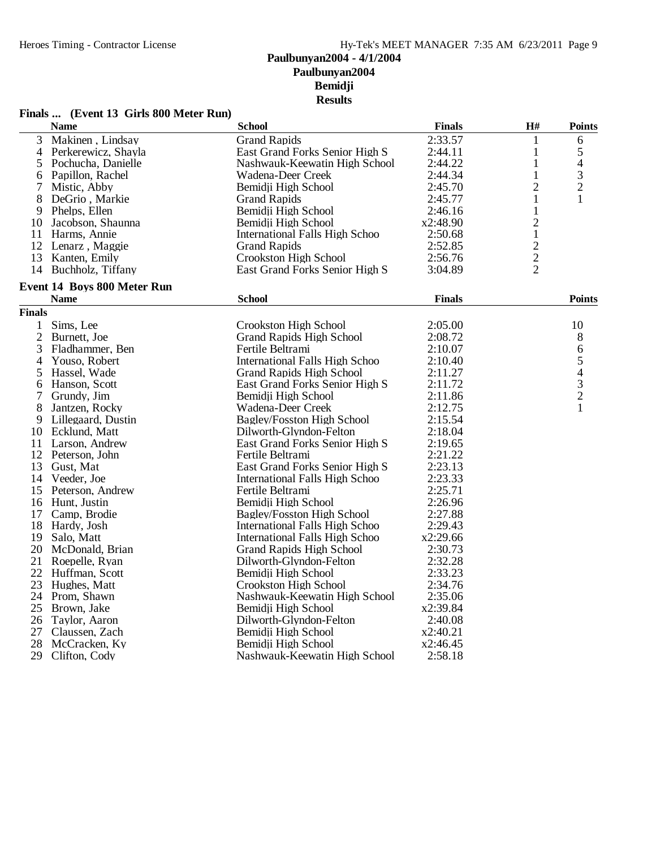# **Finals ... (Event 13 Girls 800 Meter Run)**

|                | <b>Name</b>                        | <b>School</b>                         | <b>Finals</b> | $\mathbf{H}^{\#}$ | <b>Points</b>            |
|----------------|------------------------------------|---------------------------------------|---------------|-------------------|--------------------------|
| 3              | Makinen, Lindsay                   | <b>Grand Rapids</b>                   | 2:33.57       | 1                 | 6                        |
| $\overline{4}$ | Perkerewicz, Shayla                | East Grand Forks Senior High S        | 2:44.11       | $\mathbf{1}$      | 5                        |
| 5              | Pochucha, Danielle                 | Nashwauk-Keewatin High School         | 2:44.22       | $\mathbf{1}$      | 4                        |
| 6              | Papillon, Rachel                   | Wadena-Deer Creek                     | 2:44.34       | 1                 | $\mathfrak{Z}$           |
| 7              | Mistic, Abby                       | Bemidji High School                   | 2:45.70       | $\overline{c}$    | $\overline{c}$           |
| 8              | DeGrio, Markie                     | <b>Grand Rapids</b>                   | 2:45.77       | $\mathbf{1}$      | $\mathbf{1}$             |
|                | 9 Phelps, Ellen                    | Bemidji High School                   | 2:46.16       | $\mathbf{1}$      |                          |
| 10             | Jacobson, Shaunna                  | Bemidii High School                   | x2:48.90      | $\overline{2}$    |                          |
| 11             | Harms, Annie                       | <b>International Falls High Schoo</b> | 2:50.68       | $\mathbf{1}$      |                          |
|                | 12 Lenarz, Maggie                  | <b>Grand Rapids</b>                   | 2:52.85       |                   |                          |
| 13             | Kanten, Emily                      | Crookston High School                 | 2:56.76       | $\frac{2}{2}$     |                          |
|                | 14 Buchholz, Tiffany               | East Grand Forks Senior High S        | 3:04.89       | $\overline{2}$    |                          |
|                | <b>Event 14 Boys 800 Meter Run</b> |                                       |               |                   |                          |
|                | <b>Name</b>                        | <b>School</b>                         | <b>Finals</b> |                   | <b>Points</b>            |
| <b>Finals</b>  |                                    |                                       |               |                   |                          |
| $\mathbf{1}$   | Sims, Lee                          | <b>Crookston High School</b>          | 2:05.00       |                   | 10                       |
| $\overline{2}$ | Burnett, Joe                       | <b>Grand Rapids High School</b>       | 2:08.72       |                   | $8\,$                    |
| 3              | Fladhammer, Ben                    | Fertile Beltrami                      | 2:10.07       |                   | 6                        |
| 4              | Youso, Robert                      | <b>International Falls High Schoo</b> | 2:10.40       |                   | 5                        |
| 5              | Hassel, Wade                       | <b>Grand Rapids High School</b>       | 2:11.27       |                   | $\overline{\mathcal{L}}$ |
|                | Hanson, Scott                      | East Grand Forks Senior High S        | 2:11.72       |                   |                          |
| 6<br>7         | Grundy, Jim                        | Bemidji High School                   | 2:11.86       |                   | $\frac{3}{2}$            |
| 8              | Jantzen, Rocky                     | Wadena-Deer Creek                     | 2:12.75       |                   | $\mathbf{1}$             |
| 9              | Lillegaard, Dustin                 | <b>Bagley/Fosston High School</b>     | 2:15.54       |                   |                          |
| 10             | Ecklund, Matt                      | Dilworth-Glyndon-Felton               | 2:18.04       |                   |                          |
|                |                                    |                                       | 2:19.65       |                   |                          |
|                | 11 Larson, Andrew                  | East Grand Forks Senior High S        |               |                   |                          |
|                | 12 Peterson, John                  | Fertile Beltrami                      | 2:21.22       |                   |                          |
| 13             | Gust, Mat                          | East Grand Forks Senior High S        | 2:23.13       |                   |                          |
|                | 14 Veeder, Joe                     | International Falls High Schoo        | 2:23.33       |                   |                          |
| 15             | Peterson, Andrew                   | Fertile Beltrami                      | 2:25.71       |                   |                          |
|                | 16 Hunt, Justin                    | Bemidji High School                   | 2:26.96       |                   |                          |
|                | 17 Camp, Brodie                    | Bagley/Fosston High School            | 2:27.88       |                   |                          |
| 18             | Hardy, Josh                        | <b>International Falls High Schoo</b> | 2:29.43       |                   |                          |
| 19             | Salo, Matt                         | <b>International Falls High Schoo</b> | x2:29.66      |                   |                          |
| 20             | McDonald, Brian                    | <b>Grand Rapids High School</b>       | 2:30.73       |                   |                          |
| 21             | Roepelle, Ryan                     | Dilworth-Glyndon-Felton               | 2:32.28       |                   |                          |
|                | 22 Huffman, Scott                  | Bemidji High School                   | 2:33.23       |                   |                          |
| 23             | Hughes, Matt                       | Crookston High School                 | 2:34.76       |                   |                          |
|                | 24 Prom, Shawn                     | Nashwauk-Keewatin High School         | 2:35.06       |                   |                          |
| 25             | Brown, Jake                        | Bemidji High School                   | x2:39.84      |                   |                          |
| 26             | Taylor, Aaron                      | Dilworth-Glyndon-Felton               | 2:40.08       |                   |                          |
| 27             | Claussen, Zach                     | Bemidji High School                   | x2:40.21      |                   |                          |
| 28             | McCracken, Ky                      | Bemidji High School                   | x2:46.45      |                   |                          |
| 29             | Clifton, Cody                      | Nashwauk-Keewatin High School         | 2:58.18       |                   |                          |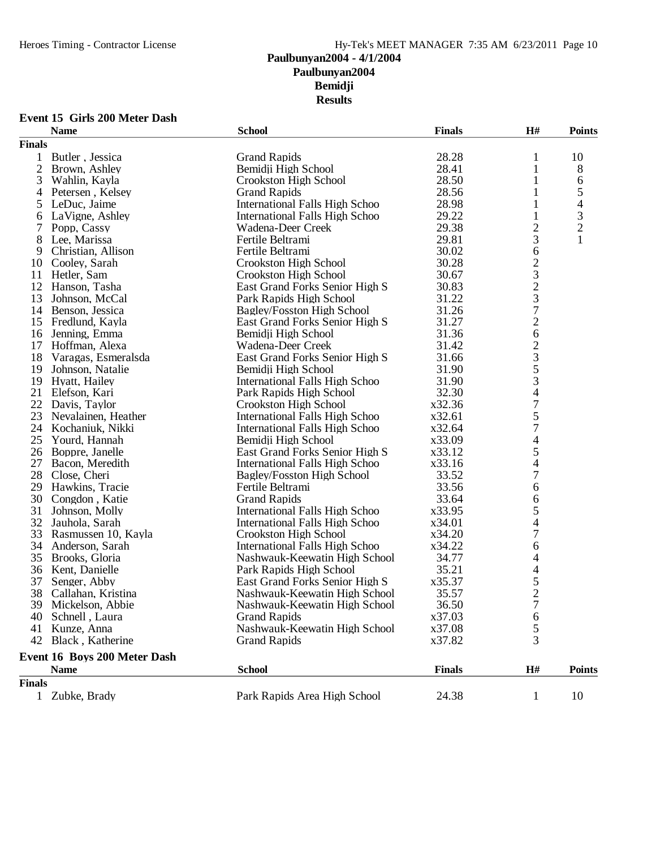### **Event 15 Girls 200 Meter Dash**

| <b>Finals</b><br>28.28<br><b>Grand Rapids</b><br>10<br>1<br>Butler, Jessica<br>$\mathbf{1}$<br>$\overline{2}$<br>28.41<br>8<br>Bemidji High School<br>1<br>Brown, Ashley<br>3<br>28.50<br>Wahlin, Kayla<br>Crookston High School<br>1<br>6<br>5<br>28.56<br>1<br>Petersen, Kelsey<br><b>Grand Rapids</b><br>4<br>4<br>International Falls High Schoo<br>28.98<br>1<br>5<br>LeDuc, Jaime<br>3<br>29.22<br>$\mathbf{1}$<br>LaVigne, Ashley<br>International Falls High Schoo<br>6<br>$\overline{c}$<br>$\overline{c}$<br>29.38<br>7<br>Popp, Cassy<br>Wadena-Deer Creek<br>3<br>29.81<br>8<br>Lee, Marissa<br>Fertile Beltrami<br>30.02<br>6<br>9<br>Christian, Allison<br>Fertile Beltrami<br>$\begin{array}{c}\n23 \\ 23 \\ 7\n\end{array}$<br>30.28<br>Cooley, Sarah<br>Crookston High School<br>10<br>11<br>Hetler, Sam<br>30.67<br>Crookston High School<br>12<br>30.83<br>Hanson, Tasha<br>East Grand Forks Senior High S<br>13<br>31.22<br>Johnson, McCal<br>Park Rapids High School<br>31.26<br>14 Benson, Jessica<br>Bagley/Fosston High School<br>$\overline{c}$<br>31.27<br>15<br>Fredlund, Kayla<br>East Grand Forks Senior High S<br>6<br>31.36<br>16<br>Jenning, Emma<br>Bemidji High School<br>$\begin{array}{c} 2 \\ 3 \\ 5 \\ 3 \end{array}$<br>17<br>Hoffman, Alexa<br>31.42<br>Wadena-Deer Creek<br>18<br>East Grand Forks Senior High S<br>31.66<br>Varagas, Esmeralsda<br>31.90<br>19<br>Johnson, Natalie<br>Bemidji High School<br>31.90<br>19 Hyatt, Hailey<br>International Falls High Schoo<br>$\frac{4}{7}$<br>21 Elefson, Kari<br>32.30<br>Park Rapids High School<br>22<br>Davis, Taylor<br>Crookston High School<br>x32.36<br>5<br>23<br>Nevalainen, Heather<br>International Falls High Schoo<br>x32.61<br>$\overline{7}$<br>24<br>x32.64<br>Kochaniuk, Nikki<br><b>International Falls High Schoo</b><br>$\overline{\mathcal{A}}$<br>25<br>Bemidji High School<br>x33.09<br>Yourd, Hannah<br>5<br>26<br>Boppre, Janelle<br>East Grand Forks Senior High S<br>x33.12<br>$\overline{4}$<br>27<br>International Falls High Schoo<br>x33.16<br>Bacon, Meredith<br>$\overline{7}$<br>28<br>33.52<br>Close, Cheri<br>Bagley/Fosston High School<br>6<br>29<br>Hawkins, Tracie<br>Fertile Beltrami<br>33.56<br>30<br>33.64<br>6<br>Congdon, Katie<br><b>Grand Rapids</b><br>5<br>31<br>Johnson, Molly<br>International Falls High Schoo<br>x33.95<br>32<br>4<br>International Falls High Schoo<br>x34.01<br>Jauhola, Sarah<br>$\boldsymbol{7}$<br>33<br>x34.20<br>Rasmussen 10, Kayla<br>Crookston High School<br>6<br>34<br>Anderson, Sarah<br>International Falls High Schoo<br>x34.22<br>$\overline{\mathcal{L}}$<br>35<br>34.77<br>Brooks, Gloria<br>Nashwauk-Keewatin High School<br>$\overline{\mathcal{A}}$<br>36<br>35.21<br>Kent, Danielle<br>Park Rapids High School<br>$\frac{5}{2}$<br>37<br>Senger, Abby<br>East Grand Forks Senior High S<br>x35.37<br>38<br>35.57<br>Callahan, Kristina<br>Nashwauk-Keewatin High School<br>$\overline{7}$<br>39 Mickelson, Abbie<br>36.50<br>Nashwauk-Keewatin High School<br><b>Grand Rapids</b><br>x37.03<br>40 Schnell, Laura<br>6<br>5<br>Kunze, Anna<br>Nashwauk-Keewatin High School<br>x37.08<br>41<br>3<br>x37.82<br>42 Black, Katherine<br><b>Grand Rapids</b><br>Event 16 Boys 200 Meter Dash<br>H#<br><b>Name</b><br><b>School</b><br><b>Finals</b><br><b>Points</b><br><b>Finals</b><br>Park Rapids Area High School<br>1 Zubke, Brady<br>24.38<br>10<br>$\mathbf{1}$ | <b>Name</b> | <b>School</b> | <b>Finals</b> | H# | <b>Points</b> |
|---------------------------------------------------------------------------------------------------------------------------------------------------------------------------------------------------------------------------------------------------------------------------------------------------------------------------------------------------------------------------------------------------------------------------------------------------------------------------------------------------------------------------------------------------------------------------------------------------------------------------------------------------------------------------------------------------------------------------------------------------------------------------------------------------------------------------------------------------------------------------------------------------------------------------------------------------------------------------------------------------------------------------------------------------------------------------------------------------------------------------------------------------------------------------------------------------------------------------------------------------------------------------------------------------------------------------------------------------------------------------------------------------------------------------------------------------------------------------------------------------------------------------------------------------------------------------------------------------------------------------------------------------------------------------------------------------------------------------------------------------------------------------------------------------------------------------------------------------------------------------------------------------------------------------------------------------------------------------------------------------------------------------------------------------------------------------------------------------------------------------------------------------------------------------------------------------------------------------------------------------------------------------------------------------------------------------------------------------------------------------------------------------------------------------------------------------------------------------------------------------------------------------------------------------------------------------------------------------------------------------------------------------------------------------------------------------------------------------------------------------------------------------------------------------------------------------------------------------------------------------------------------------------------------------------------------------------------------------------------------------------------------------------------------------------------------------------------------------------------------------------------------------------------------------------------------------------------------------------------------------------------------------------------------------------------------------------------------------------------------------------------------------------------------------------------------------------|-------------|---------------|---------------|----|---------------|
|                                                                                                                                                                                                                                                                                                                                                                                                                                                                                                                                                                                                                                                                                                                                                                                                                                                                                                                                                                                                                                                                                                                                                                                                                                                                                                                                                                                                                                                                                                                                                                                                                                                                                                                                                                                                                                                                                                                                                                                                                                                                                                                                                                                                                                                                                                                                                                                                                                                                                                                                                                                                                                                                                                                                                                                                                                                                                                                                                                                                                                                                                                                                                                                                                                                                                                                                                                                                                                                         |             |               |               |    |               |
|                                                                                                                                                                                                                                                                                                                                                                                                                                                                                                                                                                                                                                                                                                                                                                                                                                                                                                                                                                                                                                                                                                                                                                                                                                                                                                                                                                                                                                                                                                                                                                                                                                                                                                                                                                                                                                                                                                                                                                                                                                                                                                                                                                                                                                                                                                                                                                                                                                                                                                                                                                                                                                                                                                                                                                                                                                                                                                                                                                                                                                                                                                                                                                                                                                                                                                                                                                                                                                                         |             |               |               |    |               |
|                                                                                                                                                                                                                                                                                                                                                                                                                                                                                                                                                                                                                                                                                                                                                                                                                                                                                                                                                                                                                                                                                                                                                                                                                                                                                                                                                                                                                                                                                                                                                                                                                                                                                                                                                                                                                                                                                                                                                                                                                                                                                                                                                                                                                                                                                                                                                                                                                                                                                                                                                                                                                                                                                                                                                                                                                                                                                                                                                                                                                                                                                                                                                                                                                                                                                                                                                                                                                                                         |             |               |               |    |               |
|                                                                                                                                                                                                                                                                                                                                                                                                                                                                                                                                                                                                                                                                                                                                                                                                                                                                                                                                                                                                                                                                                                                                                                                                                                                                                                                                                                                                                                                                                                                                                                                                                                                                                                                                                                                                                                                                                                                                                                                                                                                                                                                                                                                                                                                                                                                                                                                                                                                                                                                                                                                                                                                                                                                                                                                                                                                                                                                                                                                                                                                                                                                                                                                                                                                                                                                                                                                                                                                         |             |               |               |    |               |
|                                                                                                                                                                                                                                                                                                                                                                                                                                                                                                                                                                                                                                                                                                                                                                                                                                                                                                                                                                                                                                                                                                                                                                                                                                                                                                                                                                                                                                                                                                                                                                                                                                                                                                                                                                                                                                                                                                                                                                                                                                                                                                                                                                                                                                                                                                                                                                                                                                                                                                                                                                                                                                                                                                                                                                                                                                                                                                                                                                                                                                                                                                                                                                                                                                                                                                                                                                                                                                                         |             |               |               |    |               |
|                                                                                                                                                                                                                                                                                                                                                                                                                                                                                                                                                                                                                                                                                                                                                                                                                                                                                                                                                                                                                                                                                                                                                                                                                                                                                                                                                                                                                                                                                                                                                                                                                                                                                                                                                                                                                                                                                                                                                                                                                                                                                                                                                                                                                                                                                                                                                                                                                                                                                                                                                                                                                                                                                                                                                                                                                                                                                                                                                                                                                                                                                                                                                                                                                                                                                                                                                                                                                                                         |             |               |               |    |               |
|                                                                                                                                                                                                                                                                                                                                                                                                                                                                                                                                                                                                                                                                                                                                                                                                                                                                                                                                                                                                                                                                                                                                                                                                                                                                                                                                                                                                                                                                                                                                                                                                                                                                                                                                                                                                                                                                                                                                                                                                                                                                                                                                                                                                                                                                                                                                                                                                                                                                                                                                                                                                                                                                                                                                                                                                                                                                                                                                                                                                                                                                                                                                                                                                                                                                                                                                                                                                                                                         |             |               |               |    |               |
|                                                                                                                                                                                                                                                                                                                                                                                                                                                                                                                                                                                                                                                                                                                                                                                                                                                                                                                                                                                                                                                                                                                                                                                                                                                                                                                                                                                                                                                                                                                                                                                                                                                                                                                                                                                                                                                                                                                                                                                                                                                                                                                                                                                                                                                                                                                                                                                                                                                                                                                                                                                                                                                                                                                                                                                                                                                                                                                                                                                                                                                                                                                                                                                                                                                                                                                                                                                                                                                         |             |               |               |    |               |
|                                                                                                                                                                                                                                                                                                                                                                                                                                                                                                                                                                                                                                                                                                                                                                                                                                                                                                                                                                                                                                                                                                                                                                                                                                                                                                                                                                                                                                                                                                                                                                                                                                                                                                                                                                                                                                                                                                                                                                                                                                                                                                                                                                                                                                                                                                                                                                                                                                                                                                                                                                                                                                                                                                                                                                                                                                                                                                                                                                                                                                                                                                                                                                                                                                                                                                                                                                                                                                                         |             |               |               |    |               |
|                                                                                                                                                                                                                                                                                                                                                                                                                                                                                                                                                                                                                                                                                                                                                                                                                                                                                                                                                                                                                                                                                                                                                                                                                                                                                                                                                                                                                                                                                                                                                                                                                                                                                                                                                                                                                                                                                                                                                                                                                                                                                                                                                                                                                                                                                                                                                                                                                                                                                                                                                                                                                                                                                                                                                                                                                                                                                                                                                                                                                                                                                                                                                                                                                                                                                                                                                                                                                                                         |             |               |               |    |               |
|                                                                                                                                                                                                                                                                                                                                                                                                                                                                                                                                                                                                                                                                                                                                                                                                                                                                                                                                                                                                                                                                                                                                                                                                                                                                                                                                                                                                                                                                                                                                                                                                                                                                                                                                                                                                                                                                                                                                                                                                                                                                                                                                                                                                                                                                                                                                                                                                                                                                                                                                                                                                                                                                                                                                                                                                                                                                                                                                                                                                                                                                                                                                                                                                                                                                                                                                                                                                                                                         |             |               |               |    |               |
|                                                                                                                                                                                                                                                                                                                                                                                                                                                                                                                                                                                                                                                                                                                                                                                                                                                                                                                                                                                                                                                                                                                                                                                                                                                                                                                                                                                                                                                                                                                                                                                                                                                                                                                                                                                                                                                                                                                                                                                                                                                                                                                                                                                                                                                                                                                                                                                                                                                                                                                                                                                                                                                                                                                                                                                                                                                                                                                                                                                                                                                                                                                                                                                                                                                                                                                                                                                                                                                         |             |               |               |    |               |
|                                                                                                                                                                                                                                                                                                                                                                                                                                                                                                                                                                                                                                                                                                                                                                                                                                                                                                                                                                                                                                                                                                                                                                                                                                                                                                                                                                                                                                                                                                                                                                                                                                                                                                                                                                                                                                                                                                                                                                                                                                                                                                                                                                                                                                                                                                                                                                                                                                                                                                                                                                                                                                                                                                                                                                                                                                                                                                                                                                                                                                                                                                                                                                                                                                                                                                                                                                                                                                                         |             |               |               |    |               |
|                                                                                                                                                                                                                                                                                                                                                                                                                                                                                                                                                                                                                                                                                                                                                                                                                                                                                                                                                                                                                                                                                                                                                                                                                                                                                                                                                                                                                                                                                                                                                                                                                                                                                                                                                                                                                                                                                                                                                                                                                                                                                                                                                                                                                                                                                                                                                                                                                                                                                                                                                                                                                                                                                                                                                                                                                                                                                                                                                                                                                                                                                                                                                                                                                                                                                                                                                                                                                                                         |             |               |               |    |               |
|                                                                                                                                                                                                                                                                                                                                                                                                                                                                                                                                                                                                                                                                                                                                                                                                                                                                                                                                                                                                                                                                                                                                                                                                                                                                                                                                                                                                                                                                                                                                                                                                                                                                                                                                                                                                                                                                                                                                                                                                                                                                                                                                                                                                                                                                                                                                                                                                                                                                                                                                                                                                                                                                                                                                                                                                                                                                                                                                                                                                                                                                                                                                                                                                                                                                                                                                                                                                                                                         |             |               |               |    |               |
|                                                                                                                                                                                                                                                                                                                                                                                                                                                                                                                                                                                                                                                                                                                                                                                                                                                                                                                                                                                                                                                                                                                                                                                                                                                                                                                                                                                                                                                                                                                                                                                                                                                                                                                                                                                                                                                                                                                                                                                                                                                                                                                                                                                                                                                                                                                                                                                                                                                                                                                                                                                                                                                                                                                                                                                                                                                                                                                                                                                                                                                                                                                                                                                                                                                                                                                                                                                                                                                         |             |               |               |    |               |
|                                                                                                                                                                                                                                                                                                                                                                                                                                                                                                                                                                                                                                                                                                                                                                                                                                                                                                                                                                                                                                                                                                                                                                                                                                                                                                                                                                                                                                                                                                                                                                                                                                                                                                                                                                                                                                                                                                                                                                                                                                                                                                                                                                                                                                                                                                                                                                                                                                                                                                                                                                                                                                                                                                                                                                                                                                                                                                                                                                                                                                                                                                                                                                                                                                                                                                                                                                                                                                                         |             |               |               |    |               |
|                                                                                                                                                                                                                                                                                                                                                                                                                                                                                                                                                                                                                                                                                                                                                                                                                                                                                                                                                                                                                                                                                                                                                                                                                                                                                                                                                                                                                                                                                                                                                                                                                                                                                                                                                                                                                                                                                                                                                                                                                                                                                                                                                                                                                                                                                                                                                                                                                                                                                                                                                                                                                                                                                                                                                                                                                                                                                                                                                                                                                                                                                                                                                                                                                                                                                                                                                                                                                                                         |             |               |               |    |               |
|                                                                                                                                                                                                                                                                                                                                                                                                                                                                                                                                                                                                                                                                                                                                                                                                                                                                                                                                                                                                                                                                                                                                                                                                                                                                                                                                                                                                                                                                                                                                                                                                                                                                                                                                                                                                                                                                                                                                                                                                                                                                                                                                                                                                                                                                                                                                                                                                                                                                                                                                                                                                                                                                                                                                                                                                                                                                                                                                                                                                                                                                                                                                                                                                                                                                                                                                                                                                                                                         |             |               |               |    |               |
|                                                                                                                                                                                                                                                                                                                                                                                                                                                                                                                                                                                                                                                                                                                                                                                                                                                                                                                                                                                                                                                                                                                                                                                                                                                                                                                                                                                                                                                                                                                                                                                                                                                                                                                                                                                                                                                                                                                                                                                                                                                                                                                                                                                                                                                                                                                                                                                                                                                                                                                                                                                                                                                                                                                                                                                                                                                                                                                                                                                                                                                                                                                                                                                                                                                                                                                                                                                                                                                         |             |               |               |    |               |
|                                                                                                                                                                                                                                                                                                                                                                                                                                                                                                                                                                                                                                                                                                                                                                                                                                                                                                                                                                                                                                                                                                                                                                                                                                                                                                                                                                                                                                                                                                                                                                                                                                                                                                                                                                                                                                                                                                                                                                                                                                                                                                                                                                                                                                                                                                                                                                                                                                                                                                                                                                                                                                                                                                                                                                                                                                                                                                                                                                                                                                                                                                                                                                                                                                                                                                                                                                                                                                                         |             |               |               |    |               |
|                                                                                                                                                                                                                                                                                                                                                                                                                                                                                                                                                                                                                                                                                                                                                                                                                                                                                                                                                                                                                                                                                                                                                                                                                                                                                                                                                                                                                                                                                                                                                                                                                                                                                                                                                                                                                                                                                                                                                                                                                                                                                                                                                                                                                                                                                                                                                                                                                                                                                                                                                                                                                                                                                                                                                                                                                                                                                                                                                                                                                                                                                                                                                                                                                                                                                                                                                                                                                                                         |             |               |               |    |               |
|                                                                                                                                                                                                                                                                                                                                                                                                                                                                                                                                                                                                                                                                                                                                                                                                                                                                                                                                                                                                                                                                                                                                                                                                                                                                                                                                                                                                                                                                                                                                                                                                                                                                                                                                                                                                                                                                                                                                                                                                                                                                                                                                                                                                                                                                                                                                                                                                                                                                                                                                                                                                                                                                                                                                                                                                                                                                                                                                                                                                                                                                                                                                                                                                                                                                                                                                                                                                                                                         |             |               |               |    |               |
|                                                                                                                                                                                                                                                                                                                                                                                                                                                                                                                                                                                                                                                                                                                                                                                                                                                                                                                                                                                                                                                                                                                                                                                                                                                                                                                                                                                                                                                                                                                                                                                                                                                                                                                                                                                                                                                                                                                                                                                                                                                                                                                                                                                                                                                                                                                                                                                                                                                                                                                                                                                                                                                                                                                                                                                                                                                                                                                                                                                                                                                                                                                                                                                                                                                                                                                                                                                                                                                         |             |               |               |    |               |
|                                                                                                                                                                                                                                                                                                                                                                                                                                                                                                                                                                                                                                                                                                                                                                                                                                                                                                                                                                                                                                                                                                                                                                                                                                                                                                                                                                                                                                                                                                                                                                                                                                                                                                                                                                                                                                                                                                                                                                                                                                                                                                                                                                                                                                                                                                                                                                                                                                                                                                                                                                                                                                                                                                                                                                                                                                                                                                                                                                                                                                                                                                                                                                                                                                                                                                                                                                                                                                                         |             |               |               |    |               |
|                                                                                                                                                                                                                                                                                                                                                                                                                                                                                                                                                                                                                                                                                                                                                                                                                                                                                                                                                                                                                                                                                                                                                                                                                                                                                                                                                                                                                                                                                                                                                                                                                                                                                                                                                                                                                                                                                                                                                                                                                                                                                                                                                                                                                                                                                                                                                                                                                                                                                                                                                                                                                                                                                                                                                                                                                                                                                                                                                                                                                                                                                                                                                                                                                                                                                                                                                                                                                                                         |             |               |               |    |               |
|                                                                                                                                                                                                                                                                                                                                                                                                                                                                                                                                                                                                                                                                                                                                                                                                                                                                                                                                                                                                                                                                                                                                                                                                                                                                                                                                                                                                                                                                                                                                                                                                                                                                                                                                                                                                                                                                                                                                                                                                                                                                                                                                                                                                                                                                                                                                                                                                                                                                                                                                                                                                                                                                                                                                                                                                                                                                                                                                                                                                                                                                                                                                                                                                                                                                                                                                                                                                                                                         |             |               |               |    |               |
|                                                                                                                                                                                                                                                                                                                                                                                                                                                                                                                                                                                                                                                                                                                                                                                                                                                                                                                                                                                                                                                                                                                                                                                                                                                                                                                                                                                                                                                                                                                                                                                                                                                                                                                                                                                                                                                                                                                                                                                                                                                                                                                                                                                                                                                                                                                                                                                                                                                                                                                                                                                                                                                                                                                                                                                                                                                                                                                                                                                                                                                                                                                                                                                                                                                                                                                                                                                                                                                         |             |               |               |    |               |
|                                                                                                                                                                                                                                                                                                                                                                                                                                                                                                                                                                                                                                                                                                                                                                                                                                                                                                                                                                                                                                                                                                                                                                                                                                                                                                                                                                                                                                                                                                                                                                                                                                                                                                                                                                                                                                                                                                                                                                                                                                                                                                                                                                                                                                                                                                                                                                                                                                                                                                                                                                                                                                                                                                                                                                                                                                                                                                                                                                                                                                                                                                                                                                                                                                                                                                                                                                                                                                                         |             |               |               |    |               |
|                                                                                                                                                                                                                                                                                                                                                                                                                                                                                                                                                                                                                                                                                                                                                                                                                                                                                                                                                                                                                                                                                                                                                                                                                                                                                                                                                                                                                                                                                                                                                                                                                                                                                                                                                                                                                                                                                                                                                                                                                                                                                                                                                                                                                                                                                                                                                                                                                                                                                                                                                                                                                                                                                                                                                                                                                                                                                                                                                                                                                                                                                                                                                                                                                                                                                                                                                                                                                                                         |             |               |               |    |               |
|                                                                                                                                                                                                                                                                                                                                                                                                                                                                                                                                                                                                                                                                                                                                                                                                                                                                                                                                                                                                                                                                                                                                                                                                                                                                                                                                                                                                                                                                                                                                                                                                                                                                                                                                                                                                                                                                                                                                                                                                                                                                                                                                                                                                                                                                                                                                                                                                                                                                                                                                                                                                                                                                                                                                                                                                                                                                                                                                                                                                                                                                                                                                                                                                                                                                                                                                                                                                                                                         |             |               |               |    |               |
|                                                                                                                                                                                                                                                                                                                                                                                                                                                                                                                                                                                                                                                                                                                                                                                                                                                                                                                                                                                                                                                                                                                                                                                                                                                                                                                                                                                                                                                                                                                                                                                                                                                                                                                                                                                                                                                                                                                                                                                                                                                                                                                                                                                                                                                                                                                                                                                                                                                                                                                                                                                                                                                                                                                                                                                                                                                                                                                                                                                                                                                                                                                                                                                                                                                                                                                                                                                                                                                         |             |               |               |    |               |
|                                                                                                                                                                                                                                                                                                                                                                                                                                                                                                                                                                                                                                                                                                                                                                                                                                                                                                                                                                                                                                                                                                                                                                                                                                                                                                                                                                                                                                                                                                                                                                                                                                                                                                                                                                                                                                                                                                                                                                                                                                                                                                                                                                                                                                                                                                                                                                                                                                                                                                                                                                                                                                                                                                                                                                                                                                                                                                                                                                                                                                                                                                                                                                                                                                                                                                                                                                                                                                                         |             |               |               |    |               |
|                                                                                                                                                                                                                                                                                                                                                                                                                                                                                                                                                                                                                                                                                                                                                                                                                                                                                                                                                                                                                                                                                                                                                                                                                                                                                                                                                                                                                                                                                                                                                                                                                                                                                                                                                                                                                                                                                                                                                                                                                                                                                                                                                                                                                                                                                                                                                                                                                                                                                                                                                                                                                                                                                                                                                                                                                                                                                                                                                                                                                                                                                                                                                                                                                                                                                                                                                                                                                                                         |             |               |               |    |               |
|                                                                                                                                                                                                                                                                                                                                                                                                                                                                                                                                                                                                                                                                                                                                                                                                                                                                                                                                                                                                                                                                                                                                                                                                                                                                                                                                                                                                                                                                                                                                                                                                                                                                                                                                                                                                                                                                                                                                                                                                                                                                                                                                                                                                                                                                                                                                                                                                                                                                                                                                                                                                                                                                                                                                                                                                                                                                                                                                                                                                                                                                                                                                                                                                                                                                                                                                                                                                                                                         |             |               |               |    |               |
|                                                                                                                                                                                                                                                                                                                                                                                                                                                                                                                                                                                                                                                                                                                                                                                                                                                                                                                                                                                                                                                                                                                                                                                                                                                                                                                                                                                                                                                                                                                                                                                                                                                                                                                                                                                                                                                                                                                                                                                                                                                                                                                                                                                                                                                                                                                                                                                                                                                                                                                                                                                                                                                                                                                                                                                                                                                                                                                                                                                                                                                                                                                                                                                                                                                                                                                                                                                                                                                         |             |               |               |    |               |
|                                                                                                                                                                                                                                                                                                                                                                                                                                                                                                                                                                                                                                                                                                                                                                                                                                                                                                                                                                                                                                                                                                                                                                                                                                                                                                                                                                                                                                                                                                                                                                                                                                                                                                                                                                                                                                                                                                                                                                                                                                                                                                                                                                                                                                                                                                                                                                                                                                                                                                                                                                                                                                                                                                                                                                                                                                                                                                                                                                                                                                                                                                                                                                                                                                                                                                                                                                                                                                                         |             |               |               |    |               |
|                                                                                                                                                                                                                                                                                                                                                                                                                                                                                                                                                                                                                                                                                                                                                                                                                                                                                                                                                                                                                                                                                                                                                                                                                                                                                                                                                                                                                                                                                                                                                                                                                                                                                                                                                                                                                                                                                                                                                                                                                                                                                                                                                                                                                                                                                                                                                                                                                                                                                                                                                                                                                                                                                                                                                                                                                                                                                                                                                                                                                                                                                                                                                                                                                                                                                                                                                                                                                                                         |             |               |               |    |               |
|                                                                                                                                                                                                                                                                                                                                                                                                                                                                                                                                                                                                                                                                                                                                                                                                                                                                                                                                                                                                                                                                                                                                                                                                                                                                                                                                                                                                                                                                                                                                                                                                                                                                                                                                                                                                                                                                                                                                                                                                                                                                                                                                                                                                                                                                                                                                                                                                                                                                                                                                                                                                                                                                                                                                                                                                                                                                                                                                                                                                                                                                                                                                                                                                                                                                                                                                                                                                                                                         |             |               |               |    |               |
|                                                                                                                                                                                                                                                                                                                                                                                                                                                                                                                                                                                                                                                                                                                                                                                                                                                                                                                                                                                                                                                                                                                                                                                                                                                                                                                                                                                                                                                                                                                                                                                                                                                                                                                                                                                                                                                                                                                                                                                                                                                                                                                                                                                                                                                                                                                                                                                                                                                                                                                                                                                                                                                                                                                                                                                                                                                                                                                                                                                                                                                                                                                                                                                                                                                                                                                                                                                                                                                         |             |               |               |    |               |
|                                                                                                                                                                                                                                                                                                                                                                                                                                                                                                                                                                                                                                                                                                                                                                                                                                                                                                                                                                                                                                                                                                                                                                                                                                                                                                                                                                                                                                                                                                                                                                                                                                                                                                                                                                                                                                                                                                                                                                                                                                                                                                                                                                                                                                                                                                                                                                                                                                                                                                                                                                                                                                                                                                                                                                                                                                                                                                                                                                                                                                                                                                                                                                                                                                                                                                                                                                                                                                                         |             |               |               |    |               |
|                                                                                                                                                                                                                                                                                                                                                                                                                                                                                                                                                                                                                                                                                                                                                                                                                                                                                                                                                                                                                                                                                                                                                                                                                                                                                                                                                                                                                                                                                                                                                                                                                                                                                                                                                                                                                                                                                                                                                                                                                                                                                                                                                                                                                                                                                                                                                                                                                                                                                                                                                                                                                                                                                                                                                                                                                                                                                                                                                                                                                                                                                                                                                                                                                                                                                                                                                                                                                                                         |             |               |               |    |               |
|                                                                                                                                                                                                                                                                                                                                                                                                                                                                                                                                                                                                                                                                                                                                                                                                                                                                                                                                                                                                                                                                                                                                                                                                                                                                                                                                                                                                                                                                                                                                                                                                                                                                                                                                                                                                                                                                                                                                                                                                                                                                                                                                                                                                                                                                                                                                                                                                                                                                                                                                                                                                                                                                                                                                                                                                                                                                                                                                                                                                                                                                                                                                                                                                                                                                                                                                                                                                                                                         |             |               |               |    |               |
|                                                                                                                                                                                                                                                                                                                                                                                                                                                                                                                                                                                                                                                                                                                                                                                                                                                                                                                                                                                                                                                                                                                                                                                                                                                                                                                                                                                                                                                                                                                                                                                                                                                                                                                                                                                                                                                                                                                                                                                                                                                                                                                                                                                                                                                                                                                                                                                                                                                                                                                                                                                                                                                                                                                                                                                                                                                                                                                                                                                                                                                                                                                                                                                                                                                                                                                                                                                                                                                         |             |               |               |    |               |
|                                                                                                                                                                                                                                                                                                                                                                                                                                                                                                                                                                                                                                                                                                                                                                                                                                                                                                                                                                                                                                                                                                                                                                                                                                                                                                                                                                                                                                                                                                                                                                                                                                                                                                                                                                                                                                                                                                                                                                                                                                                                                                                                                                                                                                                                                                                                                                                                                                                                                                                                                                                                                                                                                                                                                                                                                                                                                                                                                                                                                                                                                                                                                                                                                                                                                                                                                                                                                                                         |             |               |               |    |               |
|                                                                                                                                                                                                                                                                                                                                                                                                                                                                                                                                                                                                                                                                                                                                                                                                                                                                                                                                                                                                                                                                                                                                                                                                                                                                                                                                                                                                                                                                                                                                                                                                                                                                                                                                                                                                                                                                                                                                                                                                                                                                                                                                                                                                                                                                                                                                                                                                                                                                                                                                                                                                                                                                                                                                                                                                                                                                                                                                                                                                                                                                                                                                                                                                                                                                                                                                                                                                                                                         |             |               |               |    |               |
|                                                                                                                                                                                                                                                                                                                                                                                                                                                                                                                                                                                                                                                                                                                                                                                                                                                                                                                                                                                                                                                                                                                                                                                                                                                                                                                                                                                                                                                                                                                                                                                                                                                                                                                                                                                                                                                                                                                                                                                                                                                                                                                                                                                                                                                                                                                                                                                                                                                                                                                                                                                                                                                                                                                                                                                                                                                                                                                                                                                                                                                                                                                                                                                                                                                                                                                                                                                                                                                         |             |               |               |    |               |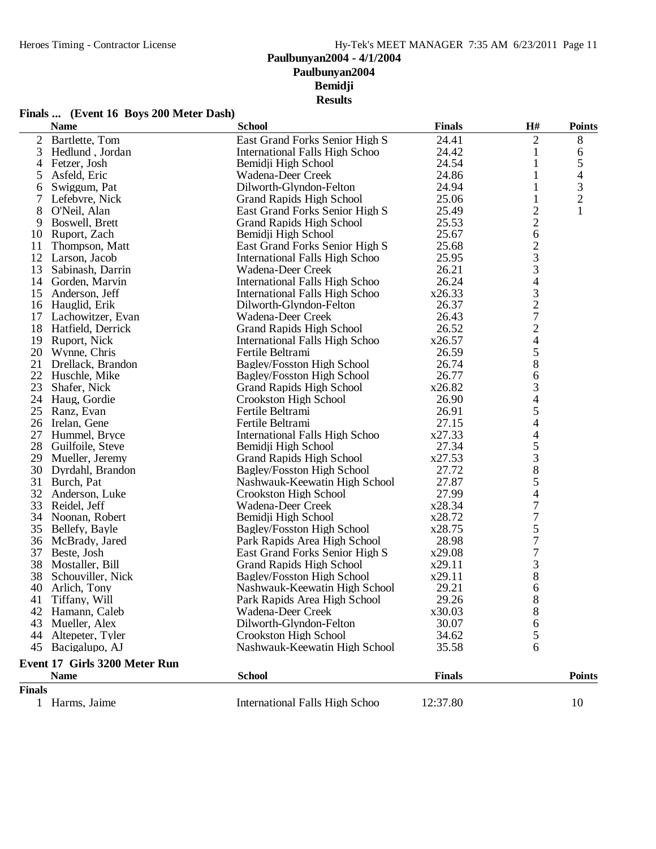**Finals ... (Event 16 Boys 200 Meter Dash)**

|                | <b>Name</b>                   | <b>School</b>                         | <b>Finals</b> | H#                       | <b>Points</b>  |
|----------------|-------------------------------|---------------------------------------|---------------|--------------------------|----------------|
| $\overline{2}$ | Bartlette, Tom                | East Grand Forks Senior High S        | 24.41         | 2                        | $8\,$          |
| 3              | Hedlund, Jordan               | International Falls High Schoo        | 24.42         | $\mathbf{1}$             | 6              |
| 4              | Fetzer, Josh                  | Bemidji High School                   | 24.54         | 1                        | 5              |
| 5              | Asfeld, Eric                  | Wadena-Deer Creek                     | 24.86         | 1                        | 4              |
| 6              | Swiggum, Pat                  | Dilworth-Glyndon-Felton               | 24.94         | 1                        | $\mathfrak{Z}$ |
| 7              | Lefebvre, Nick                | <b>Grand Rapids High School</b>       | 25.06         | $\mathbf{1}$             | $\overline{c}$ |
| 8              | O'Neil, Alan                  | East Grand Forks Senior High S        | 25.49         | $\overline{c}$           | $\mathbf{1}$   |
| 9              | Boswell, Brett                | <b>Grand Rapids High School</b>       | 25.53         | $\overline{c}$           |                |
| 10             | Ruport, Zach                  | Bemidji High School                   | 25.67         | 6                        |                |
| 11             | Thompson, Matt                | East Grand Forks Senior High S        | 25.68         | $\overline{c}$           |                |
| 12             | Larson, Jacob                 | International Falls High Schoo        | 25.95         | 3                        |                |
| 13             | Sabinash, Darrin              | Wadena-Deer Creek                     | 26.21         | 3                        |                |
|                | 14 Gorden, Marvin             | International Falls High Schoo        | 26.24         | $\overline{4}$           |                |
| 15             | Anderson, Jeff                | International Falls High Schoo        | x26.33        |                          |                |
|                | 16 Hauglid, Erik              | Dilworth-Glyndon-Felton               | 26.37         |                          |                |
| 17             | Lachowitzer, Evan             | Wadena-Deer Creek                     | 26.43         | $\frac{3}{2}$            |                |
| 18             | Hatfield, Derrick             | <b>Grand Rapids High School</b>       | 26.52         |                          |                |
| 19             |                               |                                       | x26.57        | $\frac{2}{4}$            |                |
|                | Ruport, Nick                  | International Falls High Schoo        |               | 5                        |                |
| 20             | Wynne, Chris                  | Fertile Beltrami                      | 26.59         |                          |                |
| 21             | Drellack, Brandon             | <b>Bagley/Fosston High School</b>     | 26.74         | 8                        |                |
| 22             | Huschle, Mike                 | <b>Bagley/Fosston High School</b>     | 26.77         | 6                        |                |
| 23             | Shafer, Nick                  | <b>Grand Rapids High School</b>       | x26.82        | 3                        |                |
| 24             | Haug, Gordie                  | Crookston High School                 | 26.90         | $\overline{\mathcal{L}}$ |                |
| 25             | Ranz, Evan                    | Fertile Beltrami                      | 26.91         | 5                        |                |
| 26             | Irelan, Gene                  | Fertile Beltrami                      | 27.15         | $\overline{\mathcal{L}}$ |                |
| 27             | Hummel, Bryce                 | International Falls High Schoo        | x27.33        | 4                        |                |
| 28             | Guilfoile, Steve              | Bemidji High School                   | 27.34         | 5                        |                |
| 29             | Mueller, Jeremy               | <b>Grand Rapids High School</b>       | x27.53        | 3                        |                |
| 30             | Dyrdahl, Brandon              | Bagley/Fosston High School            | 27.72         | $\,8\,$                  |                |
| 31             | Burch, Pat                    | Nashwauk-Keewatin High School         | 27.87         | 5                        |                |
| 32             | Anderson, Luke                | Crookston High School                 | 27.99         | 4                        |                |
| 33             | Reidel, Jeff                  | Wadena-Deer Creek                     | x28.34        | $\sqrt{ }$               |                |
|                | 34 Noonan, Robert             | Bemidji High School                   | x28.72        | $\boldsymbol{7}$         |                |
| 35             | Bellefy, Bayle                | Bagley/Fosston High School            | x28.75        | 5                        |                |
| 36             | McBrady, Jared                | Park Rapids Area High School          | 28.98         | $\overline{7}$           |                |
| 37             | Beste, Josh                   | East Grand Forks Senior High S        | x29.08        | $\boldsymbol{7}$         |                |
| 38             | Mostaller, Bill               | <b>Grand Rapids High School</b>       | x29.11        | $\mathfrak{Z}$           |                |
| 38             | Schouviller, Nick             | Bagley/Fosston High School            | x29.11        | 8                        |                |
| 40             | Arlich, Tony                  | Nashwauk-Keewatin High School         | 29.21         | 6                        |                |
| 41             | Tiffany, Will                 | Park Rapids Area High School          | 29.26         | 8                        |                |
|                | 42 Hamann, Caleb              | Wadena-Deer Creek                     | x30.03        | 8                        |                |
| 43             | Mueller, Alex                 | Dilworth-Glyndon-Felton               | 30.07         | 6                        |                |
| 44             | Altepeter, Tyler              | Crookston High School                 | 34.62         | 5                        |                |
|                | 45 Bacigalupo, AJ             | Nashwauk-Keewatin High School         | 35.58         | 6                        |                |
|                | Event 17 Girls 3200 Meter Run |                                       |               |                          |                |
|                | <b>Name</b>                   | <b>School</b>                         | <b>Finals</b> |                          | <b>Points</b>  |
| <b>Finals</b>  |                               |                                       |               |                          |                |
|                | 1 Harms, Jaime                | <b>International Falls High Schoo</b> | 12:37.80      |                          | 10             |
|                |                               |                                       |               |                          |                |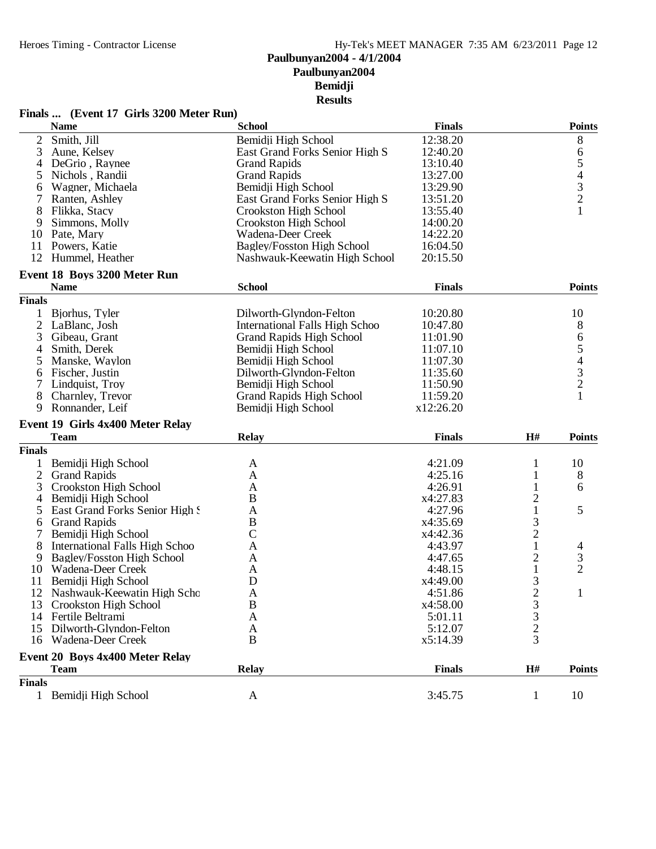#### Finals ... (Event 17 Girls 3200 Meter Run)

|                | <b>Name</b>                                    | <b>School</b>                     | <b>Finals</b> |                                                 | <b>Points</b>                              |
|----------------|------------------------------------------------|-----------------------------------|---------------|-------------------------------------------------|--------------------------------------------|
| $\mathbf{2}$   | Smith, Jill                                    | Bemidji High School               | 12:38.20      |                                                 | 8                                          |
| 3              | Aune, Kelsey                                   | East Grand Forks Senior High S    | 12:40.20      |                                                 | 6                                          |
| 4              | DeGrio, Raynee                                 | <b>Grand Rapids</b>               | 13:10.40      |                                                 | $\mathfrak s$                              |
| 5              | Nichols, Randii                                | <b>Grand Rapids</b>               | 13:27.00      |                                                 |                                            |
| 6              | Wagner, Michaela                               | Bemidji High School               | 13:29.90      |                                                 |                                            |
| 7              | Ranten, Ashley                                 | East Grand Forks Senior High S    | 13:51.20      |                                                 | $\begin{array}{c} 4 \\ 3 \\ 2 \end{array}$ |
| 8              | Flikka, Stacy                                  | Crookston High School             | 13:55.40      |                                                 | $\mathbf{1}$                               |
| 9              | Simmons, Molly                                 | Crookston High School             | 14:00.20      |                                                 |                                            |
|                | 10 Pate, Mary                                  | Wadena-Deer Creek                 | 14:22.20      |                                                 |                                            |
|                | 11 Powers, Katie                               | <b>Bagley/Fosston High School</b> | 16:04.50      |                                                 |                                            |
|                | 12 Hummel, Heather                             | Nashwauk-Keewatin High School     | 20:15.50      |                                                 |                                            |
|                | Event 18 Boys 3200 Meter Run                   |                                   |               |                                                 |                                            |
|                | <b>Name</b>                                    | <b>School</b>                     | <b>Finals</b> |                                                 | <b>Points</b>                              |
| <b>Finals</b>  |                                                |                                   |               |                                                 |                                            |
|                | Bjorhus, Tyler                                 | Dilworth-Glyndon-Felton           | 10:20.80      |                                                 | 10                                         |
| $\overline{c}$ | LaBlanc, Josh                                  | International Falls High Schoo    | 10:47.80      |                                                 | 8                                          |
| 3              | Gibeau, Grant                                  | <b>Grand Rapids High School</b>   | 11:01.90      |                                                 | 6                                          |
| $\overline{4}$ | Smith, Derek                                   | Bemidji High School               | 11:07.10      |                                                 | 5                                          |
| 5              | Manske, Waylon                                 | Bemidii High School               | 11:07.30      |                                                 |                                            |
|                |                                                |                                   | 11:35.60      |                                                 | $\begin{array}{c} 4 \\ 3 \\ 2 \end{array}$ |
| 6              | Fischer, Justin                                | Dilworth-Glyndon-Felton           |               |                                                 |                                            |
| 7              | Lindquist, Troy                                | Bemidii High School               | 11:50.90      |                                                 | $\mathbf{1}$                               |
| 8              | Charnley, Trevor                               | <b>Grand Rapids High School</b>   | 11:59.20      |                                                 |                                            |
| 9              | Ronnander, Leif                                | Bemidji High School               | x12:26.20     |                                                 |                                            |
|                | Event 19 Girls 4x400 Meter Relay               |                                   |               |                                                 |                                            |
|                | <b>Team</b>                                    | <b>Relay</b>                      | <b>Finals</b> | H#                                              | <b>Points</b>                              |
| <b>Finals</b>  |                                                |                                   |               |                                                 |                                            |
| 1              | Bemidji High School                            | A                                 | 4:21.09       | 1                                               | 10                                         |
| $\overline{2}$ | <b>Grand Rapids</b>                            | $\mathbf{A}$                      | 4:25.16       | 1                                               | 8                                          |
| 3              | Crookston High School                          | A                                 | 4:26.91       | 1                                               | 6                                          |
| 4              | Bemidji High School                            | B                                 | x4:27.83      | $\overline{c}$                                  |                                            |
| 5              | East Grand Forks Senior High!                  | $\mathbf{A}$                      | 4:27.96       | $\mathbf{1}$                                    | 5                                          |
| 6              | <b>Grand Rapids</b>                            | $\, {\bf B}$                      | x4:35.69      | 3                                               |                                            |
| 7              | Bemidji High School                            | $\mathcal{C}$                     | x4:42.36      | $\overline{c}$                                  |                                            |
| 8              | <b>International Falls High Schoo</b>          | A                                 | 4:43.97       | $\mathbf{1}$                                    | 4                                          |
| 9              | Bagley/Fosston High School                     | A                                 | 4:47.65       | $\overline{c}$                                  | 3                                          |
| 10             | Wadena-Deer Creek                              | A                                 | 4:48.15       | $\mathbf{1}$                                    | $\overline{2}$                             |
| 11             | Bemidji High School                            | $\mathbf D$                       | x4:49.00      | 3                                               |                                            |
| 12             | Nashwauk-Keewatin High Scho                    | A                                 | 4:51.86       | $\overline{2}$                                  | $\mathbf{1}$                               |
| 13             | Crookston High School                          | B                                 | x4:58.00      |                                                 |                                            |
| 14             | Fertile Beltrami                               | A                                 | 5:01.11       |                                                 |                                            |
| 15             | Dilworth-Glyndon-Felton                        | A                                 | 5:12.07       |                                                 |                                            |
| 16             | Wadena-Deer Creek                              | B                                 | x5:14.39      | $\begin{array}{c} 3 \\ 3 \\ 2 \\ 3 \end{array}$ |                                            |
|                |                                                |                                   |               |                                                 |                                            |
|                | Event 20 Boys 4x400 Meter Relay<br><b>Team</b> | <b>Relay</b>                      | <b>Finals</b> | H#                                              | <b>Points</b>                              |
| <b>Finals</b>  |                                                |                                   |               |                                                 |                                            |
|                | 1 Bemidji High School                          | A                                 | 3:45.75       | 1                                               | 10                                         |
|                |                                                |                                   |               |                                                 |                                            |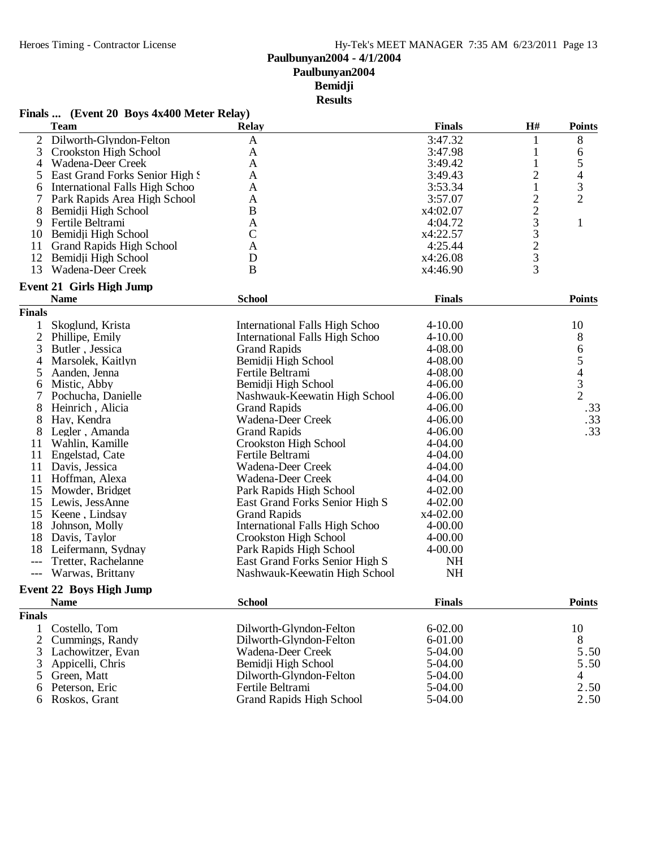**Results**

|                | <b>Team</b>                     | <b>Relay</b>                          | <b>Finals</b> | H#                                                | <b>Points</b>            |
|----------------|---------------------------------|---------------------------------------|---------------|---------------------------------------------------|--------------------------|
| $\overline{2}$ | Dilworth-Glyndon-Felton         | $\mathbf{A}$                          | 3:47.32       | 1                                                 | 8                        |
| 3              | Crookston High School           | A                                     | 3:47.98       | $\mathbf{1}% \in\mathbb{Z}_{+}^{d}[z,\bar{z}]$    |                          |
| 4              | Wadena-Deer Creek               | A                                     | 3:49.42       | $\mathbf{1}$                                      | $\frac{6}{5}$            |
| 5              | East Grand Forks Senior High S  | A                                     | 3:49.43       | $\overline{c}$                                    | $\overline{\mathcal{L}}$ |
| 6              | International Falls High Schoo  | A                                     | 3:53.34       | $\mathbf{1}$                                      | $\frac{3}{2}$            |
| 7              | Park Rapids Area High School    | A                                     | 3:57.07       |                                                   |                          |
| 8              | Bemidji High School             | B                                     | x4:02.07      | $\frac{2}{2}$                                     |                          |
| 9              | Fertile Beltrami                | A                                     | 4:04.72       |                                                   | $\mathbf{1}$             |
| 10             | Bemidji High School             | $\mathcal{C}$                         | x4:22.57      | $\begin{array}{c}\n3 \\ 3 \\ 2 \\ 3\n\end{array}$ |                          |
| 11             | <b>Grand Rapids High School</b> | A                                     | 4:25.44       |                                                   |                          |
| 12             | Bemidji High School             | D                                     | x4:26.08      |                                                   |                          |
| 13             | Wadena-Deer Creek               | $\bf{B}$                              | x4:46.90      |                                                   |                          |
|                | <b>Event 21 Girls High Jump</b> |                                       |               |                                                   |                          |
|                | <b>Name</b>                     | <b>School</b>                         | <b>Finals</b> |                                                   | <b>Points</b>            |
| <b>Finals</b>  |                                 |                                       |               |                                                   |                          |
| 1              | Skoglund, Krista                | International Falls High Schoo        | $4 - 10.00$   |                                                   | 10                       |
| $\overline{c}$ | Phillipe, Emily                 | <b>International Falls High Schoo</b> | $4 - 10.00$   |                                                   | 8                        |
| 3              | Butler, Jessica                 | <b>Grand Rapids</b>                   | 4-08.00       |                                                   | 6                        |
| 4              | Marsolek, Kaitlyn               | Bemidji High School                   | 4-08.00       |                                                   |                          |
| 5              | Aanden, Jenna                   | Fertile Beltrami                      | 4-08.00       |                                                   | $\frac{5}{4}$            |
| 6              | Mistic, Abby                    | Bemidji High School                   | 4-06.00       |                                                   | $\overline{3}$           |
| 7              | Pochucha, Danielle              | Nashwauk-Keewatin High School         | 4-06.00       |                                                   | $\overline{2}$           |
| 8              | Heinrich, Alicia                | <b>Grand Rapids</b>                   | 4-06.00       |                                                   | .33                      |
| 8              | Hay, Kendra                     | Wadena-Deer Creek                     | $4 - 06.00$   |                                                   | .33                      |
| 8              | Legler, Amanda                  | <b>Grand Rapids</b>                   | $4 - 06.00$   |                                                   | .33                      |
| 11             | Wahlin, Kamille                 | Crookston High School                 | 4-04.00       |                                                   |                          |
| 11             | Engelstad, Cate                 | Fertile Beltrami                      | 4-04.00       |                                                   |                          |
| 11             | Davis, Jessica                  | Wadena-Deer Creek                     | 4-04.00       |                                                   |                          |
|                | 11 Hoffman, Alexa               | Wadena-Deer Creek                     | 4-04.00       |                                                   |                          |
| 15             | Mowder, Bridget                 | Park Rapids High School               | $4 - 02.00$   |                                                   |                          |
| 15             | Lewis, JessAnne                 | East Grand Forks Senior High S        | $4 - 02.00$   |                                                   |                          |
| 15             | Keene, Lindsay                  | <b>Grand Rapids</b>                   | $x4-02.00$    |                                                   |                          |
| 18             | Johnson, Molly                  | <b>International Falls High Schoo</b> | 4-00.00       |                                                   |                          |
| 18             | Davis, Taylor                   | Crookston High School                 | $4 - 00.00$   |                                                   |                          |
|                | 18 Leifermann, Sydnay           | Park Rapids High School               | $4 - 00.00$   |                                                   |                          |
| $---$          | Tretter, Rachelanne             | East Grand Forks Senior High S        | <b>NH</b>     |                                                   |                          |
| $---$          | Warwas, Brittany                | Nashwauk-Keewatin High School         | <b>NH</b>     |                                                   |                          |
|                | <b>Event 22 Boys High Jump</b>  |                                       |               |                                                   |                          |
|                | <b>Name</b>                     | <b>School</b>                         | <b>Finals</b> |                                                   | <b>Points</b>            |
| <b>Finals</b>  |                                 |                                       |               |                                                   |                          |
| 1              | Costello, Tom                   | Dilworth-Glyndon-Felton               | $6 - 02.00$   |                                                   | 10                       |
| 2              | Cummings, Randy                 | Dilworth-Glyndon-Felton               | 6-01.00       |                                                   | 8                        |
| 3              | Lachowitzer, Evan               | Wadena-Deer Creek                     | 5-04.00       |                                                   | 5.50                     |
| 3              | Appicelli, Chris                | Bemidji High School                   | 5-04.00       |                                                   | 5.50                     |
| 5              | Green, Matt                     | Dilworth-Glyndon-Felton               | 5-04.00       |                                                   | 4                        |
| 6              | Peterson, Eric                  | Fertile Beltrami                      | 5-04.00       |                                                   | 2.50                     |
| 6              | Roskos, Grant                   | <b>Grand Rapids High School</b>       | 5-04.00       |                                                   | 2.50                     |

# **Finals ... (Event 20 Boys 4x400 Meter Relay)**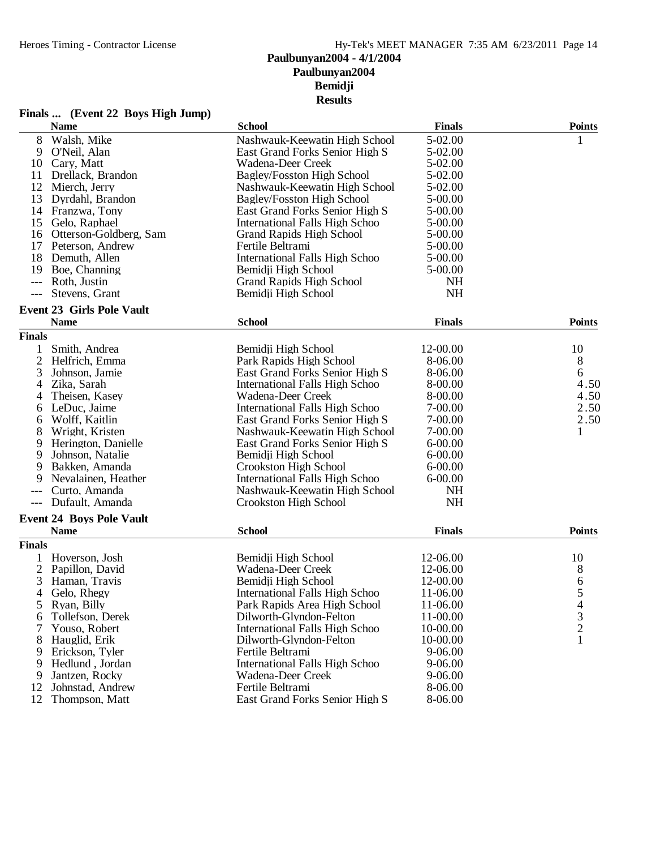**Finals ... (Event 22 Boys High Jump)**

#### **Paulbunyan2004 Bemidji Results**

Wadena-Deer Creek 9-06.00<br>Fertile Beltrami 8-06.00

East Grand Forks Senior High S

|                | <b>Name</b>                      | <b>School</b>                         | <b>Finals</b> | <b>Points</b>                                   |
|----------------|----------------------------------|---------------------------------------|---------------|-------------------------------------------------|
| 8              | Walsh, Mike                      | Nashwauk-Keewatin High School         | $5 - 02.00$   | $\mathbf{1}$                                    |
| 9              | O'Neil, Alan                     | East Grand Forks Senior High S        | 5-02.00       |                                                 |
| 10             | Carv. Matt                       | Wadena-Deer Creek                     | $5 - 02.00$   |                                                 |
| 11             | Drellack, Brandon                | <b>Bagley/Fosston High School</b>     | 5-02.00       |                                                 |
|                | 12 Mierch, Jerry                 | Nashwauk-Keewatin High School         | 5-02.00       |                                                 |
| 13             | Dyrdahl, Brandon                 | Bagley/Fosston High School            | 5-00.00       |                                                 |
|                | 14 Franzwa, Tony                 | East Grand Forks Senior High S        | 5-00.00       |                                                 |
|                | 15 Gelo, Raphael                 | <b>International Falls High Schoo</b> | 5-00.00       |                                                 |
|                | 16 Otterson-Goldberg, Sam        | <b>Grand Rapids High School</b>       | 5-00.00       |                                                 |
|                | 17 Peterson, Andrew              | Fertile Beltrami                      | 5-00.00       |                                                 |
| 18             | Demuth, Allen                    | <b>International Falls High Schoo</b> | $5-00.00$     |                                                 |
| 19             | Boe, Channing                    | Bemidji High School                   | 5-00.00       |                                                 |
| $---$          | Roth, Justin                     | <b>Grand Rapids High School</b>       | <b>NH</b>     |                                                 |
| $---$          | Stevens, Grant                   | Bemidji High School                   | <b>NH</b>     |                                                 |
|                | <b>Event 23 Girls Pole Vault</b> |                                       |               |                                                 |
|                | <b>Name</b>                      | <b>School</b>                         | <b>Finals</b> | <b>Points</b>                                   |
| <b>Finals</b>  |                                  |                                       |               |                                                 |
| 1              | Smith, Andrea                    | Bemidji High School                   | 12-00.00      | 10                                              |
| $\overline{2}$ | Helfrich, Emma                   | Park Rapids High School               | 8-06.00       | 8                                               |
| 3              | Johnson, Jamie                   | East Grand Forks Senior High S        | 8-06.00       | 6                                               |
|                | Zika, Sarah                      | <b>International Falls High Schoo</b> | 8-00.00       | 4.50                                            |
| 4              |                                  |                                       |               | 4.50                                            |
| 4              | Theisen, Kasey                   | Wadena-Deer Creek                     | 8-00.00       | 2.50                                            |
| 6              | LeDuc, Jaime                     | <b>International Falls High Schoo</b> | 7-00.00       |                                                 |
| 6              | Wolff, Kaitlin                   | East Grand Forks Senior High S        | 7-00.00       | 2.50                                            |
| 8              | Wright, Kristen                  | Nashwauk-Keewatin High School         | 7-00.00       | $\mathbf{1}$                                    |
| 9              | Herington, Danielle              | East Grand Forks Senior High S        | $6 - 00.00$   |                                                 |
| 9              | Johnson, Natalie                 | Bemidji High School                   | $6 - 00.00$   |                                                 |
| 9              | Bakken, Amanda                   | Crookston High School                 | $6 - 00.00$   |                                                 |
| 9              | Nevalainen, Heather              | International Falls High Schoo        | $6 - 00.00$   |                                                 |
|                | Curto, Amanda                    | Nashwauk-Keewatin High School         | NH            |                                                 |
|                | Dufault, Amanda                  | Crookston High School                 | <b>NH</b>     |                                                 |
|                | <b>Event 24 Boys Pole Vault</b>  |                                       |               |                                                 |
|                | <b>Name</b>                      | <b>School</b>                         | <b>Finals</b> | <b>Points</b>                                   |
| <b>Finals</b>  |                                  |                                       |               |                                                 |
|                | 1 Hoverson, Josh                 | Bemidji High School                   | 12-06.00      | 10                                              |
| $\mathbf{2}$   | Papillon, David                  | Wadena-Deer Creek                     | 12-06.00      | 8                                               |
| 3              | Haman, Travis                    | Bemidji High School                   | 12-00.00      | 6                                               |
| 4              | Gelo, Rhegy                      | <b>International Falls High Schoo</b> | 11-06.00      |                                                 |
| 5              | Ryan, Billy                      | Park Rapids Area High School          | 11-06.00      |                                                 |
| 6              | Tollefson, Derek                 | Dilworth-Glyndon-Felton               | 11-00.00      | $\begin{array}{c} 5 \\ 4 \\ 3 \\ 2 \end{array}$ |
| 7              | Youso, Robert                    | <b>International Falls High Schoo</b> | 10-00.00      |                                                 |
| 8              | Hauglid, Erik                    | Dilworth-Glyndon-Felton               | 10-00.00      | $\mathbf{1}$                                    |
| 9              | Erickson, Tyler                  | Fertile Beltrami                      | 9-06.00       |                                                 |
| 9              | Hedlund, Jordan                  | <b>International Falls High Schoo</b> | 9-06.00       |                                                 |
| 9              | Jantzen, Rocky                   | Wadena-Deer Creek                     | 9-06.00       |                                                 |
|                |                                  |                                       |               |                                                 |

12 Johnstad, Andrew Fertile Beltrami 8-06.00<br>12 Thompson, Matt East Grand Forks Senior High S 8-06.00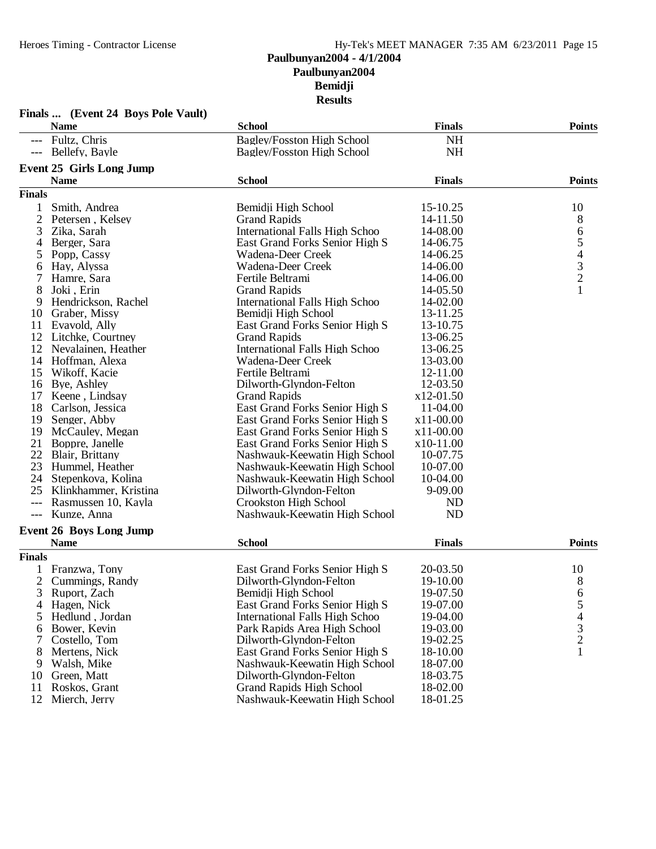|                | Finals  (Event 24 Boys Pole Vault) |                                       |               |                                            |
|----------------|------------------------------------|---------------------------------------|---------------|--------------------------------------------|
|                | <b>Name</b>                        | <b>School</b>                         | <b>Finals</b> | <b>Points</b>                              |
|                | --- Fultz, Chris                   | <b>Bagley/Fosston High School</b>     | <b>NH</b>     |                                            |
|                | --- Bellefy, Bayle                 | <b>Bagley/Fosston High School</b>     | <b>NH</b>     |                                            |
|                | <b>Event 25 Girls Long Jump</b>    |                                       |               |                                            |
|                | <b>Name</b>                        | <b>School</b>                         | <b>Finals</b> | Points                                     |
| <b>Finals</b>  |                                    |                                       |               |                                            |
| $\mathbf{1}$   | Smith, Andrea                      | Bemidji High School                   | 15-10.25      | 10                                         |
| 2              | Petersen, Kelsey                   | <b>Grand Rapids</b>                   | 14-11.50      | 8                                          |
| 3              | Zika, Sarah                        | <b>International Falls High Schoo</b> | 14-08.00      |                                            |
| 4              | Berger, Sara                       | East Grand Forks Senior High S        | 14-06.75      | 65432                                      |
| 5              | Popp, Cassy                        | Wadena-Deer Creek                     | 14-06.25      |                                            |
| 6              | Hay, Alyssa                        | Wadena-Deer Creek                     | 14-06.00      |                                            |
| 7              | Hamre, Sara                        | Fertile Beltrami                      | 14-06.00      |                                            |
| 8              | Joki, Erin                         | <b>Grand Rapids</b>                   | 14-05.50      | $\mathbf{1}$                               |
| 9              | Hendrickson, Rachel                | <b>International Falls High Schoo</b> | 14-02.00      |                                            |
| 10             | Graber, Missy                      | Bemidji High School                   | 13-11.25      |                                            |
| 11             | Evavold, Ally                      | East Grand Forks Senior High S        | 13-10.75      |                                            |
|                | 12 Litchke, Courtney               | <b>Grand Rapids</b>                   | 13-06.25      |                                            |
|                | 12 Nevalainen, Heather             | <b>International Falls High Schoo</b> | 13-06.25      |                                            |
| 14             | Hoffman, Alexa                     | Wadena-Deer Creek                     | 13-03.00      |                                            |
| 15             | Wikoff, Kacie                      | Fertile Beltrami                      | 12-11.00      |                                            |
| 16             | Bye, Ashley                        | Dilworth-Glyndon-Felton               | 12-03.50      |                                            |
| 17             | Keene, Lindsay                     | <b>Grand Rapids</b>                   | x12-01.50     |                                            |
| 18             | Carlson, Jessica                   | East Grand Forks Senior High S        | 11-04.00      |                                            |
| 19             | Senger, Abby                       | East Grand Forks Senior High S        | $x11-00.00$   |                                            |
| 19             | McCauley, Megan                    | East Grand Forks Senior High S        | $x11-00.00$   |                                            |
| 21             | Boppre, Janelle                    | East Grand Forks Senior High S        | x10-11.00     |                                            |
|                | 22 Blair, Brittany                 | Nashwauk-Keewatin High School         | 10-07.75      |                                            |
|                | 23 Hummel, Heather                 | Nashwauk-Keewatin High School         | 10-07.00      |                                            |
|                | 24 Stepenkova, Kolina              | Nashwauk-Keewatin High School         | 10-04.00      |                                            |
| 25             | Klinkhammer, Kristina              | Dilworth-Glyndon-Felton               | $9 - 09.00$   |                                            |
| $---$          | Rasmussen 10, Kayla                | Crookston High School                 | <b>ND</b>     |                                            |
| $---$          | Kunze, Anna                        | Nashwauk-Keewatin High School         | <b>ND</b>     |                                            |
|                | <b>Event 26 Boys Long Jump</b>     |                                       |               |                                            |
|                | <b>Name</b>                        | <b>School</b>                         | <b>Finals</b> | <b>Points</b>                              |
| <b>Finals</b>  |                                    |                                       |               |                                            |
|                | 1 Franzwa, Tony                    | East Grand Forks Senior High S        | 20-03.50      | 10                                         |
| $\overline{2}$ | Cummings, Randy                    | Dilworth-Glyndon-Felton               | 19-10.00      | $8\phantom{1}$                             |
| 3              | Ruport, Zach                       | Bemidji High School                   | 19-07.50      | 6                                          |
|                | Hagen, Nick                        | East Grand Forks Senior High S        | 19-07.00      | 5                                          |
| 5              | Hedlund, Jordan                    | <b>International Falls High Schoo</b> | 19-04.00      |                                            |
| 6              | Bower, Kevin                       | Park Rapids Area High School          | 19-03.00      | $\begin{array}{c} 4 \\ 3 \\ 2 \end{array}$ |
| 7              | Costello, Tom                      | Dilworth-Glyndon-Felton               | 19-02.25      |                                            |
| 8              | Mertens, Nick                      | East Grand Forks Senior High S        | 18-10.00      |                                            |
| 9              | Walsh, Mike                        | Nashwauk-Keewatin High School         | 18-07.00      |                                            |
| 10             | Green, Matt                        | Dilworth-Glyndon-Felton               | 18-03.75      |                                            |
| 11             | Roskos, Grant                      | <b>Grand Rapids High School</b>       | 18-02.00      |                                            |
| 12             | Mierch, Jerry                      | Nashwauk-Keewatin High School         | 18-01.25      |                                            |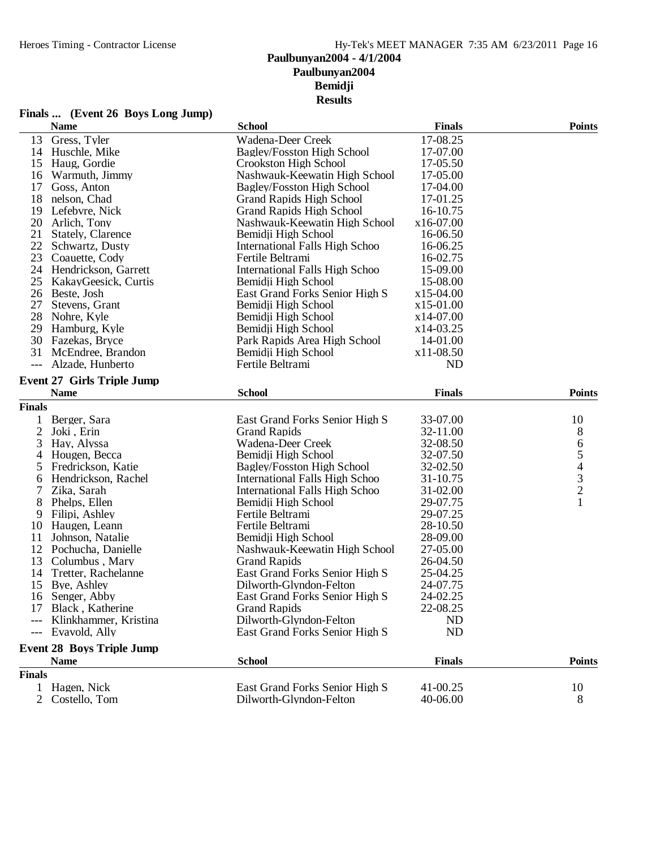# **Finals ... (Event 26 Boys Long Jump)**

|               | <b>Name</b>                       | <b>School</b>                   | <b>Finals</b>  | <b>Points</b>                                   |
|---------------|-----------------------------------|---------------------------------|----------------|-------------------------------------------------|
| 13            | Gress, Tyler                      | Wadena-Deer Creek               | 17-08.25       |                                                 |
|               | 14 Huschle, Mike                  | Bagley/Fosston High School      | 17-07.00       |                                                 |
| 15            | Haug, Gordie                      | Crookston High School           | 17-05.50       |                                                 |
| 16            | Warmuth, Jimmy                    | Nashwauk-Keewatin High School   | 17-05.00       |                                                 |
| 17            | Goss, Anton                       | Bagley/Fosston High School      | 17-04.00       |                                                 |
| 18            | nelson, Chad                      | <b>Grand Rapids High School</b> | 17-01.25       |                                                 |
| 19            | Lefebvre, Nick                    | <b>Grand Rapids High School</b> | 16-10.75       |                                                 |
| 20            | Arlich, Tony                      | Nashwauk-Keewatin High School   | x16-07.00      |                                                 |
| 21            | Stately, Clarence                 | Bemidji High School             | 16-06.50       |                                                 |
| 22            | Schwartz, Dusty                   | International Falls High Schoo  | 16-06.25       |                                                 |
| 23            | Coauette, Cody                    | Fertile Beltrami                | 16-02.75       |                                                 |
| 24            | Hendrickson, Garrett              | International Falls High Schoo  | 15-09.00       |                                                 |
| 25            | KakayGeesick, Curtis              | Bemidji High School             | 15-08.00       |                                                 |
|               | 26 Beste, Josh                    | East Grand Forks Senior High S  | x15-04.00      |                                                 |
| 27            | Stevens, Grant                    | Bemidji High School             | x15-01.00      |                                                 |
| 28            | Nohre, Kyle                       | Bemidji High School             | x14-07.00      |                                                 |
| 29            | Hamburg, Kyle                     | Bemidji High School             | $x14-03.25$    |                                                 |
| 30            | Fazekas, Bryce                    | Park Rapids Area High School    | 14-01.00       |                                                 |
| 31            | McEndree, Brandon                 | Bemidji High School             | x11-08.50      |                                                 |
| $---$         | Alzade, Hunberto                  | Fertile Beltrami                | N <sub>D</sub> |                                                 |
|               |                                   |                                 |                |                                                 |
|               | <b>Event 27 Girls Triple Jump</b> |                                 |                |                                                 |
|               | <b>Name</b>                       | <b>School</b>                   | <b>Finals</b>  | <b>Points</b>                                   |
| <b>Finals</b> |                                   |                                 |                |                                                 |
| 1             | Berger, Sara                      | East Grand Forks Senior High S  | 33-07.00       | 10                                              |
| $\mathbf{2}$  | Joki, Erin                        | <b>Grand Rapids</b>             | 32-11.00       | 8                                               |
| 3             | Hay, Alyssa                       | Wadena-Deer Creek               | 32-08.50       | 6                                               |
| 4             | Hougen, Becca                     | Bemidji High School             | 32-07.50       |                                                 |
| 5             | Fredrickson, Katie                | Bagley/Fosston High School      | 32-02.50       |                                                 |
| 6             | Hendrickson, Rachel               | International Falls High Schoo  | 31-10.75       | $\begin{array}{c} 5 \\ 4 \\ 3 \\ 2 \end{array}$ |
| 7             | Zika, Sarah                       | International Falls High Schoo  | 31-02.00       |                                                 |
| 8             | Phelps, Ellen                     | Bemidji High School             | 29-07.75       | $\mathbf{1}$                                    |
| 9             | Filipi, Ashley                    | Fertile Beltrami                | 29-07.25       |                                                 |
| 10            | Haugen, Leann                     | Fertile Beltrami                | 28-10.50       |                                                 |
| 11            | Johnson, Natalie                  | Bemidji High School             | 28-09.00       |                                                 |
| 12            | Pochucha, Danielle                | Nashwauk-Keewatin High School   | 27-05.00       |                                                 |
| 13            | Columbus, Mary                    | <b>Grand Rapids</b>             | 26-04.50       |                                                 |
| 14            | Tretter, Rachelanne               | East Grand Forks Senior High S  | 25-04.25       |                                                 |
| 15            | Bye, Ashley                       | Dilworth-Glyndon-Felton         | 24-07.75       |                                                 |
| 16            | Senger, Abby                      | East Grand Forks Senior High S  | 24-02.25       |                                                 |
|               | 17 Black, Katherine               | <b>Grand Rapids</b>             | 22-08.25       |                                                 |
|               | Klinkhammer, Kristina             | Dilworth-Glyndon-Felton         | <b>ND</b>      |                                                 |
| $---$         | Evavold, Ally                     | East Grand Forks Senior High S  | <b>ND</b>      |                                                 |
|               |                                   |                                 |                |                                                 |
|               | <b>Event 28 Boys Triple Jump</b>  |                                 |                |                                                 |
|               | <b>Name</b>                       | <b>School</b>                   | <b>Finals</b>  | <b>Points</b>                                   |
| <b>Finals</b> |                                   |                                 |                |                                                 |
| 1             | Hagen, Nick                       | East Grand Forks Senior High S  | 41-00.25       | 10                                              |
|               | Costello, Tom                     | Dilworth-Glyndon-Felton         | 40-06.00       | 8                                               |
|               |                                   |                                 |                |                                                 |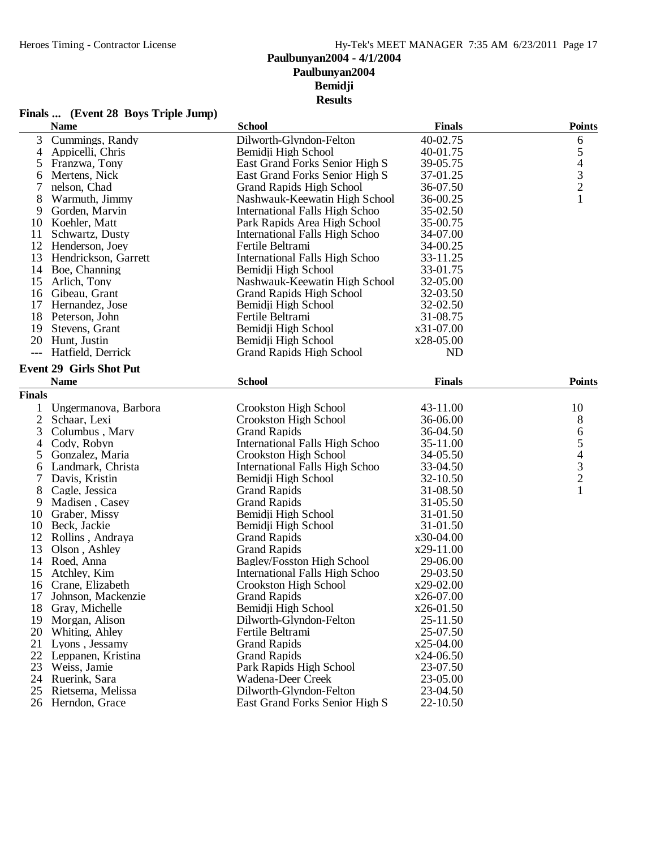# **Finals ... (Event 28 Boys Triple Jump)**

|               | <b>Name</b>                    | <b>School</b>                         | <b>Finals</b> | <b>Points</b>                              |
|---------------|--------------------------------|---------------------------------------|---------------|--------------------------------------------|
| 3             | Cummings, Randy                | Dilworth-Glyndon-Felton               | 40-02.75      | 6                                          |
| 4             | Appicelli, Chris               | Bemidii High School                   | 40-01.75      | 5                                          |
| 5             | Franzwa, Tony                  | East Grand Forks Senior High S        | 39-05.75      |                                            |
| 6             | Mertens, Nick                  | East Grand Forks Senior High S        | 37-01.25      | $\begin{array}{c} 4 \\ 3 \\ 2 \end{array}$ |
| 7             | nelson, Chad                   | <b>Grand Rapids High School</b>       | 36-07.50      |                                            |
| 8             | Warmuth, Jimmy                 | Nashwauk-Keewatin High School         | 36-00.25      | $\mathbf{1}$                               |
| 9             | Gorden, Marvin                 | International Falls High Schoo        | 35-02.50      |                                            |
| 10            | Koehler, Matt                  | Park Rapids Area High School          | 35-00.75      |                                            |
| 11            | Schwartz, Dusty                | International Falls High Schoo        | 34-07.00      |                                            |
|               | 12 Henderson, Joey             | Fertile Beltrami                      | 34-00.25      |                                            |
| 13            | Hendrickson, Garrett           | <b>International Falls High Schoo</b> | 33-11.25      |                                            |
| 14            | Boe, Channing                  | Bemidji High School                   | 33-01.75      |                                            |
| 15            | Arlich, Tony                   | Nashwauk-Keewatin High School         | 32-05.00      |                                            |
|               | 16 Gibeau, Grant               | <b>Grand Rapids High School</b>       | 32-03.50      |                                            |
| 17            | Hernandez, Jose                | Bemidji High School                   | 32-02.50      |                                            |
|               | 18 Peterson, John              | Fertile Beltrami                      | 31-08.75      |                                            |
| 19            | Stevens, Grant                 | Bemidji High School                   | x31-07.00     |                                            |
|               | 20 Hunt, Justin                | Bemidji High School                   | x28-05.00     |                                            |
| $---$         | Hatfield, Derrick              | <b>Grand Rapids High School</b>       | <b>ND</b>     |                                            |
|               |                                |                                       |               |                                            |
|               | <b>Event 29 Girls Shot Put</b> |                                       |               |                                            |
|               | <b>Name</b>                    | <b>School</b>                         | <b>Finals</b> | <b>Points</b>                              |
| <b>Finals</b> |                                |                                       |               |                                            |
| 1             | Ungermanova, Barbora           | Crookston High School                 | 43-11.00      | 10                                         |
| $\mathbf{2}$  | Schaar, Lexi                   | Crookston High School                 | 36-06.00      | 8                                          |
| 3             | Columbus, Mary                 | <b>Grand Rapids</b>                   | 36-04.50      | 6                                          |
| 4             | Cody, Robyn                    | <b>International Falls High Schoo</b> | 35-11.00      | 5                                          |
| 5             | Gonzalez, Maria                | Crookston High School                 | 34-05.50      |                                            |
| 6             | Landmark, Christa              | International Falls High Schoo        | 33-04.50      | $\begin{array}{c} 4 \\ 3 \\ 2 \end{array}$ |
| 7             | Davis, Kristin                 | Bemidji High School                   | 32-10.50      |                                            |
| 8             | Cagle, Jessica                 | <b>Grand Rapids</b>                   | 31-08.50      | $\mathbf{1}$                               |
| 9             | Madisen, Casey                 | <b>Grand Rapids</b>                   | 31-05.50      |                                            |
| 10            | Graber, Missy                  | Bemidji High School                   | 31-01.50      |                                            |
| 10            | Beck, Jackie                   | Bemidji High School                   | 31-01.50      |                                            |
| 12            | Rollins, Andraya               | <b>Grand Rapids</b>                   | x30-04.00     |                                            |
| 13            | Olson, Ashley                  | <b>Grand Rapids</b>                   | x29-11.00     |                                            |
|               | 14 Roed, Anna                  | <b>Bagley/Fosston High School</b>     | 29-06.00      |                                            |
| 15            | Atchley, Kim                   | <b>International Falls High Schoo</b> | 29-03.50      |                                            |
| 16            | Crane, Elizabeth               | Crookston High School                 | x29-02.00     |                                            |
| 17            | Johnson, Mackenzie             | <b>Grand Rapids</b>                   | x26-07.00     |                                            |
| 18            | Gray, Michelle                 | Bemidji High School                   | x26-01.50     |                                            |
| 19            | Morgan, Alison                 | Dilworth-Glyndon-Felton               | 25-11.50      |                                            |
| 20            | Whiting, Ahley                 | Fertile Beltrami                      | 25-07.50      |                                            |
| 21            | Lyons, Jessamy                 | <b>Grand Rapids</b>                   | $x25-04.00$   |                                            |
| 22            | Leppanen, Kristina             | <b>Grand Rapids</b>                   | $x24-06.50$   |                                            |
| 23            | Weiss, Jamie                   | Park Rapids High School               | 23-07.50      |                                            |
| 24            | Ruerink, Sara                  | Wadena-Deer Creek                     | 23-05.00      |                                            |
| 25            | Rietsema, Melissa              | Dilworth-Glyndon-Felton               | 23-04.50      |                                            |
| 26            | Herndon, Grace                 | East Grand Forks Senior High S        | 22-10.50      |                                            |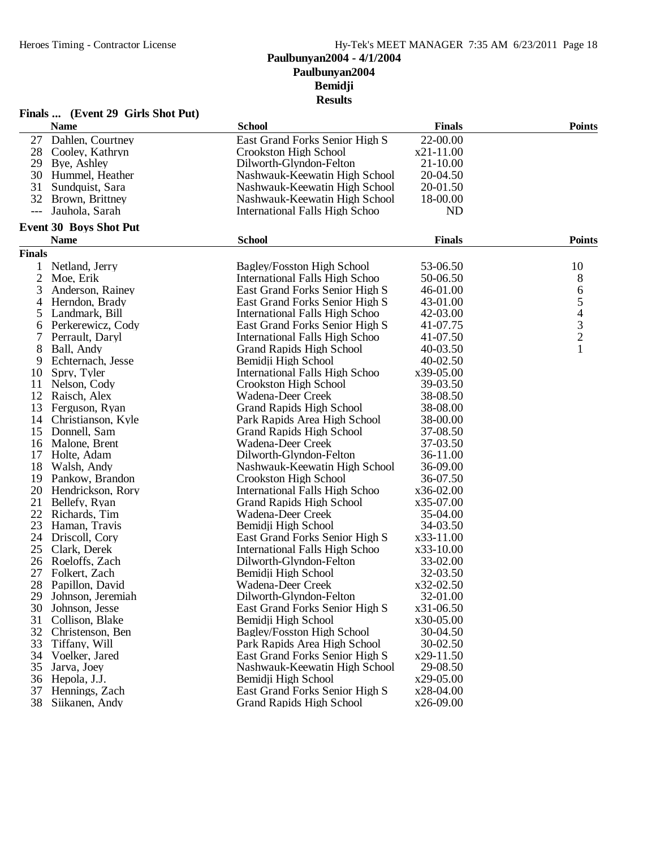# **Bemidji**

**Results**

|                | Finals  (Event 29 Girls Shot Put) |                                       |               |                                            |
|----------------|-----------------------------------|---------------------------------------|---------------|--------------------------------------------|
|                | <b>Name</b>                       | <b>School</b>                         | <b>Finals</b> | <b>Points</b>                              |
| 27             | Dahlen, Courtney                  | East Grand Forks Senior High S        | 22-00.00      |                                            |
|                | 28 Cooley, Kathryn                | Crookston High School                 | $x21-11.00$   |                                            |
| 29             | Bye, Ashley                       | Dilworth-Glyndon-Felton               | 21-10.00      |                                            |
| 30             | Hummel, Heather                   | Nashwauk-Keewatin High School         | 20-04.50      |                                            |
| 31             | Sundquist, Sara                   | Nashwauk-Keewatin High School         | 20-01.50      |                                            |
| 32             | Brown, Brittney                   | Nashwauk-Keewatin High School         | 18-00.00      |                                            |
| $---$          | Jauhola, Sarah                    | <b>International Falls High Schoo</b> | <b>ND</b>     |                                            |
|                | Event 30 Boys Shot Put            |                                       |               |                                            |
|                | <b>Name</b>                       | <b>School</b>                         | <b>Finals</b> | <b>Points</b>                              |
| <b>Finals</b>  |                                   |                                       |               |                                            |
|                | Netland, Jerry                    | Bagley/Fosston High School            | 53-06.50      | 10                                         |
| $\overline{c}$ | Moe, Erik                         | International Falls High Schoo        | 50-06.50      | 8                                          |
| 3              | Anderson, Rainey                  | East Grand Forks Senior High S        | 46-01.00      | 6                                          |
| 4              | Herndon, Brady                    | East Grand Forks Senior High S        | 43-01.00      | $\mathfrak s$                              |
| 5              | Landmark, Bill                    | International Falls High Schoo        | 42-03.00      |                                            |
| 6              | Perkerewicz, Cody                 | East Grand Forks Senior High S        | 41-07.75      |                                            |
| 7              | Perrault, Daryl                   | <b>International Falls High Schoo</b> | 41-07.50      | $\begin{array}{c} 4 \\ 3 \\ 2 \end{array}$ |
| 8              | Ball, Andy                        | <b>Grand Rapids High School</b>       | 40-03.50      | $\mathbf{1}$                               |
| 9              | Echternach, Jesse                 | Bemidii High School                   | 40-02.50      |                                            |
| 10             | Spry, Tyler                       | <b>International Falls High Schoo</b> | x39-05.00     |                                            |
| 11             | Nelson, Cody                      | Crookston High School                 | 39-03.50      |                                            |
|                | 12 Raisch, Alex                   | Wadena-Deer Creek                     | 38-08.50      |                                            |
| 13             | Ferguson, Ryan                    | <b>Grand Rapids High School</b>       | 38-08.00      |                                            |
| 14             | Christianson, Kyle                | Park Rapids Area High School          | 38-00.00      |                                            |
| 15             | Donnell, Sam                      | <b>Grand Rapids High School</b>       | 37-08.50      |                                            |
| 16             | Malone, Brent                     | Wadena-Deer Creek                     | 37-03.50      |                                            |
| 17             | Holte, Adam                       | Dilworth-Glyndon-Felton               | 36-11.00      |                                            |
| 18             | Walsh, Andy                       | Nashwauk-Keewatin High School         | 36-09.00      |                                            |
| 19             | Pankow, Brandon                   | Crookston High School                 | 36-07.50      |                                            |
| 20             | Hendrickson, Rory                 | International Falls High Schoo        | x36-02.00     |                                            |
| 21             | Bellefy, Ryan                     | <b>Grand Rapids High School</b>       | x35-07.00     |                                            |
| 22             | Richards, Tim                     | Wadena-Deer Creek                     | 35-04.00      |                                            |
| 23             | Haman, Travis                     | Bemidji High School                   | 34-03.50      |                                            |
|                | 24 Driscoll, Cory                 | East Grand Forks Senior High S        | x33-11.00     |                                            |
| 25             | Clark, Derek                      | International Falls High Schoo        | x33-10.00     |                                            |
| 26             | Roeloffs, Zach                    | Dilworth-Glyndon-Felton               | 33-02.00      |                                            |
| 27             | Folkert, Zach                     | Bemidii High School                   | 32-03.50      |                                            |
|                | 28 Papillon, David                | Wadena-Deer Creek                     | x32-02.50     |                                            |
| 29             | Johnson, Jeremiah                 | Dilworth-Glyndon-Felton               | 32-01.00      |                                            |
| 30             | Johnson, Jesse                    | East Grand Forks Senior High S        | x31-06.50     |                                            |
| 31             | Collison, Blake                   | Bemidii High School                   | x30-05.00     |                                            |
| 32             | Christenson, Ben                  | <b>Bagley/Fosston High School</b>     | 30-04.50      |                                            |
| 33             | Tiffany, Will                     | Park Rapids Area High School          | 30-02.50      |                                            |
| 34             | Voelker, Jared                    | East Grand Forks Senior High S        | x29-11.50     |                                            |
| 35             | Jarva, Joey                       | Nashwauk-Keewatin High School         | 29-08.50      |                                            |
| 36             | Hepola, J.J.                      | Bemidji High School                   | x29-05.00     |                                            |
| 37             | Hennings, Zach                    | East Grand Forks Senior High S        | x28-04.00     |                                            |
| 38             | Siikanen, Andy                    | <b>Grand Rapids High School</b>       | x26-09.00     |                                            |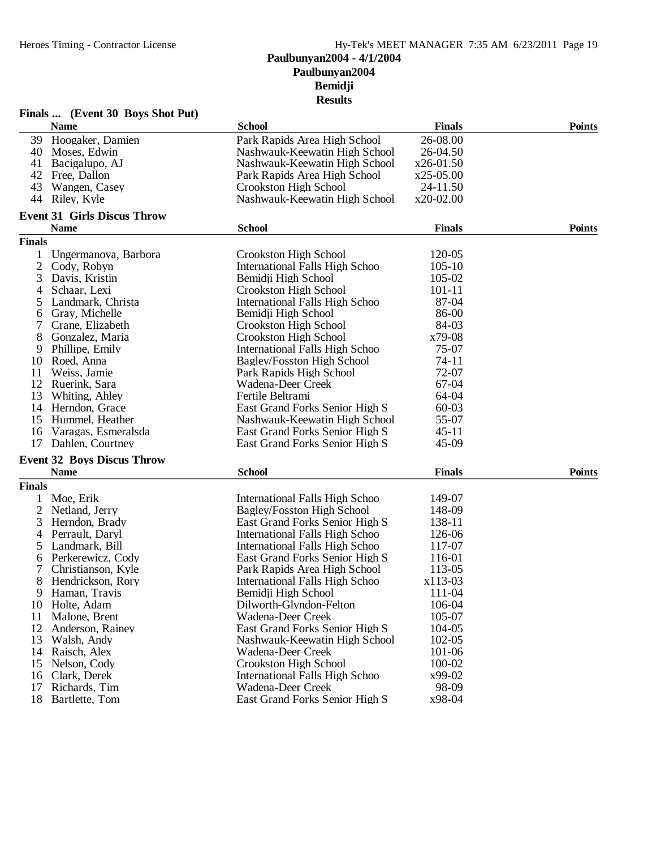# **Paulbunyan2004 Bemidji Results**

|                | Finals  (Event 30 Boys Shot Put)   |                                       |               |               |
|----------------|------------------------------------|---------------------------------------|---------------|---------------|
|                | <b>Name</b>                        | <b>School</b>                         | <b>Finals</b> | <b>Points</b> |
|                | 39 Hoogaker, Damien                | Park Rapids Area High School          | 26-08.00      |               |
| 40             | Moses, Edwin                       | Nashwauk-Keewatin High School         | 26-04.50      |               |
| 41             | Bacigalupo, AJ                     | Nashwauk-Keewatin High School         | $x26-01.50$   |               |
| 42             | Free, Dallon                       | Park Rapids Area High School          | $x25-05.00$   |               |
| 43             | Wangen, Casey                      | Crookston High School                 | 24-11.50      |               |
| 44             | Riley, Kyle                        | Nashwauk-Keewatin High School         | x20-02.00     |               |
|                | <b>Event 31 Girls Discus Throw</b> |                                       |               |               |
|                | <b>Name</b>                        | <b>School</b>                         | <b>Finals</b> | <b>Points</b> |
| <b>Finals</b>  |                                    |                                       |               |               |
| 1              | Ungermanova, Barbora               | Crookston High School                 | 120-05        |               |
| $\overline{2}$ | Cody, Robyn                        | <b>International Falls High Schoo</b> | $105 - 10$    |               |
| 3              | Davis, Kristin                     | Bemidji High School                   | 105-02        |               |
| 4              | Schaar, Lexi                       | Crookston High School                 | $101 - 11$    |               |
| 5              | Landmark, Christa                  | International Falls High Schoo        | 87-04         |               |
| 6              | Gray, Michelle                     | Bemidji High School                   | 86-00         |               |
| 7              | Crane, Elizabeth                   | Crookston High School                 | 84-03         |               |
| 8              | Gonzalez, Maria                    | Crookston High School                 | x79-08        |               |
| 9              | Phillipe, Emily                    | International Falls High Schoo        | 75-07         |               |
| 10             | Roed, Anna                         | <b>Bagley/Fosston High School</b>     | $74 - 11$     |               |
| 11             | Weiss, Jamie                       | Park Rapids High School               | 72-07         |               |
|                |                                    |                                       |               |               |
| 12             | Ruerink, Sara                      | Wadena-Deer Creek                     | 67-04         |               |
| 13             | Whiting, Ahley                     | Fertile Beltrami                      | 64-04         |               |
| 14             | Herndon, Grace                     | East Grand Forks Senior High S        | $60 - 03$     |               |
| 15             | Hummel, Heather                    | Nashwauk-Keewatin High School         | 55-07         |               |
| 16             | Varagas, Esmeralsda                | East Grand Forks Senior High S        | $45 - 11$     |               |
| 17             | Dahlen, Courtney                   | East Grand Forks Senior High S        | 45-09         |               |
|                | <b>Event 32 Boys Discus Throw</b>  |                                       |               |               |
|                | <b>Name</b>                        | <b>School</b>                         | <b>Finals</b> | <b>Points</b> |
| <b>Finals</b>  |                                    |                                       |               |               |
| 1              | Moe, Erik                          | International Falls High Schoo        | 149-07        |               |
| $\overline{2}$ | Netland, Jerry                     | Bagley/Fosston High School            | 148-09        |               |
| 3              | Herndon, Brady                     | East Grand Forks Senior High S        | 138-11        |               |
| 4              | Perrault, Daryl                    | International Falls High Schoo        | 126-06        |               |
| 5              | Landmark, Bill                     | International Falls High Schoo        | 117-07        |               |
| 6              | Perkerewicz, Cody                  | East Grand Forks Senior High S        | 116-01        |               |
| 7              | Christianson, Kyle                 | Park Rapids Area High School          | 113-05        |               |
| 8              | Hendrickson, Rory                  | International Falls High Schoo        | x113-03       |               |
| 9              | Haman, Travis                      | Bemidji High School                   | 111-04        |               |
| 10             | Holte, Adam                        | Dilworth-Glyndon-Felton               | 106-04        |               |
| 11             | Malone, Brent                      | Wadena-Deer Creek                     | 105-07        |               |
| 12             | Anderson, Rainey                   | East Grand Forks Senior High S        | 104-05        |               |
| 13             | Walsh, Andy                        | Nashwauk-Keewatin High School         | 102-05        |               |
| 14             | Raisch, Alex                       | Wadena-Deer Creek                     | 101-06        |               |
| 15             | Nelson, Cody                       | Crookston High School                 | 100-02        |               |
| 16             | Clark, Derek                       | <b>International Falls High Schoo</b> | x99-02        |               |
| 17             | Richards, Tim                      | Wadena-Deer Creek                     | 98-09         |               |
| 18             | Bartlette, Tom                     | East Grand Forks Senior High S        | x98-04        |               |
|                |                                    |                                       |               |               |